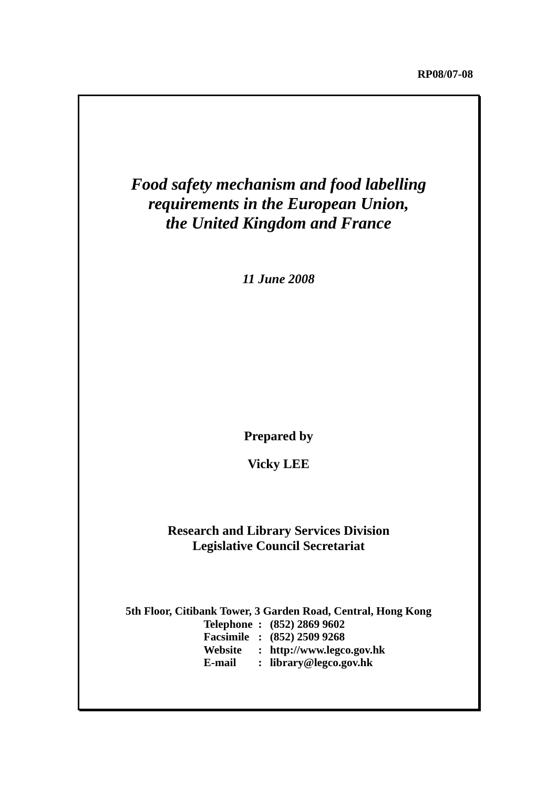# *Food safety mechanism and food labelling requirements in the European Union, the United Kingdom and France*

*11 June 2008*

**Prepared by** 

**Vicky LEE** 

## **Research and Library Services Division Legislative Council Secretariat**

**5th Floor, Citibank Tower, 3 Garden Road, Central, Hong Kong Telephone : (852) 2869 9602 Facsimile : (852) 2509 9268 Website : http://www.legco.gov.hk E-mail : library@legco.gov.hk**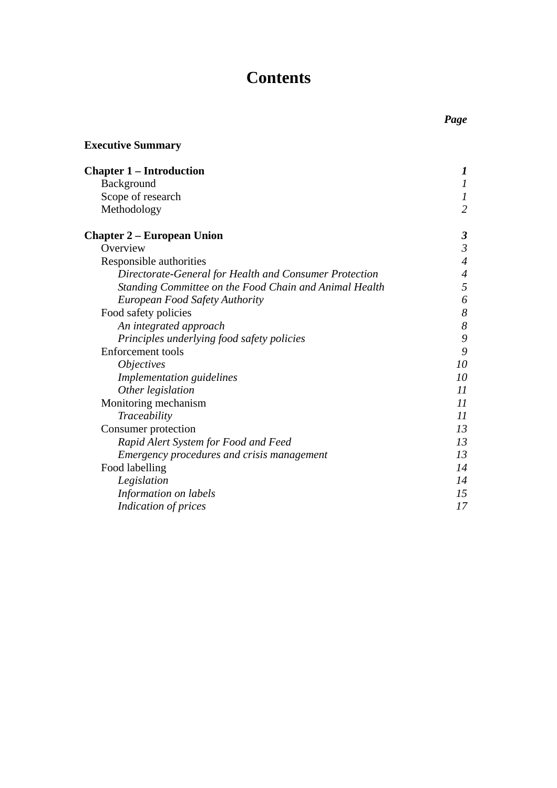# **Contents**

| <b>Executive Summary</b>                               |                           |
|--------------------------------------------------------|---------------------------|
| <b>Chapter 1 – Introduction</b>                        | 1                         |
| Background                                             | $\boldsymbol{l}$          |
| Scope of research                                      | $\boldsymbol{l}$          |
| Methodology                                            | $\overline{2}$            |
| <b>Chapter 2 – European Union</b>                      | $\boldsymbol{\beta}$      |
| Overview                                               | $\mathfrak{Z}$            |
| Responsible authorities                                | $\overline{4}$            |
| Directorate-General for Health and Consumer Protection | $\overline{\mathcal{A}}$  |
| Standing Committee on the Food Chain and Animal Health | 5                         |
| <b>European Food Safety Authority</b>                  | 6                         |
| Food safety policies                                   | 8                         |
| An integrated approach                                 | 8                         |
| Principles underlying food safety policies             | 9                         |
| <b>Enforcement</b> tools                               | 9                         |
| <i><b>Objectives</b></i>                               | 10                        |
| Implementation guidelines                              | 10                        |
| Other legislation                                      | $\overline{\mathfrak{U}}$ |
| Monitoring mechanism                                   | 11                        |
| Traceability                                           | 11                        |
| Consumer protection                                    | 13                        |
| Rapid Alert System for Food and Feed                   | 13                        |
| Emergency procedures and crisis management             | 13                        |
| Food labelling                                         | 14                        |
| Legislation                                            | 14                        |
| Information on labels                                  | 15                        |
| Indication of prices                                   | 17                        |
|                                                        |                           |

# *Page*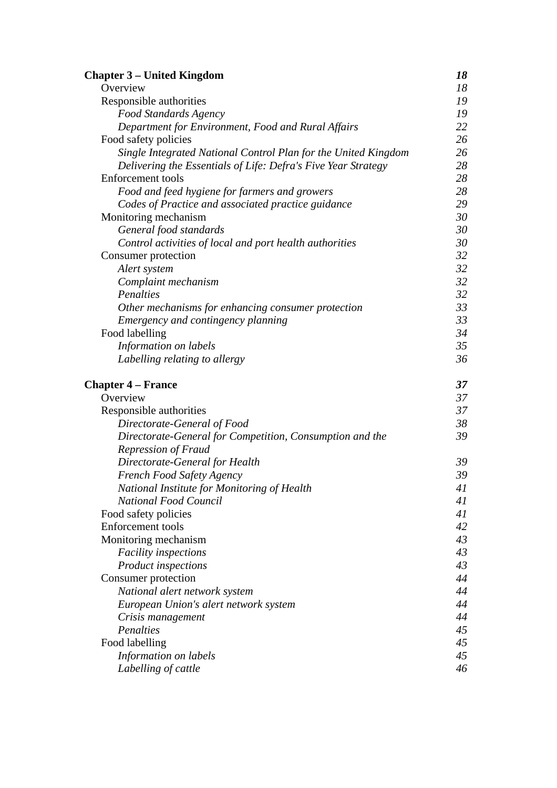| <b>Chapter 3 – United Kingdom</b>                              | 18 |
|----------------------------------------------------------------|----|
| Overview                                                       | 18 |
| Responsible authorities                                        | 19 |
| <b>Food Standards Agency</b>                                   | 19 |
| Department for Environment, Food and Rural Affairs             | 22 |
| Food safety policies                                           | 26 |
| Single Integrated National Control Plan for the United Kingdom | 26 |
| Delivering the Essentials of Life: Defra's Five Year Strategy  | 28 |
| <b>Enforcement</b> tools                                       | 28 |
| Food and feed hygiene for farmers and growers                  | 28 |
| Codes of Practice and associated practice guidance             | 29 |
| Monitoring mechanism                                           | 30 |
| General food standards                                         | 30 |
| Control activities of local and port health authorities        | 30 |
| Consumer protection                                            | 32 |
| Alert system                                                   | 32 |
| Complaint mechanism                                            | 32 |
| Penalties                                                      | 32 |
| Other mechanisms for enhancing consumer protection             | 33 |
| Emergency and contingency planning                             | 33 |
| Food labelling                                                 | 34 |
| Information on labels                                          | 35 |
| Labelling relating to allergy                                  | 36 |
| <b>Chapter 4 – France</b>                                      | 37 |
| Overview                                                       | 37 |
| Responsible authorities                                        | 37 |
| Directorate-General of Food                                    | 38 |
| Directorate-General for Competition, Consumption and the       | 39 |
| <b>Repression of Fraud</b>                                     |    |
| Directorate-General for Health                                 | 39 |
| French Food Safety Agency                                      | 39 |
| National Institute for Monitoring of Health                    | 41 |
| <b>National Food Council</b>                                   | 41 |
| Food safety policies                                           | 41 |
| <b>Enforcement</b> tools                                       | 42 |
| Monitoring mechanism                                           | 43 |
| <b>Facility inspections</b>                                    | 43 |
| Product inspections                                            | 43 |
| Consumer protection                                            | 44 |
| National alert network system                                  | 44 |
| European Union's alert network system                          | 44 |
| Crisis management                                              | 44 |
| Penalties                                                      | 45 |
| Food labelling                                                 | 45 |
| Information on labels                                          | 45 |
| Labelling of cattle                                            | 46 |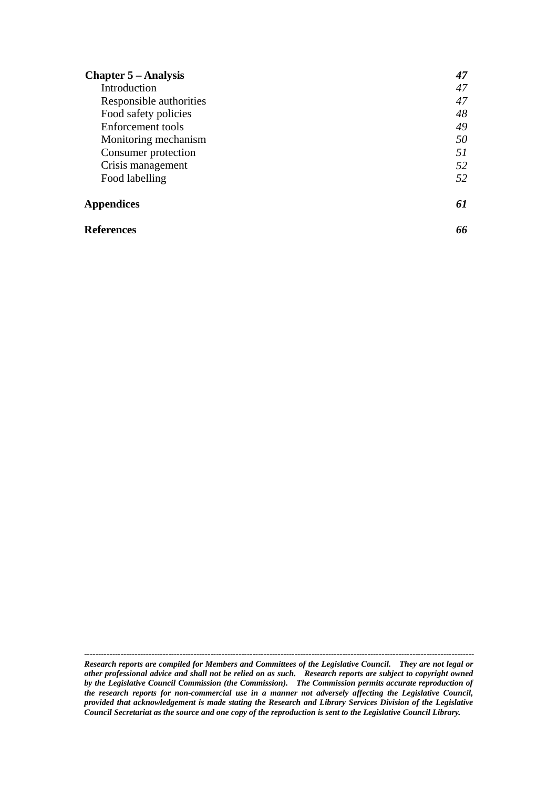| <b>Chapter 5 – Analysis</b> | 47 |
|-----------------------------|----|
| Introduction                | 47 |
| Responsible authorities     | 47 |
| Food safety policies        | 48 |
| Enforcement tools           | 49 |
| Monitoring mechanism        | 50 |
| Consumer protection         | 51 |
| Crisis management           | 52 |
| Food labelling              | 52 |
| <b>Appendices</b>           | 61 |
| <b>References</b>           |    |

*Research reports are compiled for Members and Committees of the Legislative Council. They are not legal or other professional advice and shall not be relied on as such. Research reports are subject to copyright owned by the Legislative Council Commission (the Commission). The Commission permits accurate reproduction of the research reports for non-commercial use in a manner not adversely affecting the Legislative Council, provided that acknowledgement is made stating the Research and Library Services Division of the Legislative Council Secretariat as the source and one copy of the reproduction is sent to the Legislative Council Library.*

*-------------------------------------------------------------------------------------------------------------------------------------------*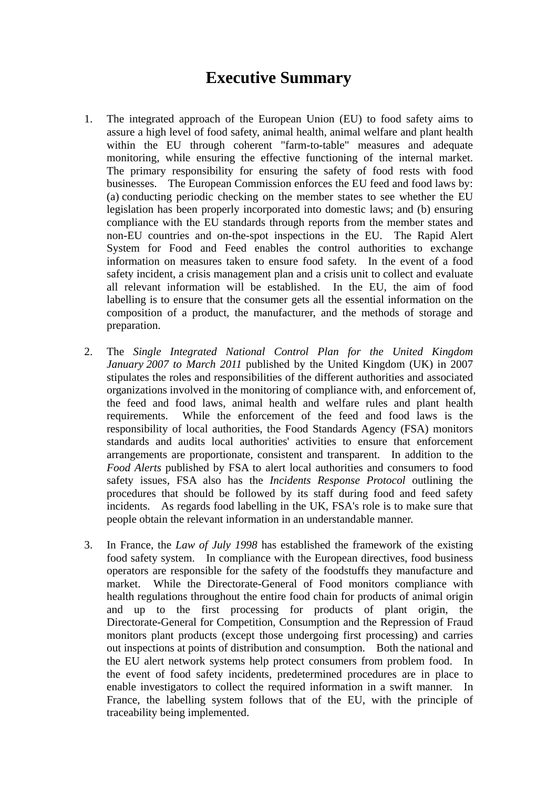# **Executive Summary**

- 1. The integrated approach of the European Union (EU) to food safety aims to assure a high level of food safety, animal health, animal welfare and plant health within the EU through coherent "farm-to-table" measures and adequate monitoring, while ensuring the effective functioning of the internal market. The primary responsibility for ensuring the safety of food rests with food businesses. The European Commission enforces the EU feed and food laws by: (a) conducting periodic checking on the member states to see whether the EU legislation has been properly incorporated into domestic laws; and (b) ensuring compliance with the EU standards through reports from the member states and non-EU countries and on-the-spot inspections in the EU. The Rapid Alert System for Food and Feed enables the control authorities to exchange information on measures taken to ensure food safety. In the event of a food safety incident, a crisis management plan and a crisis unit to collect and evaluate all relevant information will be established. In the EU, the aim of food labelling is to ensure that the consumer gets all the essential information on the composition of a product, the manufacturer, and the methods of storage and preparation.
- 2. The *Single Integrated National Control Plan for the United Kingdom January 2007 to March 2011* published by the United Kingdom (UK) in 2007 stipulates the roles and responsibilities of the different authorities and associated organizations involved in the monitoring of compliance with, and enforcement of, the feed and food laws, animal health and welfare rules and plant health requirements. While the enforcement of the feed and food laws is the responsibility of local authorities, the Food Standards Agency (FSA) monitors standards and audits local authorities' activities to ensure that enforcement arrangements are proportionate, consistent and transparent. In addition to the *Food Alerts* published by FSA to alert local authorities and consumers to food safety issues, FSA also has the *Incidents Response Protocol* outlining the procedures that should be followed by its staff during food and feed safety incidents. As regards food labelling in the UK, FSA's role is to make sure that people obtain the relevant information in an understandable manner.
- 3. In France, the *Law of July 1998* has established the framework of the existing food safety system. In compliance with the European directives, food business operators are responsible for the safety of the foodstuffs they manufacture and market. While the Directorate-General of Food monitors compliance with health regulations throughout the entire food chain for products of animal origin and up to the first processing for products of plant origin, the Directorate-General for Competition, Consumption and the Repression of Fraud monitors plant products (except those undergoing first processing) and carries out inspections at points of distribution and consumption. Both the national and the EU alert network systems help protect consumers from problem food. In the event of food safety incidents, predetermined procedures are in place to enable investigators to collect the required information in a swift manner. In France, the labelling system follows that of the EU, with the principle of traceability being implemented.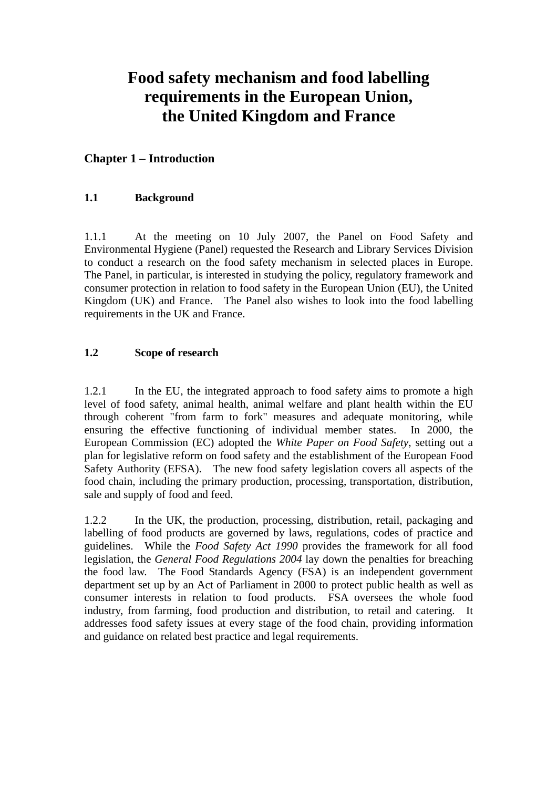# **Food safety mechanism and food labelling requirements in the European Union, the United Kingdom and France**

## **Chapter 1 – Introduction**

## **1.1 Background**

1.1.1 At the meeting on 10 July 2007, the Panel on Food Safety and Environmental Hygiene (Panel) requested the Research and Library Services Division to conduct a research on the food safety mechanism in selected places in Europe. The Panel, in particular, is interested in studying the policy, regulatory framework and consumer protection in relation to food safety in the European Union (EU), the United Kingdom (UK) and France. The Panel also wishes to look into the food labelling requirements in the UK and France.

## **1.2 Scope of research**

1.2.1 In the EU, the integrated approach to food safety aims to promote a high level of food safety, animal health, animal welfare and plant health within the EU through coherent "from farm to fork" measures and adequate monitoring, while ensuring the effective functioning of individual member states. In 2000, the European Commission (EC) adopted the *White Paper on Food Safety*, setting out a plan for legislative reform on food safety and the establishment of the European Food Safety Authority (EFSA). The new food safety legislation covers all aspects of the food chain, including the primary production, processing, transportation, distribution, sale and supply of food and feed.

1.2.2 In the UK, the production, processing, distribution, retail, packaging and labelling of food products are governed by laws, regulations, codes of practice and guidelines. While the *Food Safety Act 1990* provides the framework for all food legislation, the *General Food Regulations 2004* lay down the penalties for breaching the food law. The Food Standards Agency (FSA) is an independent government department set up by an Act of Parliament in 2000 to protect public health as well as consumer interests in relation to food products. FSA oversees the whole food industry, from farming, food production and distribution, to retail and catering. It addresses food safety issues at every stage of the food chain, providing information and guidance on related best practice and legal requirements.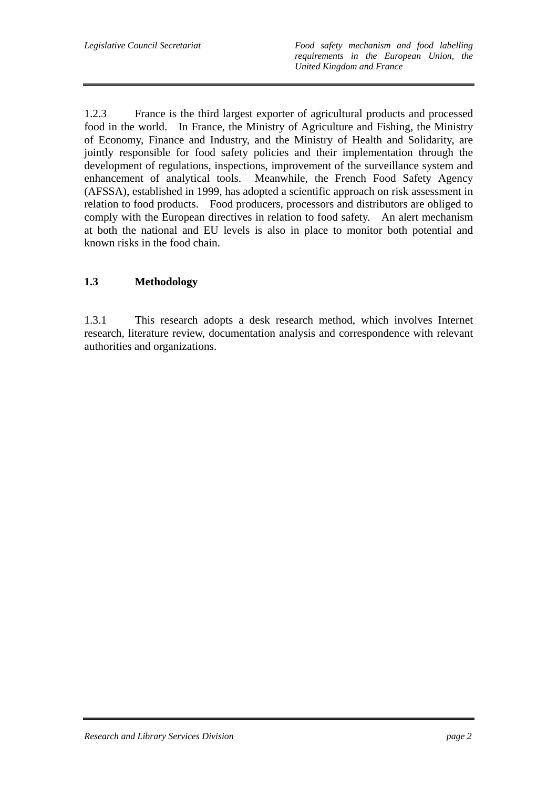1.2.3 France is the third largest exporter of agricultural products and processed food in the world. In France, the Ministry of Agriculture and Fishing, the Ministry of Economy, Finance and Industry, and the Ministry of Health and Solidarity, are jointly responsible for food safety policies and their implementation through the development of regulations, inspections, improvement of the surveillance system and enhancement of analytical tools. Meanwhile, the French Food Safety Agency (AFSSA), established in 1999, has adopted a scientific approach on risk assessment in relation to food products. Food producers, processors and distributors are obliged to comply with the European directives in relation to food safety. An alert mechanism at both the national and EU levels is also in place to monitor both potential and known risks in the food chain.

## **1.3 Methodology**

1.3.1 This research adopts a desk research method, which involves Internet research, literature review, documentation analysis and correspondence with relevant authorities and organizations.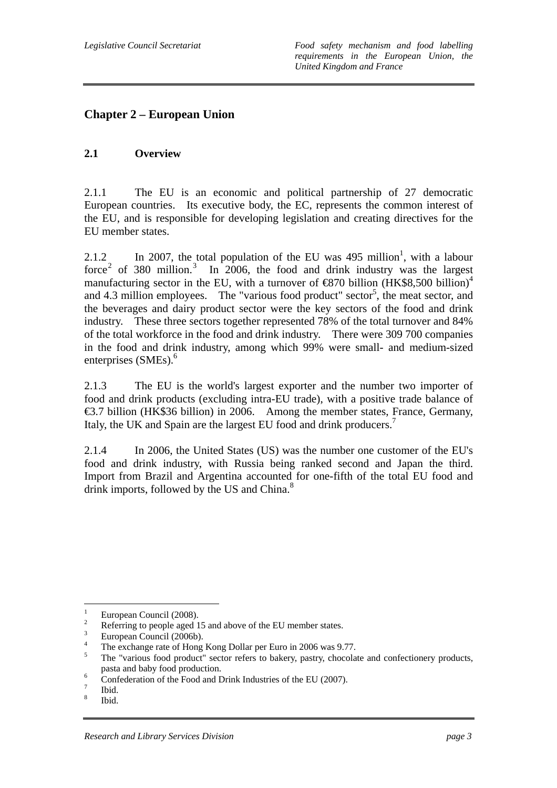## **Chapter 2 – European Union**

## **2.1 Overview**

2.1.1 The EU is an economic and political partnership of 27 democratic European countries. Its executive body, the EC, represents the common interest of the EU, and is responsible for developing legislation and creating directives for the EU member states.

2.1.2 In 2007, the total population of the EU was 495 million<sup>1</sup>, with a labour force<sup>2</sup> of 380 million.<sup>3</sup> In 2006, the food and drink industry was the largest manufacturing sector in the EU, with a turnover of  $\bigoplus$  670 billion (HK\$8,500 billion)<sup>4</sup> and 4.3 million employees. The "various food product" sector<sup>5</sup>, the meat sector, and the beverages and dairy product sector were the key sectors of the food and drink industry. These three sectors together represented 78% of the total turnover and 84% of the total workforce in the food and drink industry. There were 309 700 companies in the food and drink industry, among which 99% were small- and medium-sized enterprises (SMEs).<sup>6</sup>

2.1.3 The EU is the world's largest exporter and the number two importer of food and drink products (excluding intra-EU trade), with a positive trade balance of €3.7 billion (HK\$36 billion) in 2006. Among the member states, France, Germany, Italy, the UK and Spain are the largest EU food and drink producers.<sup>7</sup>

2.1.4 In 2006, the United States (US) was the number one customer of the EU's food and drink industry, with Russia being ranked second and Japan the third. Import from Brazil and Argentina accounted for one-fifth of the total EU food and drink imports, followed by the US and China.<sup>8</sup>

 $\frac{1}{1}$ European Council (2008).

<sup>2</sup> Referring to people aged 15 and above of the EU member states.

European Council (2006b).

<sup>4</sup> The exchange rate of Hong Kong Dollar per Euro in 2006 was 9.77.

<sup>5</sup> The "various food product" sector refers to bakery, pastry, chocolate and confectionery products, pasta and baby food production.

Confederation of the Food and Drink Industries of the EU (2007).

<sup>7</sup> Ibid.

<sup>8</sup> Ibid.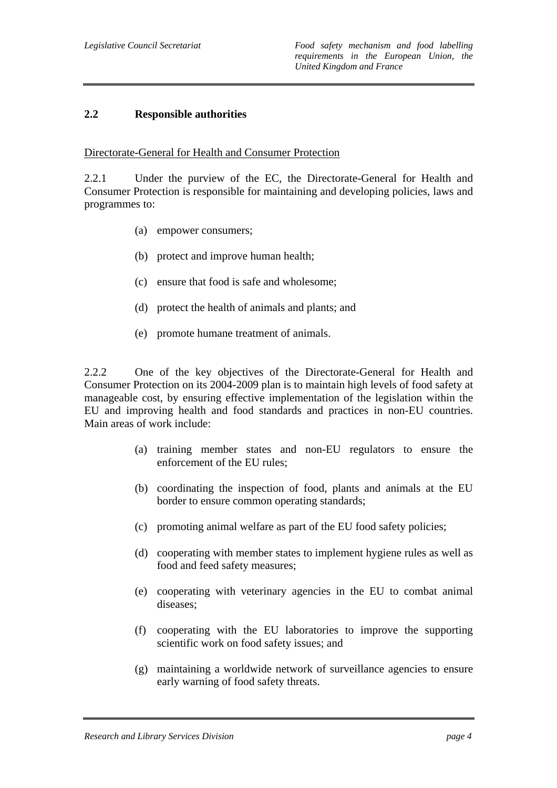### **2.2 Responsible authorities**

#### Directorate-General for Health and Consumer Protection

2.2.1 Under the purview of the EC, the Directorate-General for Health and Consumer Protection is responsible for maintaining and developing policies, laws and programmes to:

- (a) empower consumers;
- (b) protect and improve human health;
- (c) ensure that food is safe and wholesome;
- (d) protect the health of animals and plants; and
- (e) promote humane treatment of animals.

2.2.2 One of the key objectives of the Directorate-General for Health and Consumer Protection on its 2004-2009 plan is to maintain high levels of food safety at manageable cost, by ensuring effective implementation of the legislation within the EU and improving health and food standards and practices in non-EU countries. Main areas of work include:

- (a) training member states and non-EU regulators to ensure the enforcement of the EU rules;
- (b) coordinating the inspection of food, plants and animals at the EU border to ensure common operating standards;
- (c) promoting animal welfare as part of the EU food safety policies;
- (d) cooperating with member states to implement hygiene rules as well as food and feed safety measures;
- (e) cooperating with veterinary agencies in the EU to combat animal diseases;
- (f) cooperating with the EU laboratories to improve the supporting scientific work on food safety issues; and
- (g) maintaining a worldwide network of surveillance agencies to ensure early warning of food safety threats.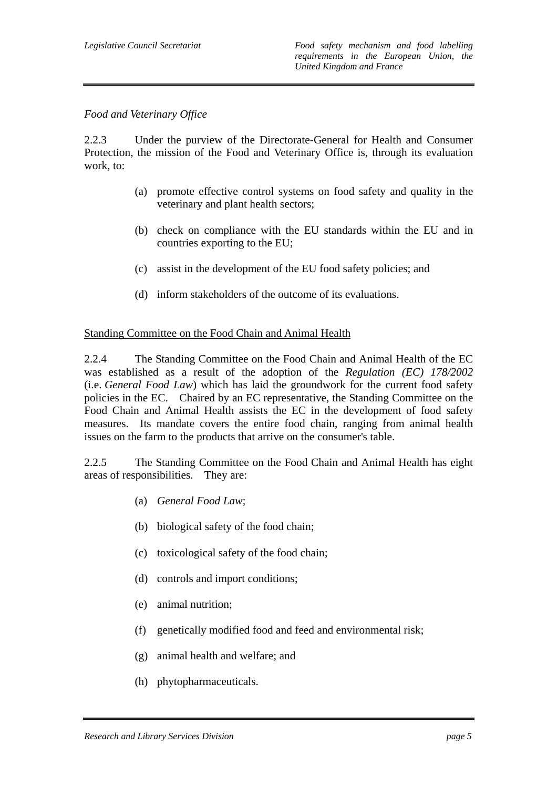#### *Food and Veterinary Office*

2.2.3 Under the purview of the Directorate-General for Health and Consumer Protection, the mission of the Food and Veterinary Office is, through its evaluation work, to:

- (a) promote effective control systems on food safety and quality in the veterinary and plant health sectors;
- (b) check on compliance with the EU standards within the EU and in countries exporting to the EU;
- (c) assist in the development of the EU food safety policies; and
- (d) inform stakeholders of the outcome of its evaluations.

#### Standing Committee on the Food Chain and Animal Health

2.2.4 The Standing Committee on the Food Chain and Animal Health of the EC was established as a result of the adoption of the *Regulation (EC) 178/2002*  (i.e. *General Food Law*) which has laid the groundwork for the current food safety policies in the EC. Chaired by an EC representative, the Standing Committee on the Food Chain and Animal Health assists the EC in the development of food safety measures. Its mandate covers the entire food chain, ranging from animal health issues on the farm to the products that arrive on the consumer's table.

2.2.5 The Standing Committee on the Food Chain and Animal Health has eight areas of responsibilities. They are:

- (a) *General Food Law*;
- (b) biological safety of the food chain;
- (c) toxicological safety of the food chain;
- (d) controls and import conditions;
- (e) animal nutrition;
- (f) genetically modified food and feed and environmental risk;
- (g) animal health and welfare; and
- (h) phytopharmaceuticals.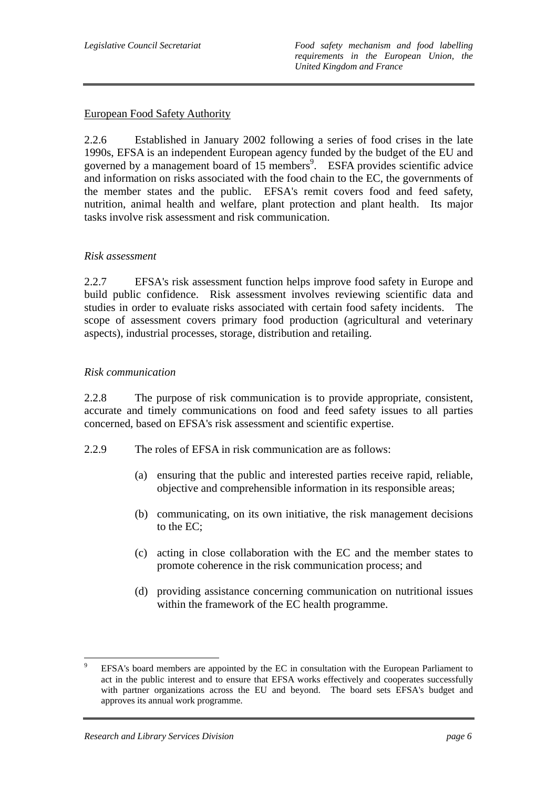## European Food Safety Authority

2.2.6 Established in January 2002 following a series of food crises in the late 1990s, EFSA is an independent European agency funded by the budget of the EU and governed by a management board of 15 members<sup>9</sup>. ESFA provides scientific advice and information on risks associated with the food chain to the EC, the governments of the member states and the public. EFSA's remit covers food and feed safety, nutrition, animal health and welfare, plant protection and plant health. Its major tasks involve risk assessment and risk communication.

## *Risk assessment*

2.2.7 EFSA's risk assessment function helps improve food safety in Europe and build public confidence. Risk assessment involves reviewing scientific data and studies in order to evaluate risks associated with certain food safety incidents. The scope of assessment covers primary food production (agricultural and veterinary aspects), industrial processes, storage, distribution and retailing.

#### *Risk communication*

2.2.8 The purpose of risk communication is to provide appropriate, consistent, accurate and timely communications on food and feed safety issues to all parties concerned, based on EFSA's risk assessment and scientific expertise.

- 2.2.9 The roles of EFSA in risk communication are as follows:
	- (a) ensuring that the public and interested parties receive rapid, reliable, objective and comprehensible information in its responsible areas;
	- (b) communicating, on its own initiative, the risk management decisions to the EC;
	- (c) acting in close collaboration with the EC and the member states to promote coherence in the risk communication process; and
	- (d) providing assistance concerning communication on nutritional issues within the framework of the EC health programme.

<sup>-&</sup>lt;br>9 EFSA's board members are appointed by the EC in consultation with the European Parliament to act in the public interest and to ensure that EFSA works effectively and cooperates successfully with partner organizations across the EU and beyond. The board sets EFSA's budget and approves its annual work programme.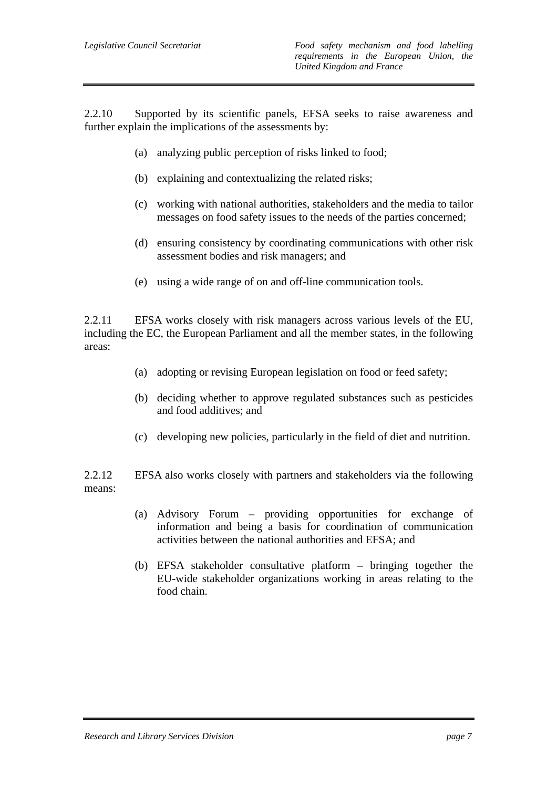2.2.10 Supported by its scientific panels, EFSA seeks to raise awareness and further explain the implications of the assessments by:

- (a) analyzing public perception of risks linked to food;
- (b) explaining and contextualizing the related risks;
- (c) working with national authorities, stakeholders and the media to tailor messages on food safety issues to the needs of the parties concerned;
- (d) ensuring consistency by coordinating communications with other risk assessment bodies and risk managers; and
- (e) using a wide range of on and off-line communication tools.

2.2.11 EFSA works closely with risk managers across various levels of the EU, including the EC, the European Parliament and all the member states, in the following areas:

- (a) adopting or revising European legislation on food or feed safety;
- (b) deciding whether to approve regulated substances such as pesticides and food additives; and
- (c) developing new policies, particularly in the field of diet and nutrition.

2.2.12 EFSA also works closely with partners and stakeholders via the following means:

- (a) Advisory Forum providing opportunities for exchange of information and being a basis for coordination of communication activities between the national authorities and EFSA; and
- (b) EFSA stakeholder consultative platform bringing together the EU-wide stakeholder organizations working in areas relating to the food chain.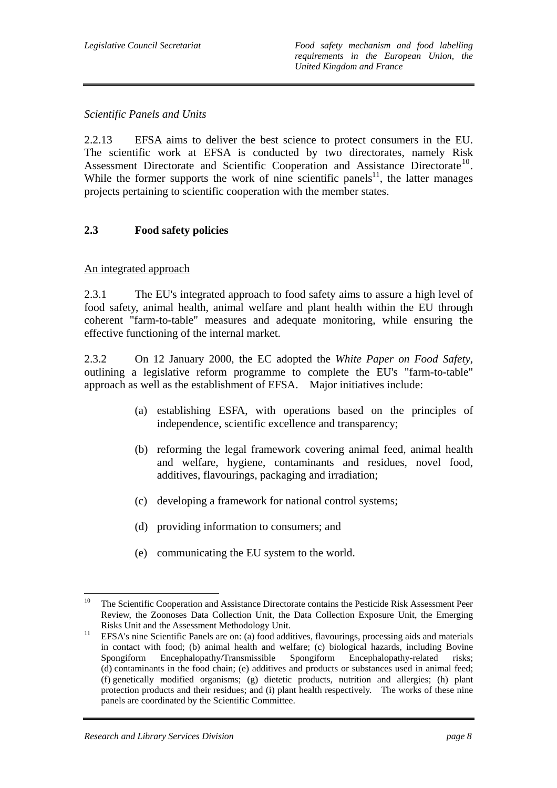## *Scientific Panels and Units*

2.2.13 EFSA aims to deliver the best science to protect consumers in the EU. The scientific work at EFSA is conducted by two directorates, namely Risk Assessment Directorate and Scientific Cooperation and Assistance Directorate<sup>10</sup>. While the former supports the work of nine scientific panels<sup>11</sup>, the latter manages projects pertaining to scientific cooperation with the member states.

## **2.3 Food safety policies**

## An integrated approach

2.3.1 The EU's integrated approach to food safety aims to assure a high level of food safety, animal health, animal welfare and plant health within the EU through coherent "farm-to-table" measures and adequate monitoring, while ensuring the effective functioning of the internal market.

2.3.2 On 12 January 2000, the EC adopted the *White Paper on Food Safety*, outlining a legislative reform programme to complete the EU's "farm-to-table" approach as well as the establishment of EFSA. Major initiatives include:

- (a) establishing ESFA, with operations based on the principles of independence, scientific excellence and transparency;
- (b) reforming the legal framework covering animal feed, animal health and welfare, hygiene, contaminants and residues, novel food, additives, flavourings, packaging and irradiation;
- (c) developing a framework for national control systems;
- (d) providing information to consumers; and
- (e) communicating the EU system to the world.

<sup>10</sup> 10 The Scientific Cooperation and Assistance Directorate contains the Pesticide Risk Assessment Peer Review, the Zoonoses Data Collection Unit, the Data Collection Exposure Unit, the Emerging

Risks Unit and the Assessment Methodology Unit.<br><sup>11</sup> EFSA's nine Scientific Panels are on: (a) food additives, flavourings, processing aids and materials in contact with food; (b) animal health and welfare; (c) biological hazards, including Bovine Spongiform Encephalopathy/Transmissible Spongiform Encephalopathy-related risks; (d) contaminants in the food chain; (e) additives and products or substances used in animal feed; (f) genetically modified organisms; (g) dietetic products, nutrition and allergies; (h) plant protection products and their residues; and (i) plant health respectively. The works of these nine panels are coordinated by the Scientific Committee.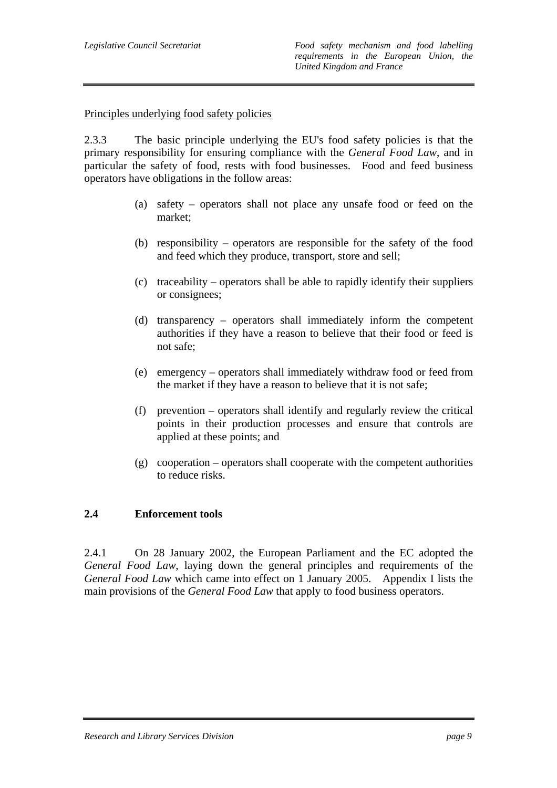Principles underlying food safety policies

2.3.3 The basic principle underlying the EU's food safety policies is that the primary responsibility for ensuring compliance with the *General Food Law*, and in particular the safety of food, rests with food businesses. Food and feed business operators have obligations in the follow areas:

- (a) safety operators shall not place any unsafe food or feed on the market;
- (b) responsibility operators are responsible for the safety of the food and feed which they produce, transport, store and sell;
- (c) traceability operators shall be able to rapidly identify their suppliers or consignees;
- (d) transparency operators shall immediately inform the competent authorities if they have a reason to believe that their food or feed is not safe;
- (e) emergency operators shall immediately withdraw food or feed from the market if they have a reason to believe that it is not safe;
- (f) prevention operators shall identify and regularly review the critical points in their production processes and ensure that controls are applied at these points; and
- (g) cooperation operators shall cooperate with the competent authorities to reduce risks.

## **2.4 Enforcement tools**

2.4.1 On 28 January 2002, the European Parliament and the EC adopted the *General Food Law*, laying down the general principles and requirements of the *General Food Law* which came into effect on 1 January 2005. Appendix I lists the main provisions of the *General Food Law* that apply to food business operators.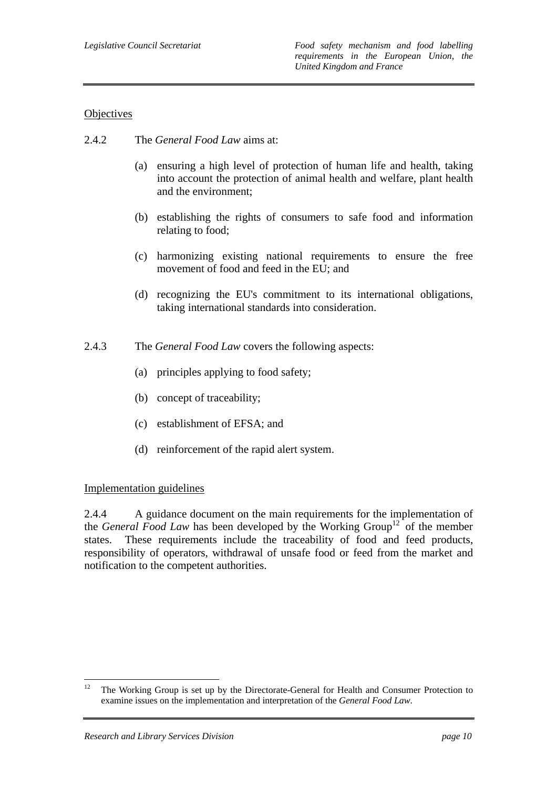## **Objectives**

- 2.4.2 The *General Food Law* aims at:
	- (a) ensuring a high level of protection of human life and health, taking into account the protection of animal health and welfare, plant health and the environment;
	- (b) establishing the rights of consumers to safe food and information relating to food;
	- (c) harmonizing existing national requirements to ensure the free movement of food and feed in the EU; and
	- (d) recognizing the EU's commitment to its international obligations, taking international standards into consideration.
- 2.4.3 The *General Food Law* covers the following aspects:
	- (a) principles applying to food safety;
	- (b) concept of traceability;
	- (c) establishment of EFSA; and
	- (d) reinforcement of the rapid alert system.

#### Implementation guidelines

2.4.4 A guidance document on the main requirements for the implementation of the *General Food Law* has been developed by the Working Group<sup>12</sup> of the member states. These requirements include the traceability of food and feed products, responsibility of operators, withdrawal of unsafe food or feed from the market and notification to the competent authorities.

 $12$ 12 The Working Group is set up by the Directorate-General for Health and Consumer Protection to examine issues on the implementation and interpretation of the *General Food Law*.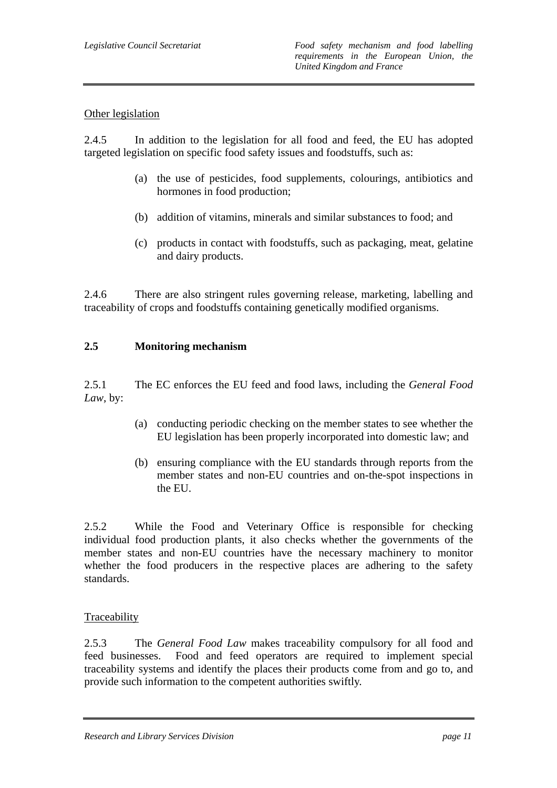## Other legislation

2.4.5 In addition to the legislation for all food and feed, the EU has adopted targeted legislation on specific food safety issues and foodstuffs, such as:

- (a) the use of pesticides, food supplements, colourings, antibiotics and hormones in food production;
- (b) addition of vitamins, minerals and similar substances to food; and
- (c) products in contact with foodstuffs, such as packaging, meat, gelatine and dairy products.

2.4.6 There are also stringent rules governing release, marketing, labelling and traceability of crops and foodstuffs containing genetically modified organisms.

## **2.5 Monitoring mechanism**

2.5.1 The EC enforces the EU feed and food laws, including the *General Food Law*, by:

- (a) conducting periodic checking on the member states to see whether the EU legislation has been properly incorporated into domestic law; and
- (b) ensuring compliance with the EU standards through reports from the member states and non-EU countries and on-the-spot inspections in the EU.

2.5.2 While the Food and Veterinary Office is responsible for checking individual food production plants, it also checks whether the governments of the member states and non-EU countries have the necessary machinery to monitor whether the food producers in the respective places are adhering to the safety standards.

#### **Traceability**

2.5.3 The *General Food Law* makes traceability compulsory for all food and feed businesses. Food and feed operators are required to implement special traceability systems and identify the places their products come from and go to, and provide such information to the competent authorities swiftly.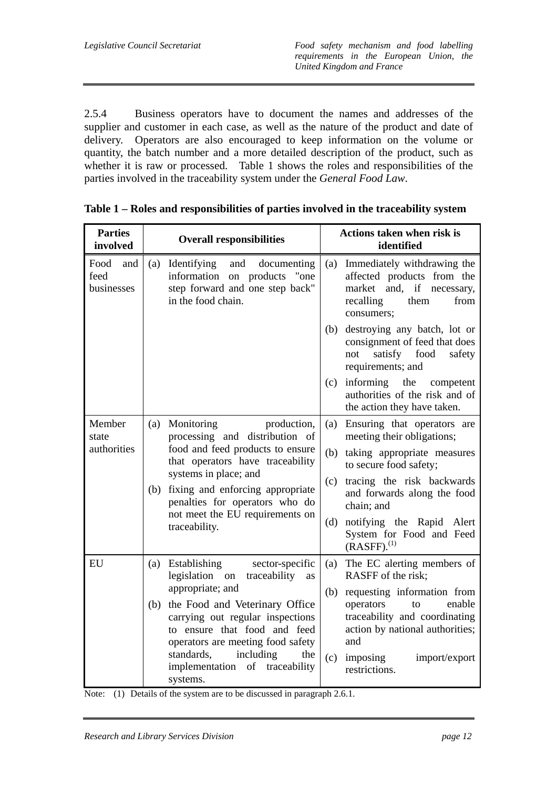2.5.4 Business operators have to document the names and addresses of the supplier and customer in each case, as well as the nature of the product and date of delivery. Operators are also encouraged to keep information on the volume or quantity, the batch number and a more detailed description of the product, such as whether it is raw or processed. Table 1 shows the roles and responsibilities of the parties involved in the traceability system under the *General Food Law*.

| <b>Parties</b><br>involved        |     | <b>Overall responsibilities</b>                                                                                                                                                                                         |     | Actions taken when risk is<br>identified                                                                                          |
|-----------------------------------|-----|-------------------------------------------------------------------------------------------------------------------------------------------------------------------------------------------------------------------------|-----|-----------------------------------------------------------------------------------------------------------------------------------|
| Food<br>and<br>feed<br>businesses | (a) | Identifying<br>and<br>documenting<br>information on products<br>"one"<br>step forward and one step back"<br>in the food chain.                                                                                          | (a) | Immediately withdrawing the<br>affected products from the<br>market and, if necessary,<br>recalling<br>them<br>from<br>consumers; |
|                                   |     |                                                                                                                                                                                                                         | (b) | destroying any batch, lot or<br>consignment of feed that does<br>satisfy food<br>safety<br>not<br>requirements; and               |
|                                   |     |                                                                                                                                                                                                                         | (c) | informing<br>the<br>competent<br>authorities of the risk and of<br>the action they have taken.                                    |
| Member<br>state                   | (a) | production,<br>Monitoring<br>processing and distribution of<br>food and feed products to ensure<br>that operators have traceability<br>systems in place; and                                                            | (a) | Ensuring that operators are<br>meeting their obligations;                                                                         |
| authorities                       |     |                                                                                                                                                                                                                         | (b) | taking appropriate measures<br>to secure food safety;                                                                             |
|                                   | (b) | fixing and enforcing appropriate<br>penalties for operators who do                                                                                                                                                      | (c) | tracing the risk backwards<br>and forwards along the food<br>chain; and                                                           |
|                                   |     | not meet the EU requirements on<br>traceability.                                                                                                                                                                        | (d) | notifying the Rapid Alert<br>System for Food and Feed<br>$(RASFF).$ <sup>(1)</sup>                                                |
| EU                                | (a) | Establishing<br>sector-specific<br>legislation on<br>traceability<br>as                                                                                                                                                 | (a) | The EC alerting members of<br>RASFF of the risk;                                                                                  |
|                                   |     | appropriate; and                                                                                                                                                                                                        |     | (b) requesting information from                                                                                                   |
|                                   | (b) | the Food and Veterinary Office<br>carrying out regular inspections<br>to ensure that food and feed<br>operators are meeting food safety<br>standards,<br>including<br>the<br>implementation of traceability<br>systems. |     | enable<br>operators<br>to<br>traceability and coordinating<br>action by national authorities;<br>and                              |
|                                   |     |                                                                                                                                                                                                                         | (c) | import/export<br>imposing<br>restrictions.                                                                                        |

|  |  |  |  | Table 1 – Roles and responsibilities of parties involved in the traceability system |  |
|--|--|--|--|-------------------------------------------------------------------------------------|--|
|  |  |  |  |                                                                                     |  |

Note: (1) Details of the system are to be discussed in paragraph 2.6.1.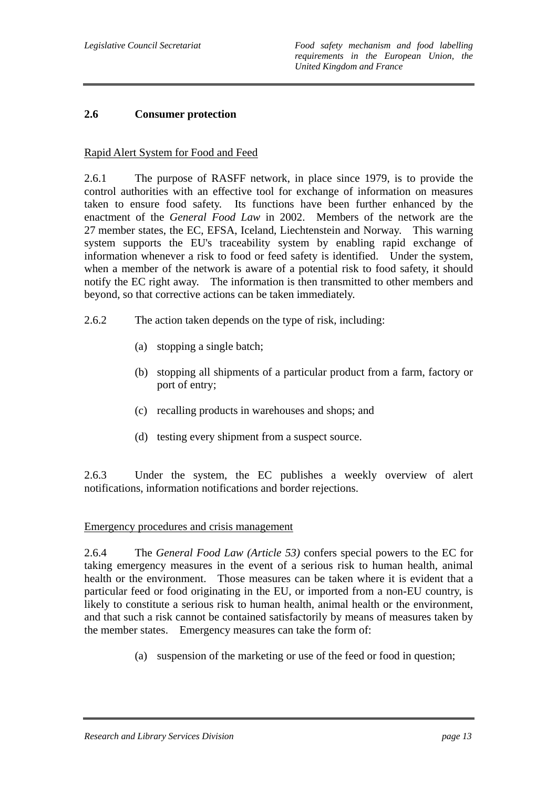### **2.6 Consumer protection**

#### Rapid Alert System for Food and Feed

2.6.1 The purpose of RASFF network, in place since 1979, is to provide the control authorities with an effective tool for exchange of information on measures taken to ensure food safety. Its functions have been further enhanced by the enactment of the *General Food Law* in 2002. Members of the network are the 27 member states, the EC, EFSA, Iceland, Liechtenstein and Norway. This warning system supports the EU's traceability system by enabling rapid exchange of information whenever a risk to food or feed safety is identified. Under the system, when a member of the network is aware of a potential risk to food safety, it should notify the EC right away. The information is then transmitted to other members and beyond, so that corrective actions can be taken immediately.

- 2.6.2 The action taken depends on the type of risk, including:
	- (a) stopping a single batch;
	- (b) stopping all shipments of a particular product from a farm, factory or port of entry;
	- (c) recalling products in warehouses and shops; and
	- (d) testing every shipment from a suspect source.

2.6.3 Under the system, the EC publishes a weekly overview of alert notifications, information notifications and border rejections.

#### Emergency procedures and crisis management

2.6.4 The *General Food Law (Article 53)* confers special powers to the EC for taking emergency measures in the event of a serious risk to human health, animal health or the environment. Those measures can be taken where it is evident that a particular feed or food originating in the EU, or imported from a non-EU country, is likely to constitute a serious risk to human health, animal health or the environment, and that such a risk cannot be contained satisfactorily by means of measures taken by the member states. Emergency measures can take the form of:

(a) suspension of the marketing or use of the feed or food in question;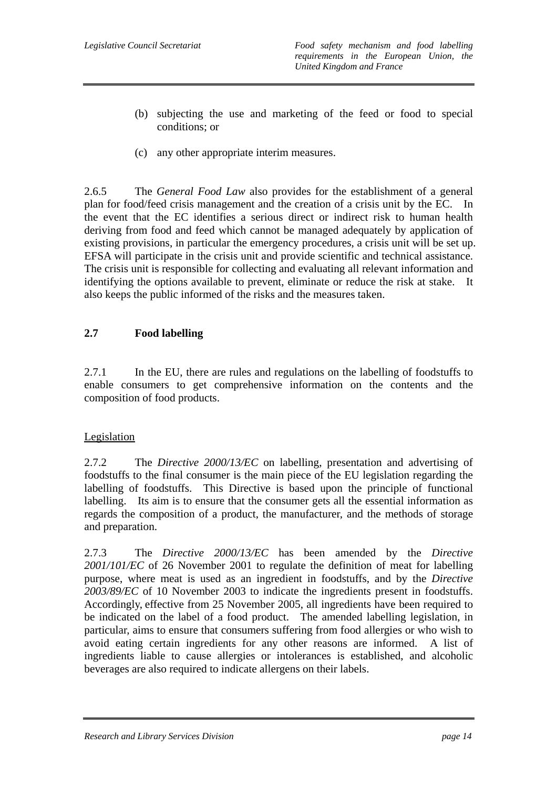- (b) subjecting the use and marketing of the feed or food to special conditions; or
- (c) any other appropriate interim measures.

2.6.5 The *General Food Law* also provides for the establishment of a general plan for food/feed crisis management and the creation of a crisis unit by the EC. In the event that the EC identifies a serious direct or indirect risk to human health deriving from food and feed which cannot be managed adequately by application of existing provisions, in particular the emergency procedures, a crisis unit will be set up. EFSA will participate in the crisis unit and provide scientific and technical assistance. The crisis unit is responsible for collecting and evaluating all relevant information and identifying the options available to prevent, eliminate or reduce the risk at stake. It also keeps the public informed of the risks and the measures taken.

## **2.7 Food labelling**

2.7.1 In the EU, there are rules and regulations on the labelling of foodstuffs to enable consumers to get comprehensive information on the contents and the composition of food products.

#### Legislation

2.7.2 The *Directive 2000/13/EC* on labelling, presentation and advertising of foodstuffs to the final consumer is the main piece of the EU legislation regarding the labelling of foodstuffs. This Directive is based upon the principle of functional labelling. Its aim is to ensure that the consumer gets all the essential information as regards the composition of a product, the manufacturer, and the methods of storage and preparation.

2.7.3 The *Directive 2000/13/EC* has been amended by the *Directive 2001/101/EC* of 26 November 2001 to regulate the definition of meat for labelling purpose, where meat is used as an ingredient in foodstuffs, and by the *Directive 2003/89/EC* of 10 November 2003 to indicate the ingredients present in foodstuffs. Accordingly, effective from 25 November 2005, all ingredients have been required to be indicated on the label of a food product. The amended labelling legislation, in particular, aims to ensure that consumers suffering from food allergies or who wish to avoid eating certain ingredients for any other reasons are informed. A list of ingredients liable to cause allergies or intolerances is established, and alcoholic beverages are also required to indicate allergens on their labels.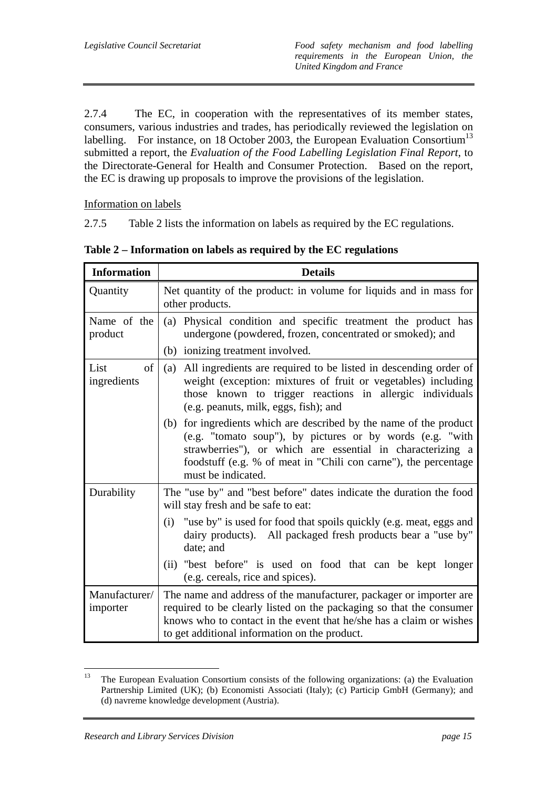2.7.4 The EC, in cooperation with the representatives of its member states, consumers, various industries and trades, has periodically reviewed the legislation on labelling. For instance, on 18 October 2003, the European Evaluation Consortium<sup>13</sup> submitted a report, the *Evaluation of the Food Labelling Legislation Final Report*, to the Directorate-General for Health and Consumer Protection. Based on the report, the EC is drawing up proposals to improve the provisions of the legislation.

Information on labels

2.7.5 Table 2 lists the information on labels as required by the EC regulations.

| <b>Information</b>        | <b>Details</b>                                                                                                                                                                                                                                                                         |  |  |  |  |  |  |
|---------------------------|----------------------------------------------------------------------------------------------------------------------------------------------------------------------------------------------------------------------------------------------------------------------------------------|--|--|--|--|--|--|
| Quantity                  | Net quantity of the product: in volume for liquids and in mass for<br>other products.                                                                                                                                                                                                  |  |  |  |  |  |  |
| Name of the<br>product    | (a) Physical condition and specific treatment the product has<br>undergone (powdered, frozen, concentrated or smoked); and                                                                                                                                                             |  |  |  |  |  |  |
|                           | (b) ionizing treatment involved.                                                                                                                                                                                                                                                       |  |  |  |  |  |  |
| of<br>List<br>ingredients | All ingredients are required to be listed in descending order of<br>(a)<br>weight (exception: mixtures of fruit or vegetables) including<br>those known to trigger reactions in allergic individuals<br>(e.g. peanuts, milk, eggs, fish); and                                          |  |  |  |  |  |  |
|                           | (b) for ingredients which are described by the name of the product<br>(e.g. "tomato soup"), by pictures or by words (e.g. "with<br>strawberries"), or which are essential in characterizing a<br>foodstuff (e.g. % of meat in "Chili con carne"), the percentage<br>must be indicated. |  |  |  |  |  |  |
| Durability                | The "use by" and "best before" dates indicate the duration the food<br>will stay fresh and be safe to eat:                                                                                                                                                                             |  |  |  |  |  |  |
|                           | "use by" is used for food that spoils quickly (e.g. meat, eggs and<br>(i)<br>dairy products). All packaged fresh products bear a "use by"<br>date; and                                                                                                                                 |  |  |  |  |  |  |
|                           | (ii) "best before" is used on food that can be kept longer<br>(e.g. cereals, rice and spices).                                                                                                                                                                                         |  |  |  |  |  |  |
| Manufacturer/<br>importer | The name and address of the manufacturer, packager or importer are<br>required to be clearly listed on the packaging so that the consumer<br>knows who to contact in the event that he/she has a claim or wishes<br>to get additional information on the product.                      |  |  |  |  |  |  |

**Table 2 – Information on labels as required by the EC regulations** 

<sup>13</sup> 13 The European Evaluation Consortium consists of the following organizations: (a) the Evaluation Partnership Limited (UK); (b) Economisti Associati (Italy); (c) Particip GmbH (Germany); and (d) navreme knowledge development (Austria).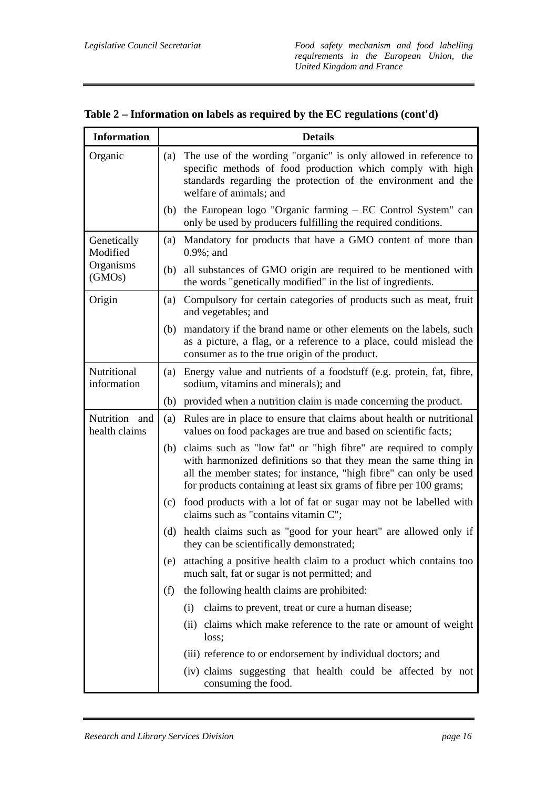| <b>Information</b>             |     | <b>Details</b>                                                                                                                                                                                                                                                                 |  |  |  |  |  |  |
|--------------------------------|-----|--------------------------------------------------------------------------------------------------------------------------------------------------------------------------------------------------------------------------------------------------------------------------------|--|--|--|--|--|--|
| Organic                        | (a) | The use of the wording "organic" is only allowed in reference to<br>specific methods of food production which comply with high<br>standards regarding the protection of the environment and the<br>welfare of animals; and                                                     |  |  |  |  |  |  |
|                                | (b) | the European logo "Organic farming – EC Control System" can<br>only be used by producers fulfilling the required conditions.                                                                                                                                                   |  |  |  |  |  |  |
| Genetically<br>Modified        | (a) | Mandatory for products that have a GMO content of more than<br>$0.9\%$ ; and                                                                                                                                                                                                   |  |  |  |  |  |  |
| Organisms<br>(GMOs)            |     | (b) all substances of GMO origin are required to be mentioned with<br>the words "genetically modified" in the list of ingredients.                                                                                                                                             |  |  |  |  |  |  |
| Origin                         | (a) | Compulsory for certain categories of products such as meat, fruit<br>and vegetables; and                                                                                                                                                                                       |  |  |  |  |  |  |
|                                |     | (b) mandatory if the brand name or other elements on the labels, such<br>as a picture, a flag, or a reference to a place, could mislead the<br>consumer as to the true origin of the product.                                                                                  |  |  |  |  |  |  |
| Nutritional<br>information     | (a) | Energy value and nutrients of a foodstuff (e.g. protein, fat, fibre,<br>sodium, vitamins and minerals); and                                                                                                                                                                    |  |  |  |  |  |  |
|                                | (b) | provided when a nutrition claim is made concerning the product.                                                                                                                                                                                                                |  |  |  |  |  |  |
| Nutrition and<br>health claims | (a) | Rules are in place to ensure that claims about health or nutritional<br>values on food packages are true and based on scientific facts;                                                                                                                                        |  |  |  |  |  |  |
|                                | (b) | claims such as "low fat" or "high fibre" are required to comply<br>with harmonized definitions so that they mean the same thing in<br>all the member states; for instance, "high fibre" can only be used<br>for products containing at least six grams of fibre per 100 grams; |  |  |  |  |  |  |
|                                | (c) | food products with a lot of fat or sugar may not be labelled with<br>claims such as "contains vitamin C";                                                                                                                                                                      |  |  |  |  |  |  |
|                                | (d) | health claims such as "good for your heart" are allowed only if<br>they can be scientifically demonstrated;                                                                                                                                                                    |  |  |  |  |  |  |
|                                | (e) | attaching a positive health claim to a product which contains too<br>much salt, fat or sugar is not permitted; and                                                                                                                                                             |  |  |  |  |  |  |
|                                | (f) | the following health claims are prohibited:                                                                                                                                                                                                                                    |  |  |  |  |  |  |
|                                |     | claims to prevent, treat or cure a human disease;<br>(i)                                                                                                                                                                                                                       |  |  |  |  |  |  |
|                                |     | (ii) claims which make reference to the rate or amount of weight<br>loss;                                                                                                                                                                                                      |  |  |  |  |  |  |
|                                |     | (iii) reference to or endorsement by individual doctors; and                                                                                                                                                                                                                   |  |  |  |  |  |  |
|                                |     | (iv) claims suggesting that health could be affected by not<br>consuming the food.                                                                                                                                                                                             |  |  |  |  |  |  |

**Table 2 – Information on labels as required by the EC regulations (cont'd)**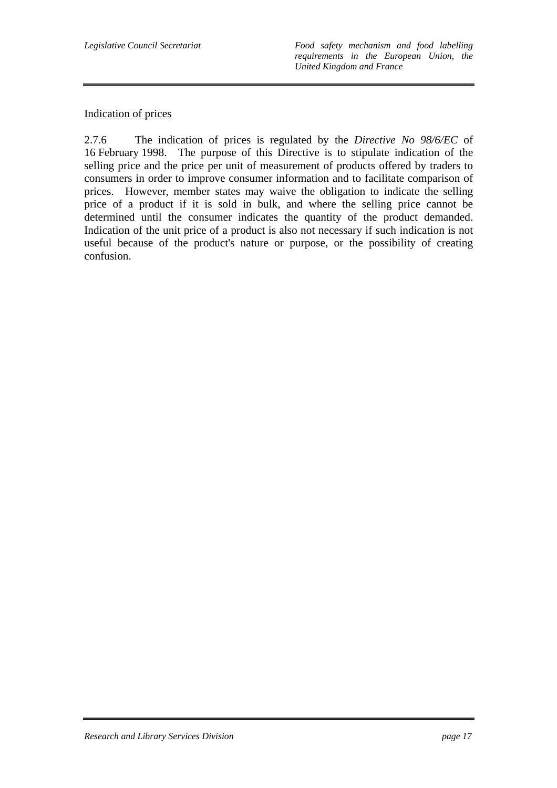*Legislative Council Secretariat Food safety mechanism and food labelling requirements in the European Union, the United Kingdom and France* 

### Indication of prices

2.7.6 The indication of prices is regulated by the *Directive No 98/6/EC* of 16 February 1998. The purpose of this Directive is to stipulate indication of the selling price and the price per unit of measurement of products offered by traders to consumers in order to improve consumer information and to facilitate comparison of prices. However, member states may waive the obligation to indicate the selling price of a product if it is sold in bulk, and where the selling price cannot be determined until the consumer indicates the quantity of the product demanded. Indication of the unit price of a product is also not necessary if such indication is not useful because of the product's nature or purpose, or the possibility of creating confusion.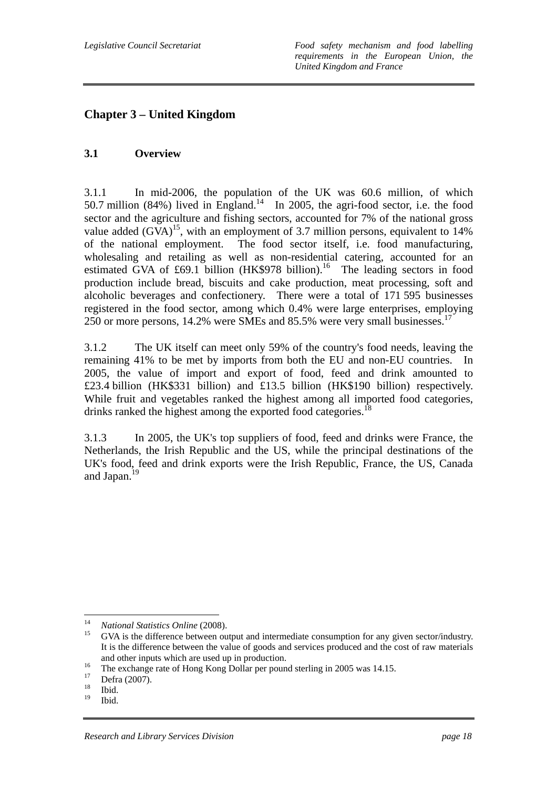## **Chapter 3 – United Kingdom**

## **3.1 Overview**

3.1.1 In mid-2006, the population of the UK was 60.6 million, of which 50.7 million (84%) lived in England.<sup>14</sup> In 2005, the agri-food sector, i.e. the food sector and the agriculture and fishing sectors, accounted for 7% of the national gross value added  $(GVA)^{15}$ , with an employment of 3.7 million persons, equivalent to 14% of the national employment. The food sector itself, i.e. food manufacturing, wholesaling and retailing as well as non-residential catering, accounted for an estimated GVA of £69.1 billion  $(HK$978 billion)<sup>16</sup>$  The leading sectors in food production include bread, biscuits and cake production, meat processing, soft and alcoholic beverages and confectionery. There were a total of 171 595 businesses registered in the food sector, among which 0.4% were large enterprises, employing 250 or more persons, 14.2% were SMEs and 85.5% were very small businesses.17

3.1.2 The UK itself can meet only 59% of the country's food needs, leaving the remaining 41% to be met by imports from both the EU and non-EU countries. In 2005, the value of import and export of food, feed and drink amounted to £23.4 billion (HK\$331 billion) and £13.5 billion (HK\$190 billion) respectively. While fruit and vegetables ranked the highest among all imported food categories, drinks ranked the highest among the exported food categories.<sup>18</sup>

3.1.3 In 2005, the UK's top suppliers of food, feed and drinks were France, the Netherlands, the Irish Republic and the US, while the principal destinations of the UK's food, feed and drink exports were the Irish Republic, France, the US, Canada and Japan.<sup>19</sup>

 $14$ 

<sup>&</sup>lt;sup>14</sup> *National Statistics Online* (2008).<br><sup>15</sup> GVA is the difference between output and intermediate consumption for any given sector/industry. It is the difference between the value of goods and services produced and the cost of raw materials

and other inputs which are used up in production.<br>
<sup>16</sup> The exchange rate of Hong Kong Dollar per pound sterling in 2005 was 14.15.<br>
<sup>17</sup> Defect 2007

 $\frac{17}{18}$  Defra (2007).

 $\frac{18}{19}$  Ibid.

Ibid.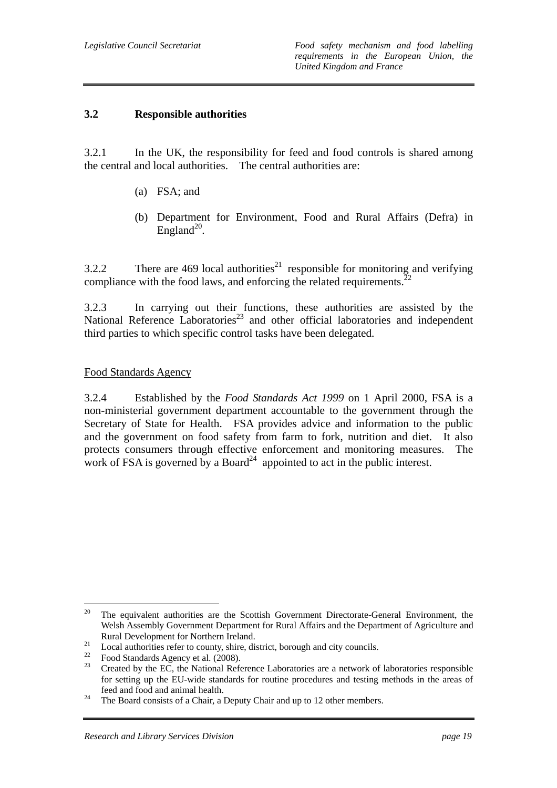### **3.2 Responsible authorities**

3.2.1 In the UK, the responsibility for feed and food controls is shared among the central and local authorities. The central authorities are:

- (a) FSA; and
- (b) Department for Environment, Food and Rural Affairs (Defra) in England<sup>20</sup>.

3.2.2 There are 469 local authorities<sup>21</sup> responsible for monitoring and verifying compliance with the food laws, and enforcing the related requirements.<sup>22</sup>

3.2.3 In carrying out their functions, these authorities are assisted by the National Reference Laboratories<sup>23</sup> and other official laboratories and independent third parties to which specific control tasks have been delegated.

#### Food Standards Agency

3.2.4 Established by the *Food Standards Act 1999* on 1 April 2000, FSA is a non-ministerial government department accountable to the government through the Secretary of State for Health. FSA provides advice and information to the public and the government on food safety from farm to fork, nutrition and diet. It also protects consumers through effective enforcement and monitoring measures. The work of FSA is governed by a Board<sup>24</sup> appointed to act in the public interest.

<sup>20</sup> 20 The equivalent authorities are the Scottish Government Directorate-General Environment, the Welsh Assembly Government Department for Rural Affairs and the Department of Agriculture and

Rural Development for Northern Ireland.<br>
Local authorities refer to county, shire, district, borough and city councils.<br>
<sup>22</sup>

 $^{22}$  Food Standards Agency et al. (2008).

Created by the EC, the National Reference Laboratories are a network of laboratories responsible for setting up the EU-wide standards for routine procedures and testing methods in the areas of feed and food and animal health. 24 The Board consists of a Chair, a Deputy Chair and up to 12 other members.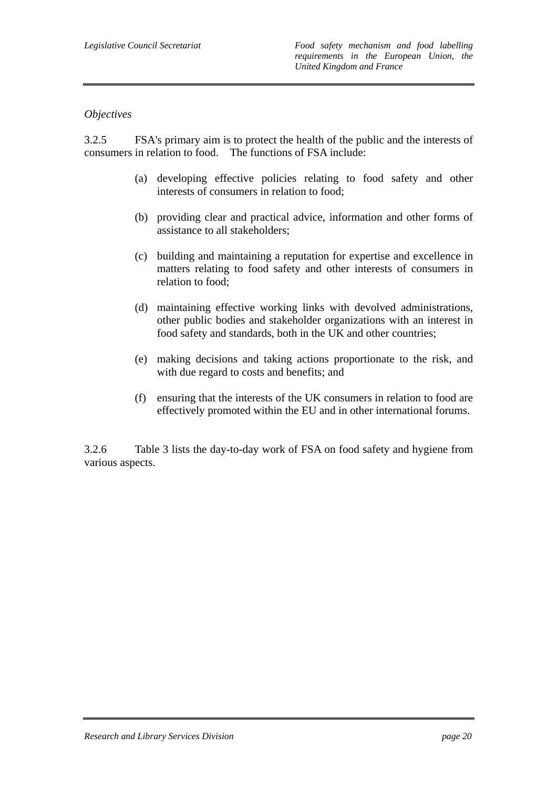#### *Objectives*

3.2.5 FSA's primary aim is to protect the health of the public and the interests of consumers in relation to food. The functions of FSA include:

- (a) developing effective policies relating to food safety and other interests of consumers in relation to food;
- (b) providing clear and practical advice, information and other forms of assistance to all stakeholders;
- (c) building and maintaining a reputation for expertise and excellence in matters relating to food safety and other interests of consumers in relation to food;
- (d) maintaining effective working links with devolved administrations, other public bodies and stakeholder organizations with an interest in food safety and standards, both in the UK and other countries;
- (e) making decisions and taking actions proportionate to the risk, and with due regard to costs and benefits; and
- (f) ensuring that the interests of the UK consumers in relation to food are effectively promoted within the EU and in other international forums.

3.2.6 Table 3 lists the day-to-day work of FSA on food safety and hygiene from various aspects.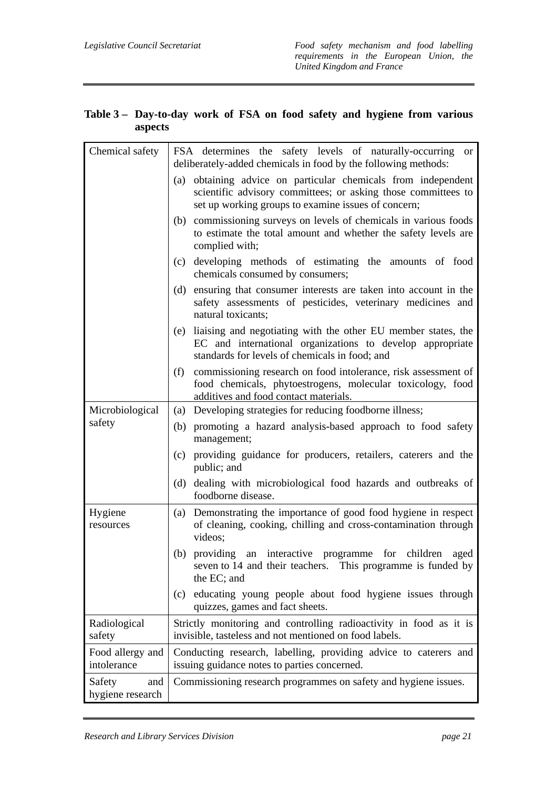| Chemical safety      | FSA determines the safety levels of naturally-occurring<br>or<br>deliberately-added chemicals in food by the following methods:                                                       |
|----------------------|---------------------------------------------------------------------------------------------------------------------------------------------------------------------------------------|
|                      | (a) obtaining advice on particular chemicals from independent<br>scientific advisory committees; or asking those committees to<br>set up working groups to examine issues of concern; |
|                      | (b) commissioning surveys on levels of chemicals in various foods<br>to estimate the total amount and whether the safety levels are<br>complied with;                                 |
|                      | (c) developing methods of estimating the amounts of food<br>chemicals consumed by consumers;                                                                                          |
|                      | ensuring that consumer interests are taken into account in the<br>(d)<br>safety assessments of pesticides, veterinary medicines and<br>natural toxicants;                             |
|                      | liaising and negotiating with the other EU member states, the<br>(e)<br>EC and international organizations to develop appropriate<br>standards for levels of chemicals in food; and   |
|                      | commissioning research on food intolerance, risk assessment of<br>(f)<br>food chemicals, phytoestrogens, molecular toxicology, food<br>additives and food contact materials.          |
| Microbiological      | Developing strategies for reducing foodborne illness;<br>(a)                                                                                                                          |
| safety               | (b) promoting a hazard analysis-based approach to food safety<br>management;                                                                                                          |
|                      | providing guidance for producers, retailers, caterers and the<br>(c)<br>public; and                                                                                                   |
|                      | (d) dealing with microbiological food hazards and outbreaks of<br>foodborne disease.                                                                                                  |
| Hygiene<br>resources | Demonstrating the importance of good food hygiene in respect<br>(a)<br>of cleaning, cooking, chilling and cross-contamination through<br>videos;                                      |
|                      | (b)<br>providing an interactive programme for children<br>aged<br>seven to 14 and their teachers. This programme is funded by<br>the EC; and                                          |
|                      | (c) educating young people about food hygiene issues through<br>quizzes, games and fact sheets.                                                                                       |
| Radiological         | Strictly monitoring and controlling radioactivity in food as it is                                                                                                                    |

invisible, tasteless and not mentioned on food labels.

issuing guidance notes to parties concerned.

Conducting research, labelling, providing advice to caterers and

Commissioning research programmes on safety and hygiene issues.

#### **Table 3 – Day-to-day work of FSA on food safety and hygiene from various aspects**

safety

Food allergy and intolerance

Safety and hygiene research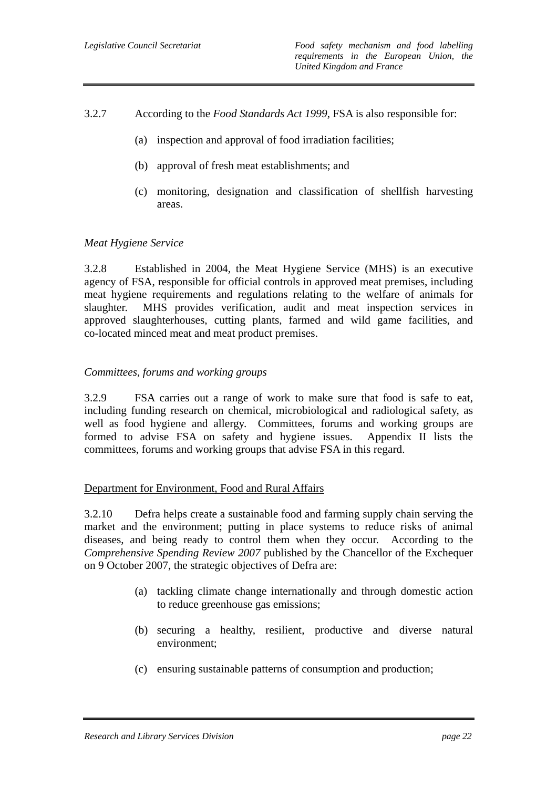- 3.2.7 According to the *Food Standards Act 1999*, FSA is also responsible for:
	- (a) inspection and approval of food irradiation facilities;
	- (b) approval of fresh meat establishments; and
	- (c) monitoring, designation and classification of shellfish harvesting areas.

#### *Meat Hygiene Service*

3.2.8 Established in 2004, the Meat Hygiene Service (MHS) is an executive agency of FSA, responsible for official controls in approved meat premises, including meat hygiene requirements and regulations relating to the welfare of animals for slaughter. MHS provides verification, audit and meat inspection services in approved slaughterhouses, cutting plants, farmed and wild game facilities, and co-located minced meat and meat product premises.

#### *Committees, forums and working groups*

3.2.9 FSA carries out a range of work to make sure that food is safe to eat, including funding research on chemical, microbiological and radiological safety, as well as food hygiene and allergy. Committees, forums and working groups are formed to advise FSA on safety and hygiene issues. Appendix II lists the committees, forums and working groups that advise FSA in this regard.

#### Department for Environment, Food and Rural Affairs

3.2.10 Defra helps create a sustainable food and farming supply chain serving the market and the environment; putting in place systems to reduce risks of animal diseases, and being ready to control them when they occur. According to the *Comprehensive Spending Review 2007* published by the Chancellor of the Exchequer on 9 October 2007, the strategic objectives of Defra are:

- (a) tackling climate change internationally and through domestic action to reduce greenhouse gas emissions;
- (b) securing a healthy, resilient, productive and diverse natural environment;
- (c) ensuring sustainable patterns of consumption and production;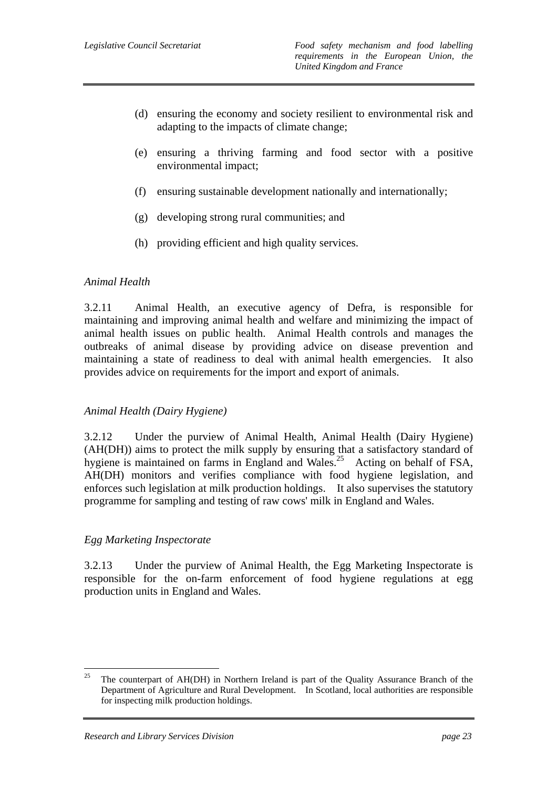- (d) ensuring the economy and society resilient to environmental risk and adapting to the impacts of climate change;
- (e) ensuring a thriving farming and food sector with a positive environmental impact;
- (f) ensuring sustainable development nationally and internationally;
- (g) developing strong rural communities; and
- (h) providing efficient and high quality services.

#### *Animal Health*

3.2.11 Animal Health, an executive agency of Defra, is responsible for maintaining and improving animal health and welfare and minimizing the impact of animal health issues on public health. Animal Health controls and manages the outbreaks of animal disease by providing advice on disease prevention and maintaining a state of readiness to deal with animal health emergencies. It also provides advice on requirements for the import and export of animals.

#### *Animal Health (Dairy Hygiene)*

3.2.12 Under the purview of Animal Health, Animal Health (Dairy Hygiene) (AH(DH)) aims to protect the milk supply by ensuring that a satisfactory standard of hygiene is maintained on farms in England and Wales.<sup>25</sup> Acting on behalf of FSA, AH(DH) monitors and verifies compliance with food hygiene legislation, and enforces such legislation at milk production holdings. It also supervises the statutory programme for sampling and testing of raw cows' milk in England and Wales.

#### *Egg Marketing Inspectorate*

3.2.13 Under the purview of Animal Health, the Egg Marketing Inspectorate is responsible for the on-farm enforcement of food hygiene regulations at egg production units in England and Wales.

<sup>25</sup> 25 The counterpart of AH(DH) in Northern Ireland is part of the Quality Assurance Branch of the Department of Agriculture and Rural Development. In Scotland, local authorities are responsible for inspecting milk production holdings.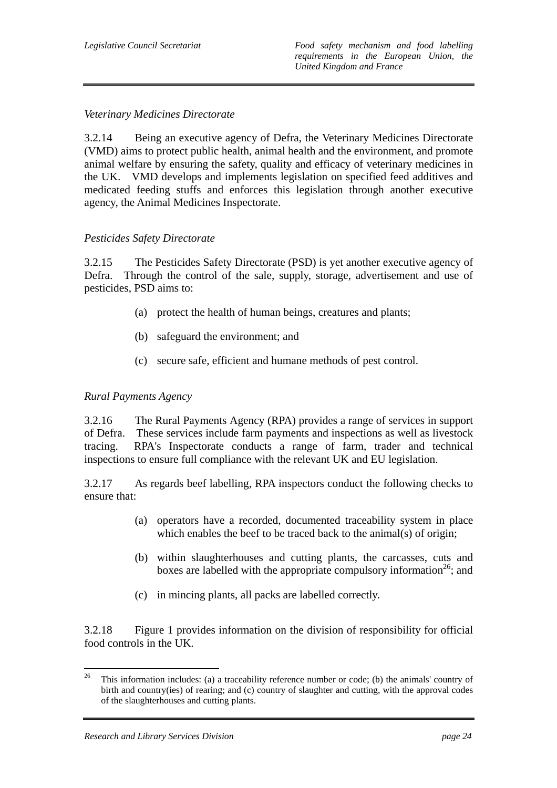## *Veterinary Medicines Directorate*

3.2.14 Being an executive agency of Defra, the Veterinary Medicines Directorate (VMD) aims to protect public health, animal health and the environment, and promote animal welfare by ensuring the safety, quality and efficacy of veterinary medicines in the UK. VMD develops and implements legislation on specified feed additives and medicated feeding stuffs and enforces this legislation through another executive agency, the Animal Medicines Inspectorate.

#### *Pesticides Safety Directorate*

3.2.15 The Pesticides Safety Directorate (PSD) is yet another executive agency of Defra. Through the control of the sale, supply, storage, advertisement and use of pesticides, PSD aims to:

- (a) protect the health of human beings, creatures and plants;
- (b) safeguard the environment; and
- (c) secure safe, efficient and humane methods of pest control.

### *Rural Payments Agency*

3.2.16 The Rural Payments Agency (RPA) provides a range of services in support of Defra. These services include farm payments and inspections as well as livestock tracing. RPA's Inspectorate conducts a range of farm, trader and technical inspections to ensure full compliance with the relevant UK and EU legislation.

3.2.17 As regards beef labelling, RPA inspectors conduct the following checks to ensure that:

- (a) operators have a recorded, documented traceability system in place which enables the beef to be traced back to the animal(s) of origin:
- (b) within slaughterhouses and cutting plants, the carcasses, cuts and boxes are labelled with the appropriate compulsory information<sup>26</sup>; and
- (c) in mincing plants, all packs are labelled correctly.

3.2.18 Figure 1 provides information on the division of responsibility for official food controls in the UK.

<sup>26</sup> 26 This information includes: (a) a traceability reference number or code; (b) the animals' country of birth and country(ies) of rearing; and (c) country of slaughter and cutting, with the approval codes of the slaughterhouses and cutting plants.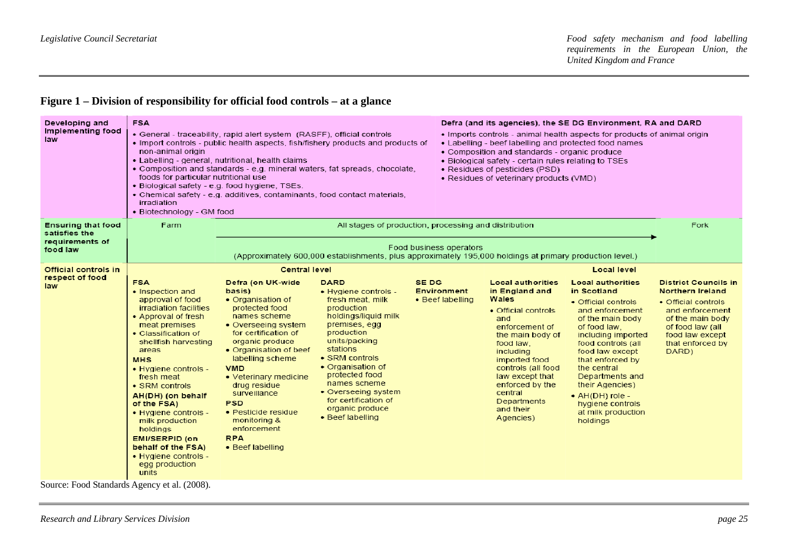## **Figure 1 – Division of responsibility for official food controls – at a glance**

| Developing and<br><b>Implementing food</b><br>law                         | <b>FSA</b><br>non-animal origin<br>foods for particular nutritional use<br>irradiation<br>• Biotechnology - GM food                                                                                                                                                                                                                                                                                                                                                 | • General - traceability, rapid alert system (RASFF), official controls<br>• Import controls - public health aspects, fish/fishery products and products of<br>• Labelling - general, nutritional, health claims<br>. Composition and standards - e.g. mineral waters, fat spreads, chocolate,<br>. Biological safety - e.g. food hygiene, TSEs.<br>• Chemical safety - e.g. additives, contaminants, food contact materials, |                                                                                                                                                                                                                                                                                                                          |                                                 | Defra (and its agencies), the SE DG Environment, RA and DARD<br>. Imports controls - animal health aspects for products of animal origin<br>• Labelling - beef labelling and protected food names<br>• Composition and standards - organic produce<br>• Biological safety - certain rules relating to TSEs<br>• Residues of pesticides (PSD)<br>• Residues of veterinary products (VMD) |                                                                                                                                                                                                                                                                                                                                                                      |                                                                                                                                                                                   |  |
|---------------------------------------------------------------------------|---------------------------------------------------------------------------------------------------------------------------------------------------------------------------------------------------------------------------------------------------------------------------------------------------------------------------------------------------------------------------------------------------------------------------------------------------------------------|-------------------------------------------------------------------------------------------------------------------------------------------------------------------------------------------------------------------------------------------------------------------------------------------------------------------------------------------------------------------------------------------------------------------------------|--------------------------------------------------------------------------------------------------------------------------------------------------------------------------------------------------------------------------------------------------------------------------------------------------------------------------|-------------------------------------------------|-----------------------------------------------------------------------------------------------------------------------------------------------------------------------------------------------------------------------------------------------------------------------------------------------------------------------------------------------------------------------------------------|----------------------------------------------------------------------------------------------------------------------------------------------------------------------------------------------------------------------------------------------------------------------------------------------------------------------------------------------------------------------|-----------------------------------------------------------------------------------------------------------------------------------------------------------------------------------|--|
| <b>Ensuring that food</b><br>satisfies the<br>requirements of<br>food law | Farm                                                                                                                                                                                                                                                                                                                                                                                                                                                                |                                                                                                                                                                                                                                                                                                                                                                                                                               | All stages of production, processing and distribution<br>Food business operators<br>(Approximately 600,000 establishments, plus approximately 195,000 holdings at primary production level.)                                                                                                                             |                                                 |                                                                                                                                                                                                                                                                                                                                                                                         |                                                                                                                                                                                                                                                                                                                                                                      |                                                                                                                                                                                   |  |
| <b>Official controls in</b><br>respect of food<br>law<br>$T = 10, 11k$    | <b>FSA</b><br>• Inspection and<br>approval of food<br>irradiation facilities<br>• Approval of fresh<br>meat premises<br>• Classification of<br>shellfish harvesting<br>areas<br><b>MHS</b><br>• Hygiene controls -<br>fresh meat<br>• SRM controls<br>AH(DH) (on behalf<br>of the FSA)<br>• Hygiene controls -<br>milk production<br>holdings<br><b>EMI/SERPID (on</b><br>behalf of the FSA)<br>$\bullet$ Hygiene controls -<br>egg production<br>units<br>(1.7000) | <b>Central level</b><br>Defra (on UK-wide<br>basis)<br>• Organisation of<br>protected food<br>names scheme<br>• Overseeing system<br>for certification of<br>organic produce<br>• Organisation of beef<br>labelling scheme<br><b>VMD</b><br>• Veterinary medicine<br>drug residue<br>surveillance<br><b>PSD</b><br>• Pesticide residue<br>monitoring &<br>enforcement<br><b>RPA</b><br>• Beef labelling                       | <b>DARD</b><br>• Hygiene controls -<br>fresh meat, milk<br>production<br>holdings/liquid milk<br>premises, egg<br>production<br>units/packing<br>stations<br>• SRM controls<br>• Organisation of<br>protected food<br>names scheme<br>• Overseeing system<br>for certification of<br>organic produce<br>• Beef labelling | SE DG<br><b>Environment</b><br>• Beef labelling | <b>Local authorities</b><br>in England and<br><b>Wales</b><br>• Official controls<br>and<br>enforcement of<br>the main body of<br>food law,<br>including<br>imported food<br>controls (all food<br>law except that<br>enforced by the<br>central<br>Departments<br>and their<br>Agencies)                                                                                               | <b>Local level</b><br><b>Local authorities</b><br>in Scotland<br>• Official controls<br>and enforcement<br>of the main body<br>of food law.<br>including imported<br>food controls (all<br>food law except<br>that enforced by<br>the central<br>Departments and<br>their Agencies)<br>$\bullet$ AH(DH) role -<br>hygiene controls<br>at milk production<br>holdings | <b>District Councils in</b><br>Northern Ireland<br>• Official controls<br>and enforcement<br>of the main body<br>of food law (all<br>food law except<br>that enforced by<br>DARD) |  |

Source: Food Standards Agency et al. (2008).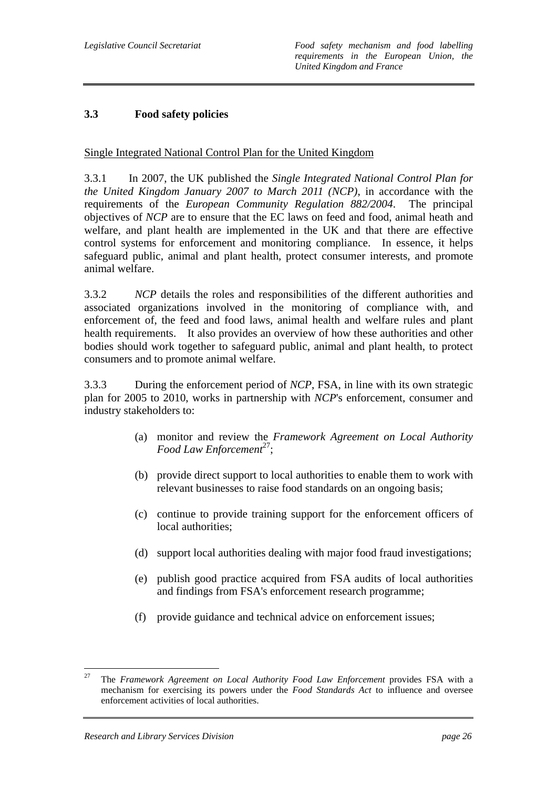## **3.3 Food safety policies**

## Single Integrated National Control Plan for the United Kingdom

3.3.1 In 2007, the UK published the *Single Integrated National Control Plan for the United Kingdom January 2007 to March 2011 (NCP)*, in accordance with the requirements of the *European Community Regulation 882/2004*. The principal objectives of *NCP* are to ensure that the EC laws on feed and food, animal heath and welfare, and plant health are implemented in the UK and that there are effective control systems for enforcement and monitoring compliance. In essence, it helps safeguard public, animal and plant health, protect consumer interests, and promote animal welfare.

3.3.2 *NCP* details the roles and responsibilities of the different authorities and associated organizations involved in the monitoring of compliance with, and enforcement of, the feed and food laws, animal health and welfare rules and plant health requirements. It also provides an overview of how these authorities and other bodies should work together to safeguard public, animal and plant health, to protect consumers and to promote animal welfare.

3.3.3 During the enforcement period of *NCP*, FSA, in line with its own strategic plan for 2005 to 2010, works in partnership with *NCP*'s enforcement, consumer and industry stakeholders to:

- (a) monitor and review the *Framework Agreement on Local Authority Food Law Enforcement*<sup>27</sup>;
- (b) provide direct support to local authorities to enable them to work with relevant businesses to raise food standards on an ongoing basis;
- (c) continue to provide training support for the enforcement officers of local authorities;
- (d) support local authorities dealing with major food fraud investigations;
- (e) publish good practice acquired from FSA audits of local authorities and findings from FSA's enforcement research programme;
- (f) provide guidance and technical advice on enforcement issues;

<sup>27</sup> 27 The *Framework Agreement on Local Authority Food Law Enforcement* provides FSA with a mechanism for exercising its powers under the *Food Standards Act* to influence and oversee enforcement activities of local authorities.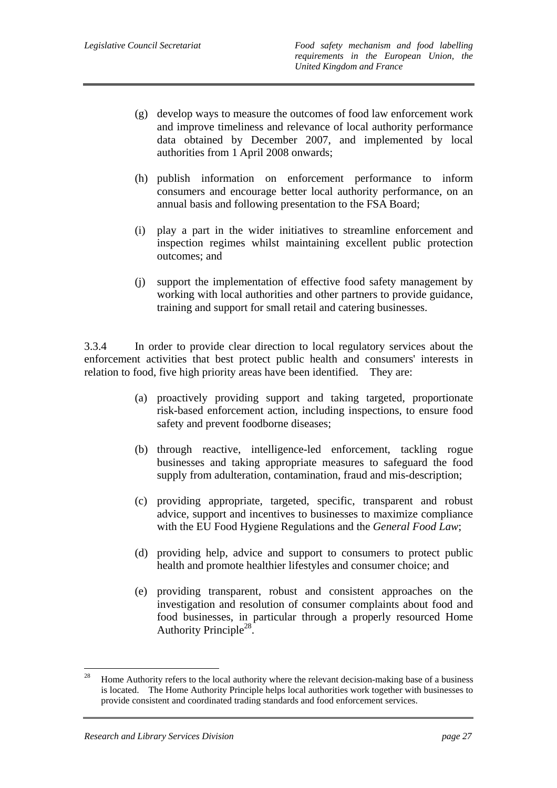- (g) develop ways to measure the outcomes of food law enforcement work and improve timeliness and relevance of local authority performance data obtained by December 2007, and implemented by local authorities from 1 April 2008 onwards;
- (h) publish information on enforcement performance to inform consumers and encourage better local authority performance, on an annual basis and following presentation to the FSA Board;
- (i) play a part in the wider initiatives to streamline enforcement and inspection regimes whilst maintaining excellent public protection outcomes; and
- (j) support the implementation of effective food safety management by working with local authorities and other partners to provide guidance, training and support for small retail and catering businesses.

3.3.4 In order to provide clear direction to local regulatory services about the enforcement activities that best protect public health and consumers' interests in relation to food, five high priority areas have been identified. They are:

- (a) proactively providing support and taking targeted, proportionate risk-based enforcement action, including inspections, to ensure food safety and prevent foodborne diseases;
- (b) through reactive, intelligence-led enforcement, tackling rogue businesses and taking appropriate measures to safeguard the food supply from adulteration, contamination, fraud and mis-description;
- (c) providing appropriate, targeted, specific, transparent and robust advice, support and incentives to businesses to maximize compliance with the EU Food Hygiene Regulations and the *General Food Law*;
- (d) providing help, advice and support to consumers to protect public health and promote healthier lifestyles and consumer choice; and
- (e) providing transparent, robust and consistent approaches on the investigation and resolution of consumer complaints about food and food businesses, in particular through a properly resourced Home Authority Principle<sup>28</sup>.

<sup>28</sup> 28 Home Authority refers to the local authority where the relevant decision-making base of a business is located. The Home Authority Principle helps local authorities work together with businesses to provide consistent and coordinated trading standards and food enforcement services.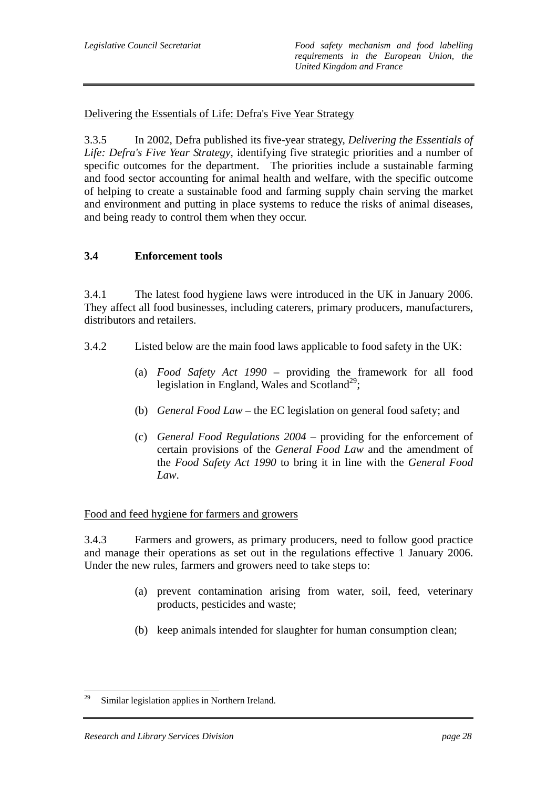Delivering the Essentials of Life: Defra's Five Year Strategy

3.3.5 In 2002, Defra published its five-year strategy, *Delivering the Essentials of Life: Defra's Five Year Strategy*, identifying five strategic priorities and a number of specific outcomes for the department. The priorities include a sustainable farming and food sector accounting for animal health and welfare, with the specific outcome of helping to create a sustainable food and farming supply chain serving the market and environment and putting in place systems to reduce the risks of animal diseases, and being ready to control them when they occur.

#### **3.4 Enforcement tools**

3.4.1 The latest food hygiene laws were introduced in the UK in January 2006. They affect all food businesses, including caterers, primary producers, manufacturers, distributors and retailers.

- 3.4.2 Listed below are the main food laws applicable to food safety in the UK:
	- (a) *Food Safety Act 1990* providing the framework for all food legislation in England, Wales and Scotland<sup>29</sup>;
	- (b) *General Food Law* the EC legislation on general food safety; and
	- (c) *General Food Regulations 2004* providing for the enforcement of certain provisions of the *General Food Law* and the amendment of the *Food Safety Act 1990* to bring it in line with the *General Food Law*.

#### Food and feed hygiene for farmers and growers

3.4.3 Farmers and growers, as primary producers, need to follow good practice and manage their operations as set out in the regulations effective 1 January 2006. Under the new rules, farmers and growers need to take steps to:

- (a) prevent contamination arising from water, soil, feed, veterinary products, pesticides and waste;
- (b) keep animals intended for slaughter for human consumption clean;

<sup>29</sup> Similar legislation applies in Northern Ireland.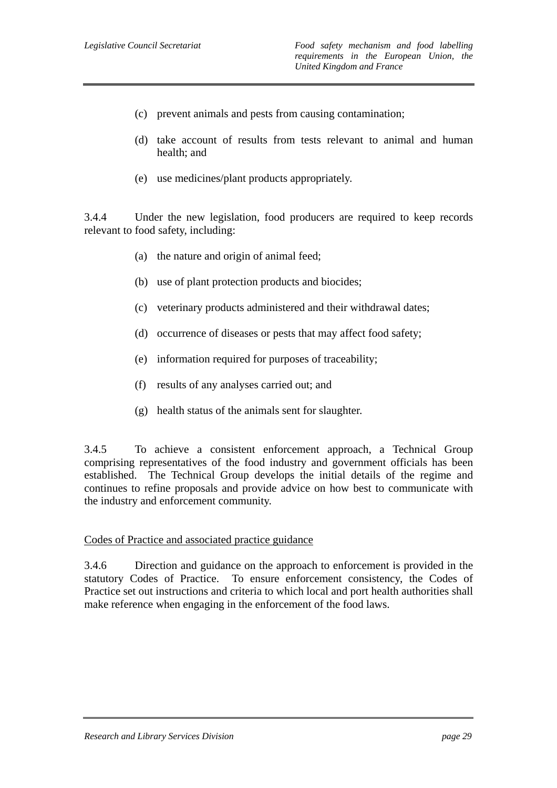- (c) prevent animals and pests from causing contamination;
- (d) take account of results from tests relevant to animal and human health; and
- (e) use medicines/plant products appropriately.

3.4.4 Under the new legislation, food producers are required to keep records relevant to food safety, including:

- (a) the nature and origin of animal feed;
- (b) use of plant protection products and biocides;
- (c) veterinary products administered and their withdrawal dates;
- (d) occurrence of diseases or pests that may affect food safety;
- (e) information required for purposes of traceability;
- (f) results of any analyses carried out; and
- (g) health status of the animals sent for slaughter.

3.4.5 To achieve a consistent enforcement approach, a Technical Group comprising representatives of the food industry and government officials has been established. The Technical Group develops the initial details of the regime and continues to refine proposals and provide advice on how best to communicate with the industry and enforcement community.

#### Codes of Practice and associated practice guidance

3.4.6 Direction and guidance on the approach to enforcement is provided in the statutory Codes of Practice. To ensure enforcement consistency, the Codes of Practice set out instructions and criteria to which local and port health authorities shall make reference when engaging in the enforcement of the food laws.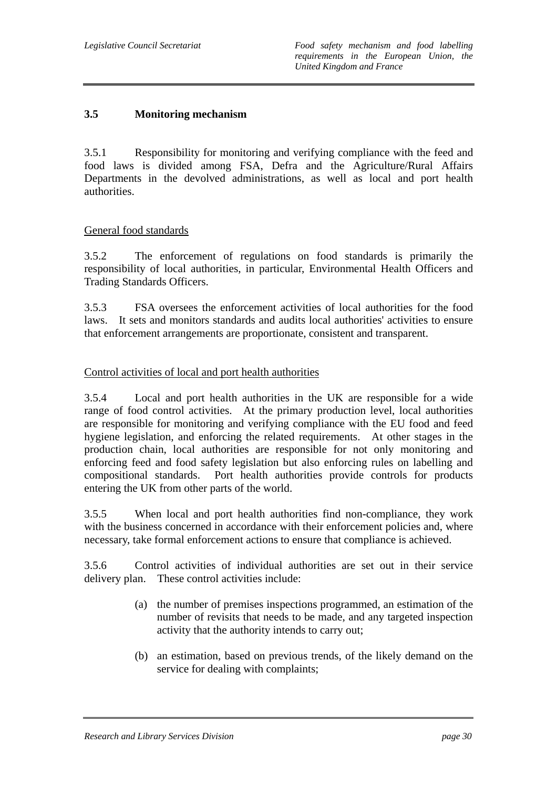## **3.5 Monitoring mechanism**

3.5.1 Responsibility for monitoring and verifying compliance with the feed and food laws is divided among FSA, Defra and the Agriculture/Rural Affairs Departments in the devolved administrations, as well as local and port health authorities.

## General food standards

3.5.2 The enforcement of regulations on food standards is primarily the responsibility of local authorities, in particular, Environmental Health Officers and Trading Standards Officers.

3.5.3 FSA oversees the enforcement activities of local authorities for the food laws. It sets and monitors standards and audits local authorities' activities to ensure that enforcement arrangements are proportionate, consistent and transparent.

## Control activities of local and port health authorities

3.5.4 Local and port health authorities in the UK are responsible for a wide range of food control activities. At the primary production level, local authorities are responsible for monitoring and verifying compliance with the EU food and feed hygiene legislation, and enforcing the related requirements. At other stages in the production chain, local authorities are responsible for not only monitoring and enforcing feed and food safety legislation but also enforcing rules on labelling and compositional standards. Port health authorities provide controls for products entering the UK from other parts of the world.

3.5.5 When local and port health authorities find non-compliance, they work with the business concerned in accordance with their enforcement policies and, where necessary, take formal enforcement actions to ensure that compliance is achieved.

3.5.6 Control activities of individual authorities are set out in their service delivery plan. These control activities include:

- (a) the number of premises inspections programmed, an estimation of the number of revisits that needs to be made, and any targeted inspection activity that the authority intends to carry out;
- (b) an estimation, based on previous trends, of the likely demand on the service for dealing with complaints;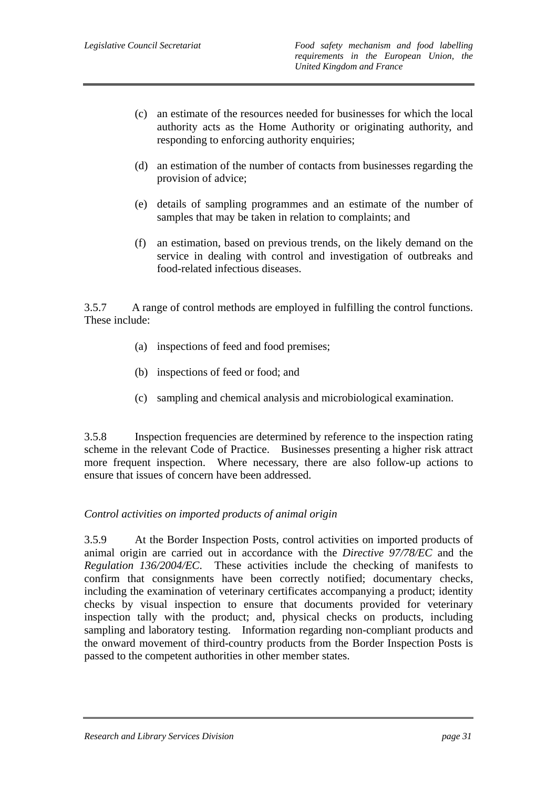- (c) an estimate of the resources needed for businesses for which the local authority acts as the Home Authority or originating authority, and responding to enforcing authority enquiries;
- (d) an estimation of the number of contacts from businesses regarding the provision of advice;
- (e) details of sampling programmes and an estimate of the number of samples that may be taken in relation to complaints; and
- (f) an estimation, based on previous trends, on the likely demand on the service in dealing with control and investigation of outbreaks and food-related infectious diseases.

3.5.7 A range of control methods are employed in fulfilling the control functions. These include:

- (a) inspections of feed and food premises;
- (b) inspections of feed or food; and
- (c) sampling and chemical analysis and microbiological examination.

3.5.8 Inspection frequencies are determined by reference to the inspection rating scheme in the relevant Code of Practice. Businesses presenting a higher risk attract more frequent inspection. Where necessary, there are also follow-up actions to ensure that issues of concern have been addressed.

#### *Control activities on imported products of animal origin*

3.5.9 At the Border Inspection Posts, control activities on imported products of animal origin are carried out in accordance with the *Directive 97/78/EC* and the *Regulation 136/2004/EC*. These activities include the checking of manifests to confirm that consignments have been correctly notified; documentary checks, including the examination of veterinary certificates accompanying a product; identity checks by visual inspection to ensure that documents provided for veterinary inspection tally with the product; and, physical checks on products, including sampling and laboratory testing. Information regarding non-compliant products and the onward movement of third-country products from the Border Inspection Posts is passed to the competent authorities in other member states.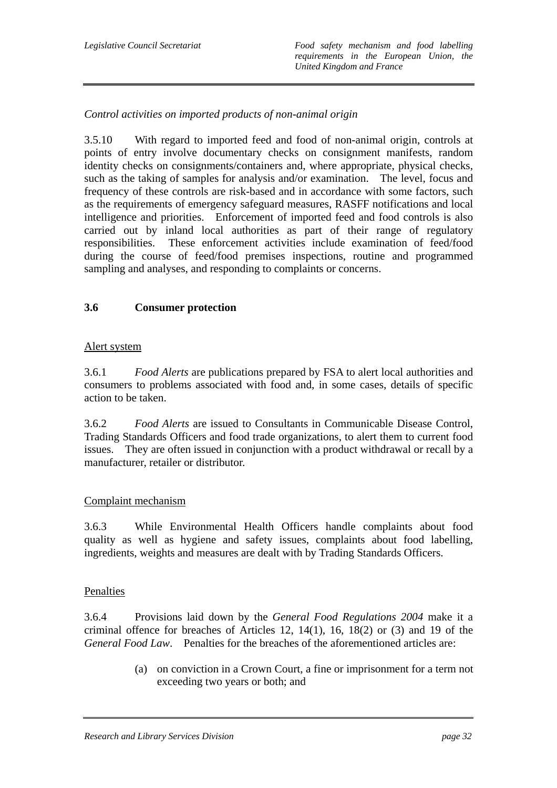## *Control activities on imported products of non-animal origin*

3.5.10 With regard to imported feed and food of non-animal origin, controls at points of entry involve documentary checks on consignment manifests, random identity checks on consignments/containers and, where appropriate, physical checks, such as the taking of samples for analysis and/or examination. The level, focus and frequency of these controls are risk-based and in accordance with some factors, such as the requirements of emergency safeguard measures, RASFF notifications and local intelligence and priorities. Enforcement of imported feed and food controls is also carried out by inland local authorities as part of their range of regulatory responsibilities. These enforcement activities include examination of feed/food during the course of feed/food premises inspections, routine and programmed sampling and analyses, and responding to complaints or concerns.

## **3.6 Consumer protection**

### Alert system

3.6.1 *Food Alerts* are publications prepared by FSA to alert local authorities and consumers to problems associated with food and, in some cases, details of specific action to be taken.

3.6.2 *Food Alerts* are issued to Consultants in Communicable Disease Control, Trading Standards Officers and food trade organizations, to alert them to current food issues. They are often issued in conjunction with a product withdrawal or recall by a manufacturer, retailer or distributor.

## Complaint mechanism

3.6.3 While Environmental Health Officers handle complaints about food quality as well as hygiene and safety issues, complaints about food labelling, ingredients, weights and measures are dealt with by Trading Standards Officers.

#### Penalties

3.6.4 Provisions laid down by the *General Food Regulations 2004* make it a criminal offence for breaches of Articles 12, 14(1), 16, 18(2) or (3) and 19 of the *General Food Law*. Penalties for the breaches of the aforementioned articles are:

> (a) on conviction in a Crown Court, a fine or imprisonment for a term not exceeding two years or both; and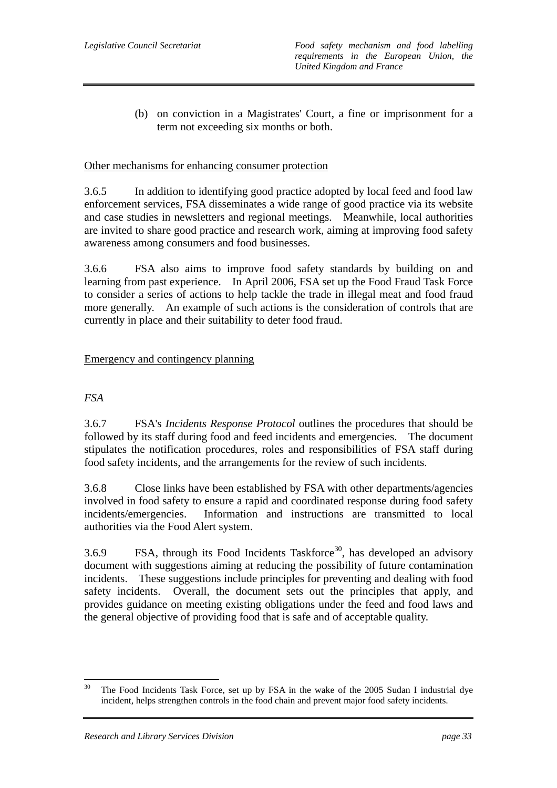(b) on conviction in a Magistrates' Court, a fine or imprisonment for a term not exceeding six months or both.

### Other mechanisms for enhancing consumer protection

3.6.5 In addition to identifying good practice adopted by local feed and food law enforcement services, FSA disseminates a wide range of good practice via its website and case studies in newsletters and regional meetings. Meanwhile, local authorities are invited to share good practice and research work, aiming at improving food safety awareness among consumers and food businesses.

3.6.6 FSA also aims to improve food safety standards by building on and learning from past experience. In April 2006, FSA set up the Food Fraud Task Force to consider a series of actions to help tackle the trade in illegal meat and food fraud more generally. An example of such actions is the consideration of controls that are currently in place and their suitability to deter food fraud.

## Emergency and contingency planning

## *FSA*

3.6.7 FSA's *Incidents Response Protocol* outlines the procedures that should be followed by its staff during food and feed incidents and emergencies. The document stipulates the notification procedures, roles and responsibilities of FSA staff during food safety incidents, and the arrangements for the review of such incidents.

3.6.8 Close links have been established by FSA with other departments/agencies involved in food safety to ensure a rapid and coordinated response during food safety incidents/emergencies. Information and instructions are transmitted to local authorities via the Food Alert system.

 $3.6.9$  FSA, through its Food Incidents Taskforce<sup>30</sup>, has developed an advisory document with suggestions aiming at reducing the possibility of future contamination incidents. These suggestions include principles for preventing and dealing with food safety incidents. Overall, the document sets out the principles that apply, and provides guidance on meeting existing obligations under the feed and food laws and the general objective of providing food that is safe and of acceptable quality.

 $30<sup>°</sup>$ The Food Incidents Task Force, set up by FSA in the wake of the 2005 Sudan I industrial dye incident, helps strengthen controls in the food chain and prevent major food safety incidents.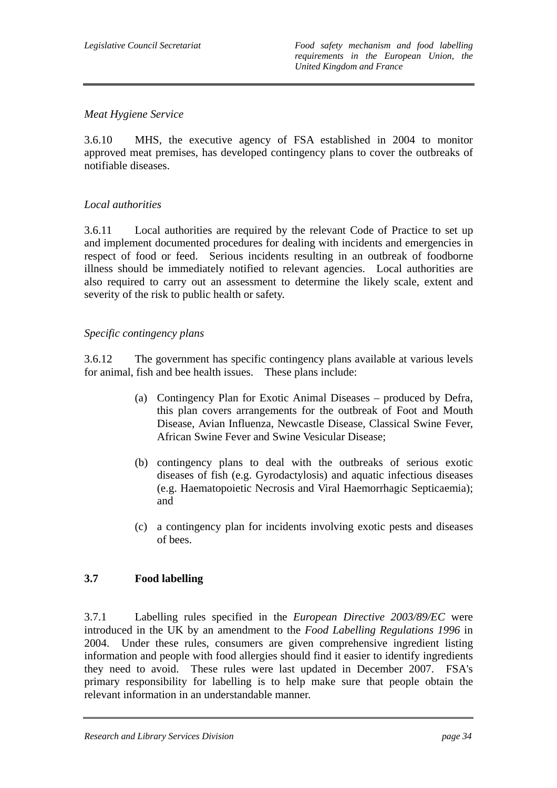## *Meat Hygiene Service*

3.6.10 MHS, the executive agency of FSA established in 2004 to monitor approved meat premises, has developed contingency plans to cover the outbreaks of notifiable diseases.

## *Local authorities*

3.6.11 Local authorities are required by the relevant Code of Practice to set up and implement documented procedures for dealing with incidents and emergencies in respect of food or feed. Serious incidents resulting in an outbreak of foodborne illness should be immediately notified to relevant agencies. Local authorities are also required to carry out an assessment to determine the likely scale, extent and severity of the risk to public health or safety.

## *Specific contingency plans*

3.6.12 The government has specific contingency plans available at various levels for animal, fish and bee health issues. These plans include:

- (a) Contingency Plan for Exotic Animal Diseases produced by Defra, this plan covers arrangements for the outbreak of Foot and Mouth Disease, Avian Influenza, Newcastle Disease, Classical Swine Fever, African Swine Fever and Swine Vesicular Disease;
- (b) contingency plans to deal with the outbreaks of serious exotic diseases of fish (e.g. Gyrodactylosis) and aquatic infectious diseases (e.g. Haematopoietic Necrosis and Viral Haemorrhagic Septicaemia); and
- (c) a contingency plan for incidents involving exotic pests and diseases of bees.

# **3.7 Food labelling**

3.7.1 Labelling rules specified in the *European Directive 2003/89/EC* were introduced in the UK by an amendment to the *Food Labelling Regulations 1996* in 2004. Under these rules, consumers are given comprehensive ingredient listing information and people with food allergies should find it easier to identify ingredients they need to avoid. These rules were last updated in December 2007. FSA's primary responsibility for labelling is to help make sure that people obtain the relevant information in an understandable manner.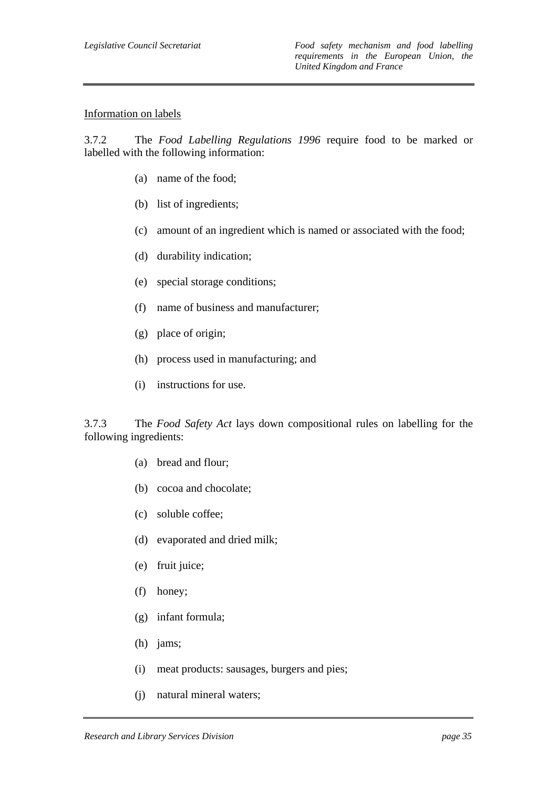#### Information on labels

3.7.2 The *Food Labelling Regulations 1996* require food to be marked or labelled with the following information:

- (a) name of the food;
- (b) list of ingredients;
- (c) amount of an ingredient which is named or associated with the food;
- (d) durability indication;
- (e) special storage conditions;
- (f) name of business and manufacturer;
- (g) place of origin;
- (h) process used in manufacturing; and
- (i) instructions for use.

3.7.3 The *Food Safety Act* lays down compositional rules on labelling for the following ingredients:

- (a) bread and flour;
- (b) cocoa and chocolate;
- (c) soluble coffee;
- (d) evaporated and dried milk;
- (e) fruit juice;
- (f) honey;
- (g) infant formula;
- (h) jams;
- (i) meat products: sausages, burgers and pies;
- (j) natural mineral waters;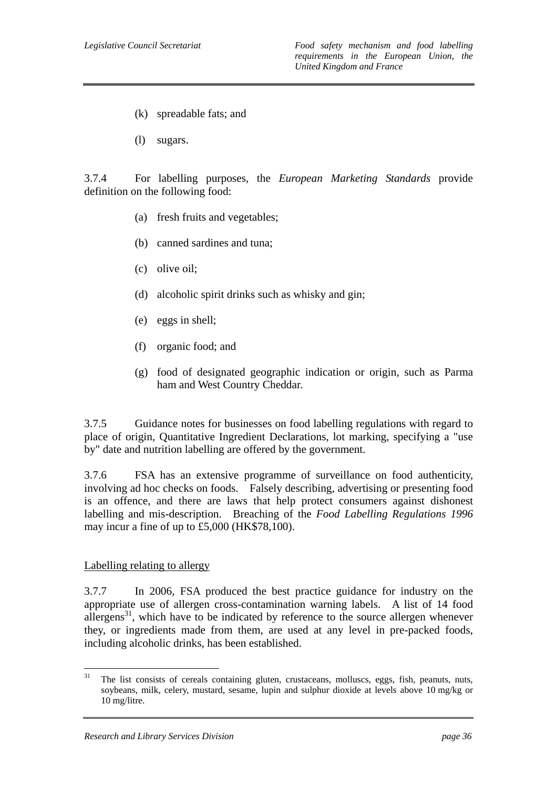- (k) spreadable fats; and
- (l) sugars.

3.7.4 For labelling purposes, the *European Marketing Standards* provide definition on the following food:

- (a) fresh fruits and vegetables;
- (b) canned sardines and tuna;
- (c) olive oil;
- (d) alcoholic spirit drinks such as whisky and gin;
- (e) eggs in shell;
- (f) organic food; and
- (g) food of designated geographic indication or origin, such as Parma ham and West Country Cheddar.

3.7.5 Guidance notes for businesses on food labelling regulations with regard to place of origin, Quantitative Ingredient Declarations, lot marking, specifying a "use by" date and nutrition labelling are offered by the government.

3.7.6 FSA has an extensive programme of surveillance on food authenticity, involving ad hoc checks on foods. Falsely describing, advertising or presenting food is an offence, and there are laws that help protect consumers against dishonest labelling and mis-description. Breaching of the *Food Labelling Regulations 1996* may incur a fine of up to £5,000 (HK\$78,100).

#### Labelling relating to allergy

3.7.7 In 2006, FSA produced the best practice guidance for industry on the appropriate use of allergen cross-contamination warning labels. A list of 14 food allergens<sup>31</sup>, which have to be indicated by reference to the source allergen whenever they, or ingredients made from them, are used at any level in pre-packed foods, including alcoholic drinks, has been established.

 $31\,$ The list consists of cereals containing gluten, crustaceans, molluscs, eggs, fish, peanuts, nuts, soybeans, milk, celery, mustard, sesame, lupin and sulphur dioxide at levels above 10 mg/kg or 10 mg/litre.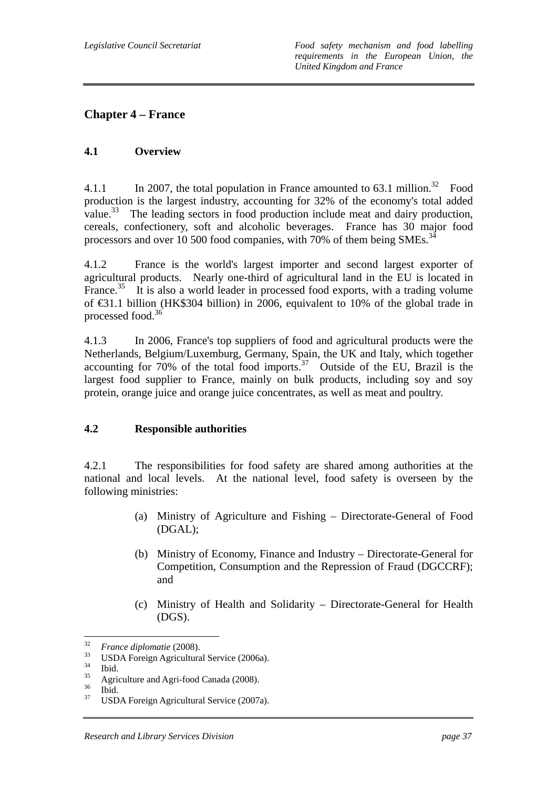# **Chapter 4 – France**

## **4.1 Overview**

4.1.1 In 2007, the total population in France amounted to  $63.1$  million.<sup>32</sup> Food production is the largest industry, accounting for 32% of the economy's total added value.<sup>33</sup> The leading sectors in food production include meat and dairy production, cereals, confectionery, soft and alcoholic beverages. France has 30 major food processors and over 10 500 food companies, with 70% of them being SMEs.<sup>34</sup>

4.1.2 France is the world's largest importer and second largest exporter of agricultural products. Nearly one-third of agricultural land in the EU is located in France.<sup>35</sup> It is also a world leader in processed food exports, with a trading volume of €31.1 billion (HK\$304 billion) in 2006, equivalent to 10% of the global trade in processed food.<sup>36</sup>

4.1.3 In 2006, France's top suppliers of food and agricultural products were the Netherlands, Belgium/Luxemburg, Germany, Spain, the UK and Italy, which together  $\alpha$  accounting for 70% of the total food imports.<sup>37</sup> Outside of the EU, Brazil is the largest food supplier to France, mainly on bulk products, including soy and soy protein, orange juice and orange juice concentrates, as well as meat and poultry.

## **4.2 Responsible authorities**

4.2.1 The responsibilities for food safety are shared among authorities at the national and local levels. At the national level, food safety is overseen by the following ministries:

- (a) Ministry of Agriculture and Fishing Directorate-General of Food (DGAL);
- (b) Ministry of Economy, Finance and Industry Directorate-General for Competition, Consumption and the Repression of Fraud (DGCCRF); and
- (c) Ministry of Health and Solidarity Directorate-General for Health (DGS).

 $32<sub>1</sub>$ 

<sup>&</sup>lt;sup>32</sup> *France diplomatie* (2008).<br><sup>33</sup> USDA Foreign Agricultural Service (2006a).

 $rac{34}{35}$  Ibid.

 $^{35}$  Agriculture and Agri-food Canada (2008).

 $rac{36}{37}$  Ibid.

<sup>37</sup> USDA Foreign Agricultural Service (2007a).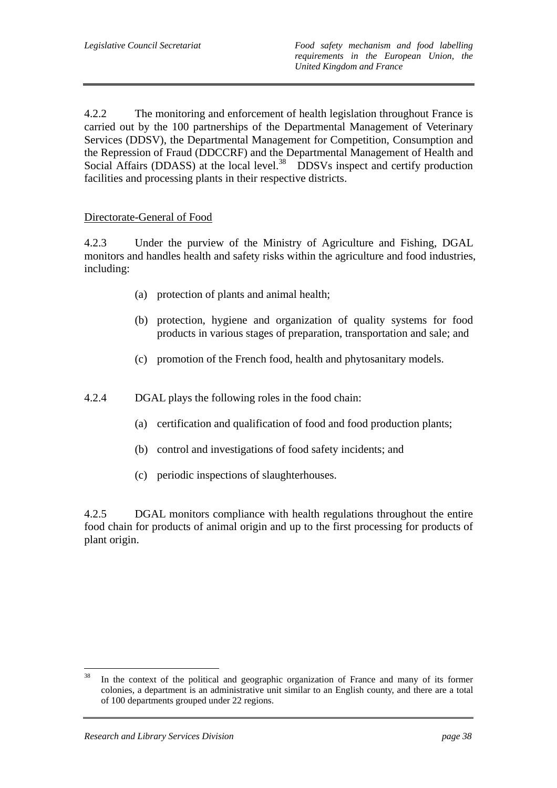4.2.2 The monitoring and enforcement of health legislation throughout France is carried out by the 100 partnerships of the Departmental Management of Veterinary Services (DDSV), the Departmental Management for Competition, Consumption and the Repression of Fraud (DDCCRF) and the Departmental Management of Health and Social Affairs (DDASS) at the local level.<sup>38</sup> DDSVs inspect and certify production facilities and processing plants in their respective districts.

### Directorate-General of Food

4.2.3 Under the purview of the Ministry of Agriculture and Fishing, DGAL monitors and handles health and safety risks within the agriculture and food industries, including:

- (a) protection of plants and animal health;
- (b) protection, hygiene and organization of quality systems for food products in various stages of preparation, transportation and sale; and
- (c) promotion of the French food, health and phytosanitary models.
- 4.2.4 DGAL plays the following roles in the food chain:
	- (a) certification and qualification of food and food production plants;
	- (b) control and investigations of food safety incidents; and
	- (c) periodic inspections of slaughterhouses.

4.2.5 DGAL monitors compliance with health regulations throughout the entire food chain for products of animal origin and up to the first processing for products of plant origin.

<sup>38</sup> In the context of the political and geographic organization of France and many of its former colonies, a department is an administrative unit similar to an English county, and there are a total of 100 departments grouped under 22 regions.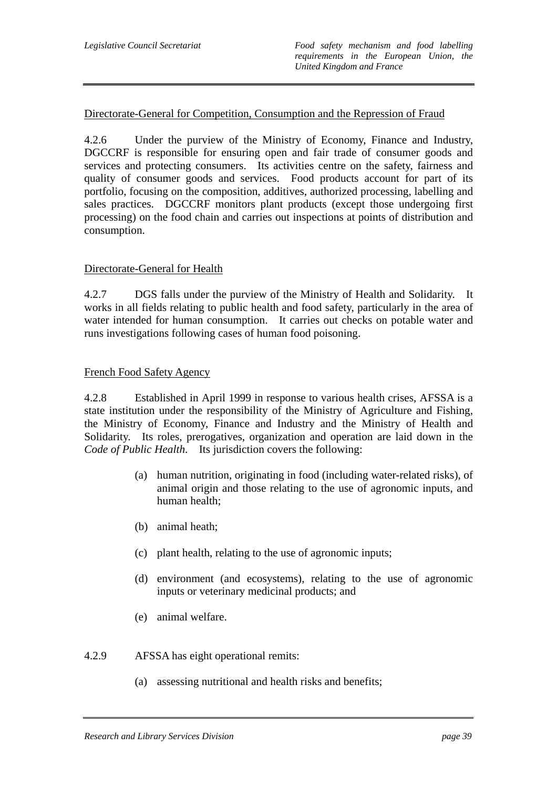## Directorate-General for Competition, Consumption and the Repression of Fraud

4.2.6 Under the purview of the Ministry of Economy, Finance and Industry, DGCCRF is responsible for ensuring open and fair trade of consumer goods and services and protecting consumers. Its activities centre on the safety, fairness and quality of consumer goods and services. Food products account for part of its portfolio, focusing on the composition, additives, authorized processing, labelling and sales practices. DGCCRF monitors plant products (except those undergoing first processing) on the food chain and carries out inspections at points of distribution and consumption.

### Directorate-General for Health

4.2.7 DGS falls under the purview of the Ministry of Health and Solidarity. It works in all fields relating to public health and food safety, particularly in the area of water intended for human consumption. It carries out checks on potable water and runs investigations following cases of human food poisoning.

### French Food Safety Agency

4.2.8 Established in April 1999 in response to various health crises, AFSSA is a state institution under the responsibility of the Ministry of Agriculture and Fishing, the Ministry of Economy, Finance and Industry and the Ministry of Health and Solidarity. Its roles, prerogatives, organization and operation are laid down in the *Code of Public Health*. Its jurisdiction covers the following:

- (a) human nutrition, originating in food (including water-related risks), of animal origin and those relating to the use of agronomic inputs, and human health;
- (b) animal heath;
- (c) plant health, relating to the use of agronomic inputs;
- (d) environment (and ecosystems), relating to the use of agronomic inputs or veterinary medicinal products; and
- (e) animal welfare.
- 4.2.9 AFSSA has eight operational remits:
	- (a) assessing nutritional and health risks and benefits;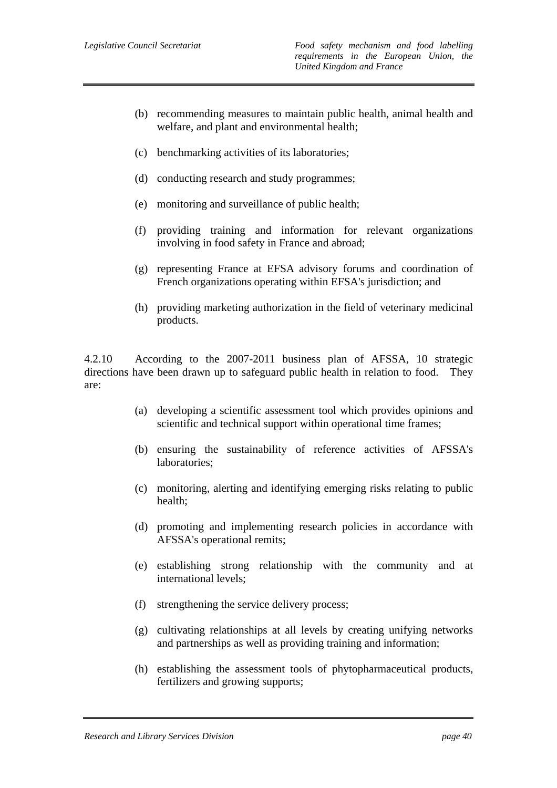- (b) recommending measures to maintain public health, animal health and welfare, and plant and environmental health;
- (c) benchmarking activities of its laboratories;
- (d) conducting research and study programmes;
- (e) monitoring and surveillance of public health;
- (f) providing training and information for relevant organizations involving in food safety in France and abroad;
- (g) representing France at EFSA advisory forums and coordination of French organizations operating within EFSA's jurisdiction; and
- (h) providing marketing authorization in the field of veterinary medicinal products.

4.2.10 According to the 2007-2011 business plan of AFSSA, 10 strategic directions have been drawn up to safeguard public health in relation to food. They are:

- (a) developing a scientific assessment tool which provides opinions and scientific and technical support within operational time frames;
- (b) ensuring the sustainability of reference activities of AFSSA's laboratories;
- (c) monitoring, alerting and identifying emerging risks relating to public health;
- (d) promoting and implementing research policies in accordance with AFSSA's operational remits;
- (e) establishing strong relationship with the community and at international levels;
- (f) strengthening the service delivery process;
- (g) cultivating relationships at all levels by creating unifying networks and partnerships as well as providing training and information;
- (h) establishing the assessment tools of phytopharmaceutical products, fertilizers and growing supports;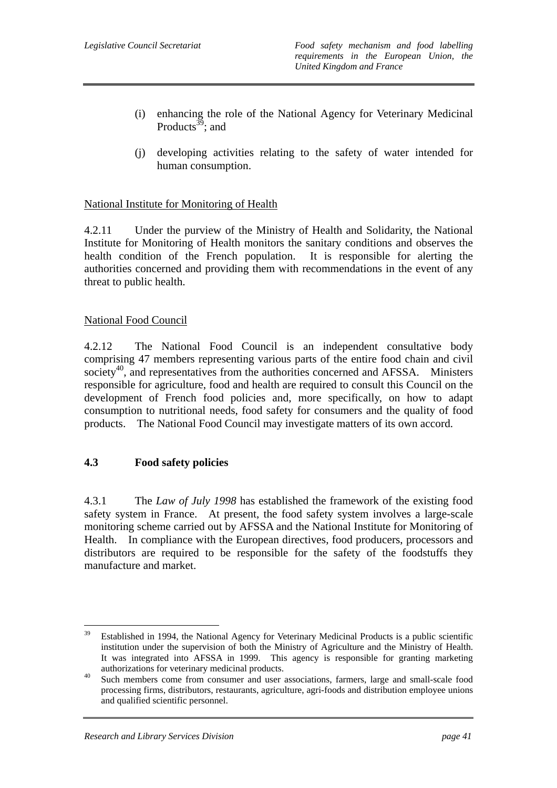- (i) enhancing the role of the National Agency for Veterinary Medicinal Products<sup>39</sup>; and
- (j) developing activities relating to the safety of water intended for human consumption.

## National Institute for Monitoring of Health

4.2.11 Under the purview of the Ministry of Health and Solidarity, the National Institute for Monitoring of Health monitors the sanitary conditions and observes the health condition of the French population. It is responsible for alerting the authorities concerned and providing them with recommendations in the event of any threat to public health.

### National Food Council

4.2.12 The National Food Council is an independent consultative body comprising 47 members representing various parts of the entire food chain and civil society<sup>40</sup>, and representatives from the authorities concerned and AFSSA. Ministers responsible for agriculture, food and health are required to consult this Council on the development of French food policies and, more specifically, on how to adapt consumption to nutritional needs, food safety for consumers and the quality of food products. The National Food Council may investigate matters of its own accord.

## **4.3 Food safety policies**

4.3.1 The *Law of July 1998* has established the framework of the existing food safety system in France. At present, the food safety system involves a large-scale monitoring scheme carried out by AFSSA and the National Institute for Monitoring of Health. In compliance with the European directives, food producers, processors and distributors are required to be responsible for the safety of the foodstuffs they manufacture and market.

<sup>39</sup> Established in 1994, the National Agency for Veterinary Medicinal Products is a public scientific institution under the supervision of both the Ministry of Agriculture and the Ministry of Health. It was integrated into AFSSA in 1999. This agency is responsible for granting marketing

authorizations for veterinary medicinal products.<br><sup>40</sup> Such members come from consumer and user associations, farmers, large and small-scale food processing firms, distributors, restaurants, agriculture, agri-foods and distribution employee unions and qualified scientific personnel.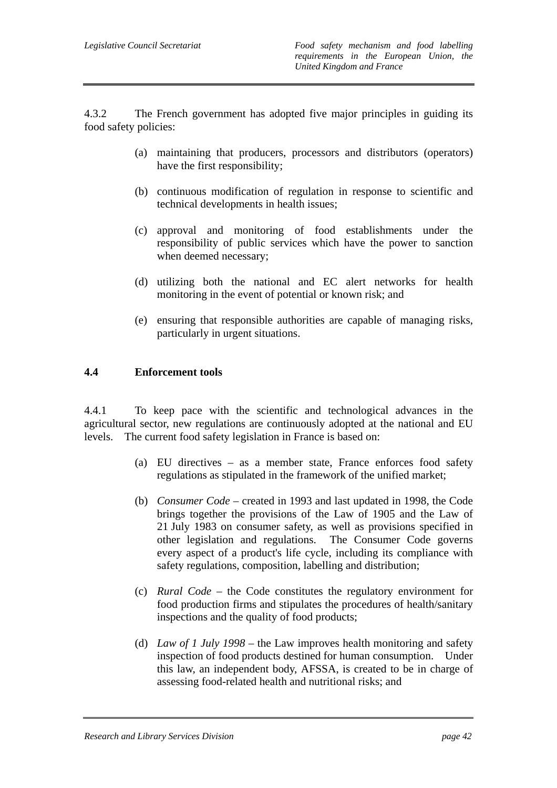4.3.2 The French government has adopted five major principles in guiding its food safety policies:

- (a) maintaining that producers, processors and distributors (operators) have the first responsibility;
- (b) continuous modification of regulation in response to scientific and technical developments in health issues;
- (c) approval and monitoring of food establishments under the responsibility of public services which have the power to sanction when deemed necessary;
- (d) utilizing both the national and EC alert networks for health monitoring in the event of potential or known risk; and
- (e) ensuring that responsible authorities are capable of managing risks, particularly in urgent situations.

## **4.4 Enforcement tools**

4.4.1 To keep pace with the scientific and technological advances in the agricultural sector, new regulations are continuously adopted at the national and EU levels. The current food safety legislation in France is based on:

- (a) EU directives as a member state, France enforces food safety regulations as stipulated in the framework of the unified market;
- (b) *Consumer Code* created in 1993 and last updated in 1998, the Code brings together the provisions of the Law of 1905 and the Law of 21 July 1983 on consumer safety, as well as provisions specified in other legislation and regulations. The Consumer Code governs every aspect of a product's life cycle, including its compliance with safety regulations, composition, labelling and distribution;
- (c) *Rural Code* the Code constitutes the regulatory environment for food production firms and stipulates the procedures of health/sanitary inspections and the quality of food products;
- (d) *Law of 1 July 1998* the Law improves health monitoring and safety inspection of food products destined for human consumption. Under this law, an independent body, AFSSA, is created to be in charge of assessing food-related health and nutritional risks; and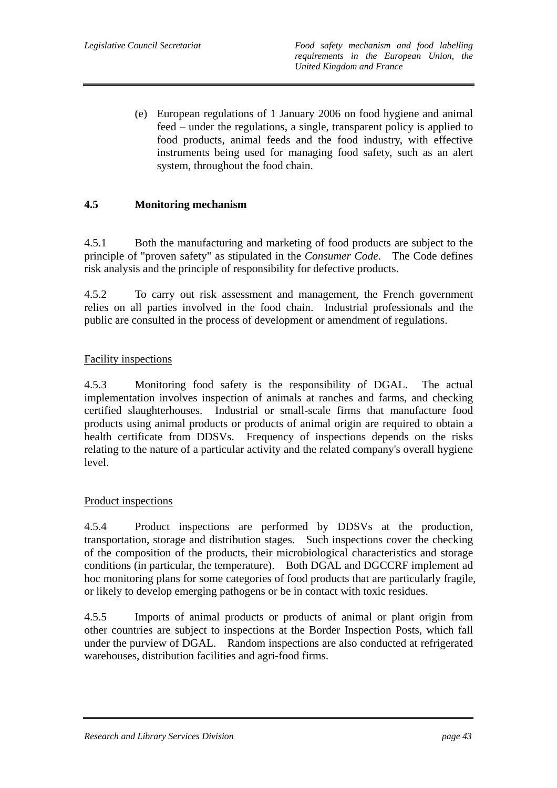(e) European regulations of 1 January 2006 on food hygiene and animal feed – under the regulations, a single, transparent policy is applied to food products, animal feeds and the food industry, with effective instruments being used for managing food safety, such as an alert system, throughout the food chain.

## **4.5 Monitoring mechanism**

4.5.1 Both the manufacturing and marketing of food products are subject to the principle of "proven safety" as stipulated in the *Consumer Code*. The Code defines risk analysis and the principle of responsibility for defective products.

4.5.2 To carry out risk assessment and management, the French government relies on all parties involved in the food chain. Industrial professionals and the public are consulted in the process of development or amendment of regulations.

### Facility inspections

4.5.3 Monitoring food safety is the responsibility of DGAL. The actual implementation involves inspection of animals at ranches and farms, and checking certified slaughterhouses. Industrial or small-scale firms that manufacture food products using animal products or products of animal origin are required to obtain a health certificate from DDSVs. Frequency of inspections depends on the risks relating to the nature of a particular activity and the related company's overall hygiene level.

#### Product inspections

4.5.4 Product inspections are performed by DDSVs at the production, transportation, storage and distribution stages. Such inspections cover the checking of the composition of the products, their microbiological characteristics and storage conditions (in particular, the temperature). Both DGAL and DGCCRF implement ad hoc monitoring plans for some categories of food products that are particularly fragile, or likely to develop emerging pathogens or be in contact with toxic residues.

4.5.5 Imports of animal products or products of animal or plant origin from other countries are subject to inspections at the Border Inspection Posts, which fall under the purview of DGAL. Random inspections are also conducted at refrigerated warehouses, distribution facilities and agri-food firms.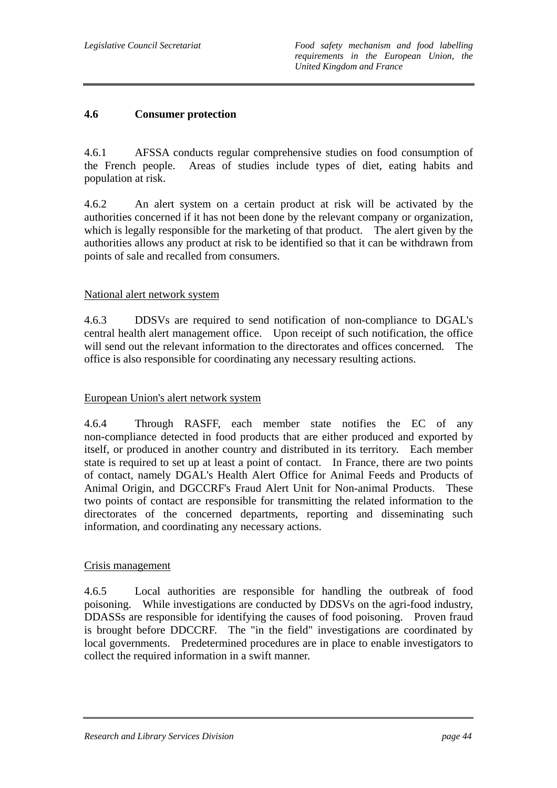## **4.6 Consumer protection**

4.6.1 AFSSA conducts regular comprehensive studies on food consumption of the French people. Areas of studies include types of diet, eating habits and population at risk.

4.6.2 An alert system on a certain product at risk will be activated by the authorities concerned if it has not been done by the relevant company or organization, which is legally responsible for the marketing of that product. The alert given by the authorities allows any product at risk to be identified so that it can be withdrawn from points of sale and recalled from consumers.

#### National alert network system

4.6.3 DDSVs are required to send notification of non-compliance to DGAL's central health alert management office. Upon receipt of such notification, the office will send out the relevant information to the directorates and offices concerned. The office is also responsible for coordinating any necessary resulting actions.

#### European Union's alert network system

4.6.4 Through RASFF, each member state notifies the EC of any non-compliance detected in food products that are either produced and exported by itself, or produced in another country and distributed in its territory. Each member state is required to set up at least a point of contact. In France, there are two points of contact, namely DGAL's Health Alert Office for Animal Feeds and Products of Animal Origin, and DGCCRF's Fraud Alert Unit for Non-animal Products. These two points of contact are responsible for transmitting the related information to the directorates of the concerned departments, reporting and disseminating such information, and coordinating any necessary actions.

#### Crisis management

4.6.5 Local authorities are responsible for handling the outbreak of food poisoning. While investigations are conducted by DDSVs on the agri-food industry, DDASSs are responsible for identifying the causes of food poisoning. Proven fraud is brought before DDCCRF. The "in the field" investigations are coordinated by local governments. Predetermined procedures are in place to enable investigators to collect the required information in a swift manner.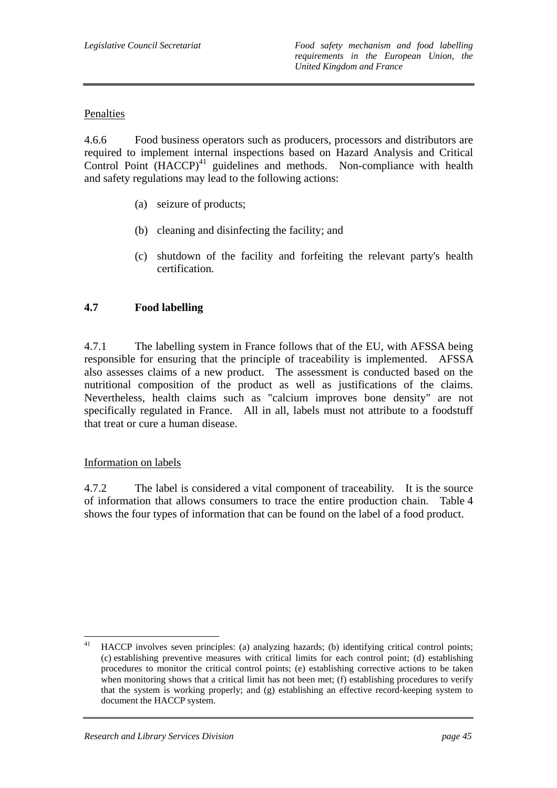## Penalties

4.6.6 Food business operators such as producers, processors and distributors are required to implement internal inspections based on Hazard Analysis and Critical Control Point  $(HACCP)^{41}$  guidelines and methods. Non-compliance with health and safety regulations may lead to the following actions:

- (a) seizure of products;
- (b) cleaning and disinfecting the facility; and
- (c) shutdown of the facility and forfeiting the relevant party's health certification.

## **4.7 Food labelling**

4.7.1 The labelling system in France follows that of the EU, with AFSSA being responsible for ensuring that the principle of traceability is implemented. AFSSA also assesses claims of a new product. The assessment is conducted based on the nutritional composition of the product as well as justifications of the claims. Nevertheless, health claims such as "calcium improves bone density" are not specifically regulated in France. All in all, labels must not attribute to a foodstuff that treat or cure a human disease.

#### Information on labels

4.7.2 The label is considered a vital component of traceability. It is the source of information that allows consumers to trace the entire production chain. Table 4 shows the four types of information that can be found on the label of a food product.

<sup>41</sup> 41 HACCP involves seven principles: (a) analyzing hazards; (b) identifying critical control points; (c) establishing preventive measures with critical limits for each control point; (d) establishing procedures to monitor the critical control points; (e) establishing corrective actions to be taken when monitoring shows that a critical limit has not been met; (f) establishing procedures to verify that the system is working properly; and (g) establishing an effective record-keeping system to document the HACCP system.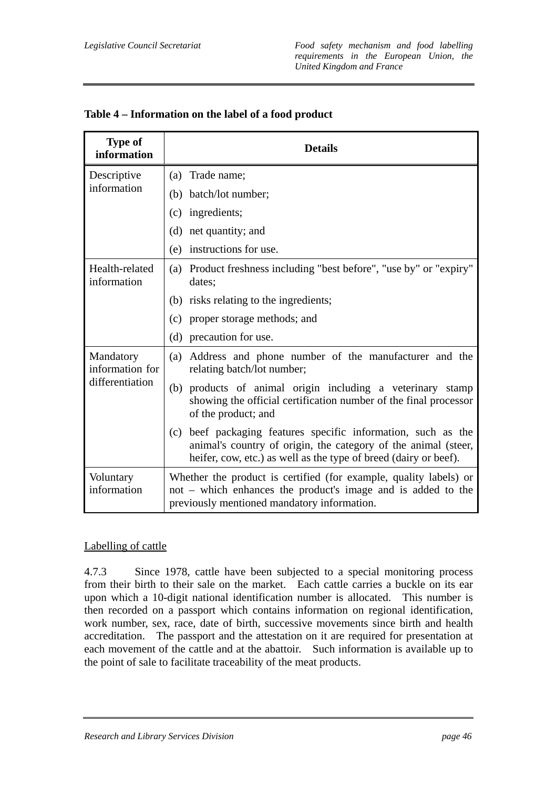| <b>Type of</b><br>information | <b>Details</b>                                                                                                                                                                                         |
|-------------------------------|--------------------------------------------------------------------------------------------------------------------------------------------------------------------------------------------------------|
| Descriptive                   | (a) Trade name;                                                                                                                                                                                        |
| information                   | (b) batch/lot number;                                                                                                                                                                                  |
|                               | (c) ingredients;                                                                                                                                                                                       |
|                               | (d) net quantity; and                                                                                                                                                                                  |
|                               | (e) instructions for use.                                                                                                                                                                              |
| Health-related<br>information | (a) Product freshness including "best before", "use by" or "expiry"<br>dates;                                                                                                                          |
|                               | (b) risks relating to the ingredients;                                                                                                                                                                 |
|                               | proper storage methods; and<br>(c)                                                                                                                                                                     |
|                               | (d) precaution for use.                                                                                                                                                                                |
| Mandatory<br>information for  | Address and phone number of the manufacturer and the<br>(a)<br>relating batch/lot number;                                                                                                              |
| differentiation               | (b) products of animal origin including a veterinary stamp<br>showing the official certification number of the final processor<br>of the product; and                                                  |
|                               | beef packaging features specific information, such as the<br>(c)<br>animal's country of origin, the category of the animal (steer,<br>heifer, cow, etc.) as well as the type of breed (dairy or beef). |
| Voluntary<br>information      | Whether the product is certified (for example, quality labels) or<br>not – which enhances the product's image and is added to the<br>previously mentioned mandatory information.                       |

## **Table 4 – Information on the label of a food product**

#### Labelling of cattle

4.7.3 Since 1978, cattle have been subjected to a special monitoring process from their birth to their sale on the market. Each cattle carries a buckle on its ear upon which a 10-digit national identification number is allocated. This number is then recorded on a passport which contains information on regional identification, work number, sex, race, date of birth, successive movements since birth and health accreditation. The passport and the attestation on it are required for presentation at each movement of the cattle and at the abattoir. Such information is available up to the point of sale to facilitate traceability of the meat products.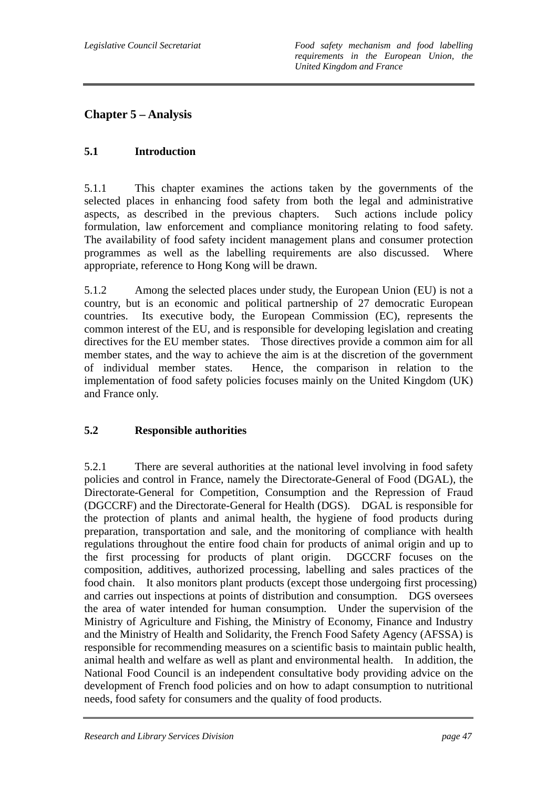# **Chapter 5 – Analysis**

# **5.1 Introduction**

5.1.1 This chapter examines the actions taken by the governments of the selected places in enhancing food safety from both the legal and administrative aspects, as described in the previous chapters. Such actions include policy formulation, law enforcement and compliance monitoring relating to food safety. The availability of food safety incident management plans and consumer protection programmes as well as the labelling requirements are also discussed. Where appropriate, reference to Hong Kong will be drawn.

5.1.2 Among the selected places under study, the European Union (EU) is not a country, but is an economic and political partnership of 27 democratic European countries. Its executive body, the European Commission (EC), represents the common interest of the EU, and is responsible for developing legislation and creating directives for the EU member states. Those directives provide a common aim for all member states, and the way to achieve the aim is at the discretion of the government of individual member states. Hence, the comparison in relation to the implementation of food safety policies focuses mainly on the United Kingdom (UK) and France only.

# **5.2 Responsible authorities**

5.2.1 There are several authorities at the national level involving in food safety policies and control in France, namely the Directorate-General of Food (DGAL), the Directorate-General for Competition, Consumption and the Repression of Fraud (DGCCRF) and the Directorate-General for Health (DGS). DGAL is responsible for the protection of plants and animal health, the hygiene of food products during preparation, transportation and sale, and the monitoring of compliance with health regulations throughout the entire food chain for products of animal origin and up to the first processing for products of plant origin. DGCCRF focuses on the composition, additives, authorized processing, labelling and sales practices of the food chain. It also monitors plant products (except those undergoing first processing) and carries out inspections at points of distribution and consumption. DGS oversees the area of water intended for human consumption. Under the supervision of the Ministry of Agriculture and Fishing, the Ministry of Economy, Finance and Industry and the Ministry of Health and Solidarity, the French Food Safety Agency (AFSSA) is responsible for recommending measures on a scientific basis to maintain public health, animal health and welfare as well as plant and environmental health. In addition, the National Food Council is an independent consultative body providing advice on the development of French food policies and on how to adapt consumption to nutritional needs, food safety for consumers and the quality of food products.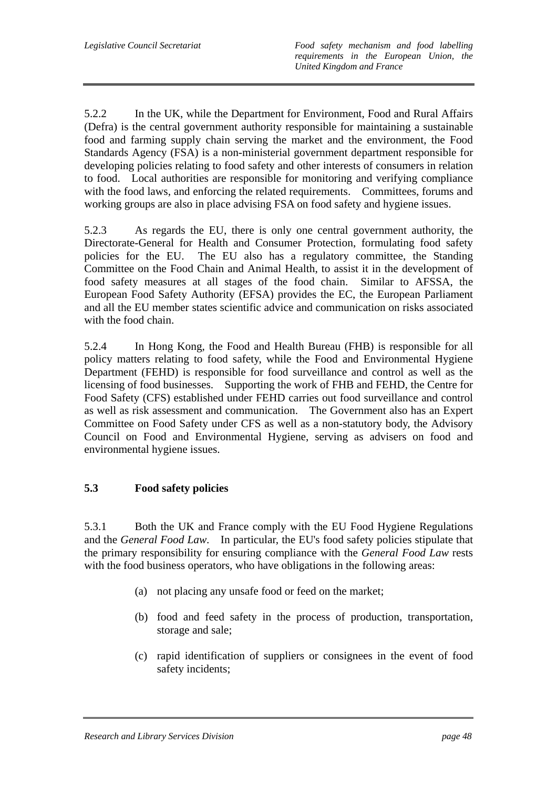5.2.2 In the UK, while the Department for Environment, Food and Rural Affairs (Defra) is the central government authority responsible for maintaining a sustainable food and farming supply chain serving the market and the environment, the Food Standards Agency (FSA) is a non-ministerial government department responsible for developing policies relating to food safety and other interests of consumers in relation to food. Local authorities are responsible for monitoring and verifying compliance with the food laws, and enforcing the related requirements. Committees, forums and working groups are also in place advising FSA on food safety and hygiene issues.

5.2.3 As regards the EU, there is only one central government authority, the Directorate-General for Health and Consumer Protection, formulating food safety policies for the EU. The EU also has a regulatory committee, the Standing Committee on the Food Chain and Animal Health, to assist it in the development of food safety measures at all stages of the food chain. Similar to AFSSA, the European Food Safety Authority (EFSA) provides the EC, the European Parliament and all the EU member states scientific advice and communication on risks associated with the food chain.

5.2.4 In Hong Kong, the Food and Health Bureau (FHB) is responsible for all policy matters relating to food safety, while the Food and Environmental Hygiene Department (FEHD) is responsible for food surveillance and control as well as the licensing of food businesses. Supporting the work of FHB and FEHD, the Centre for Food Safety (CFS) established under FEHD carries out food surveillance and control as well as risk assessment and communication. The Government also has an Expert Committee on Food Safety under CFS as well as a non-statutory body, the Advisory Council on Food and Environmental Hygiene, serving as advisers on food and environmental hygiene issues.

## **5.3 Food safety policies**

5.3.1 Both the UK and France comply with the EU Food Hygiene Regulations and the *General Food Law*. In particular, the EU's food safety policies stipulate that the primary responsibility for ensuring compliance with the *General Food Law* rests with the food business operators, who have obligations in the following areas:

- (a) not placing any unsafe food or feed on the market;
- (b) food and feed safety in the process of production, transportation, storage and sale;
- (c) rapid identification of suppliers or consignees in the event of food safety incidents;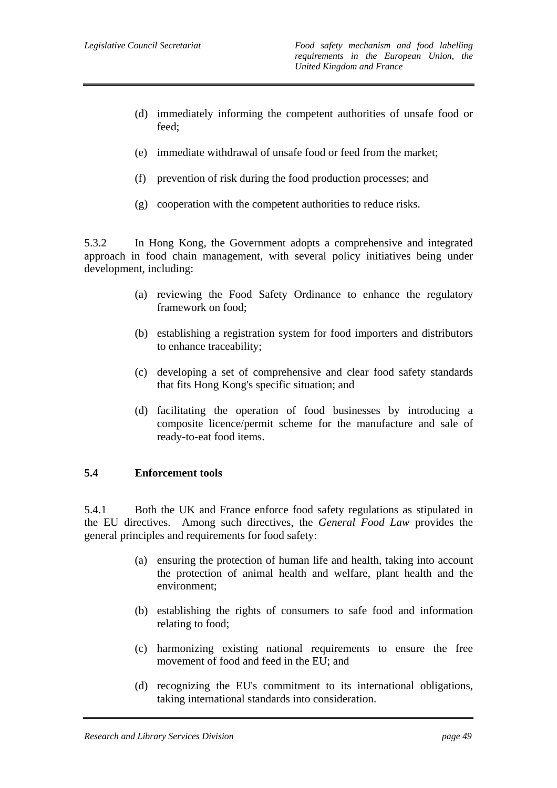- (d) immediately informing the competent authorities of unsafe food or feed;
- (e) immediate withdrawal of unsafe food or feed from the market;
- (f) prevention of risk during the food production processes; and
- (g) cooperation with the competent authorities to reduce risks.

5.3.2 In Hong Kong, the Government adopts a comprehensive and integrated approach in food chain management, with several policy initiatives being under development, including:

- (a) reviewing the Food Safety Ordinance to enhance the regulatory framework on food;
- (b) establishing a registration system for food importers and distributors to enhance traceability;
- (c) developing a set of comprehensive and clear food safety standards that fits Hong Kong's specific situation; and
- (d) facilitating the operation of food businesses by introducing a composite licence/permit scheme for the manufacture and sale of ready-to-eat food items.

#### **5.4 Enforcement tools**

5.4.1 Both the UK and France enforce food safety regulations as stipulated in the EU directives. Among such directives, the *General Food Law* provides the general principles and requirements for food safety:

- (a) ensuring the protection of human life and health, taking into account the protection of animal health and welfare, plant health and the environment;
- (b) establishing the rights of consumers to safe food and information relating to food;
- (c) harmonizing existing national requirements to ensure the free movement of food and feed in the EU; and
- (d) recognizing the EU's commitment to its international obligations, taking international standards into consideration.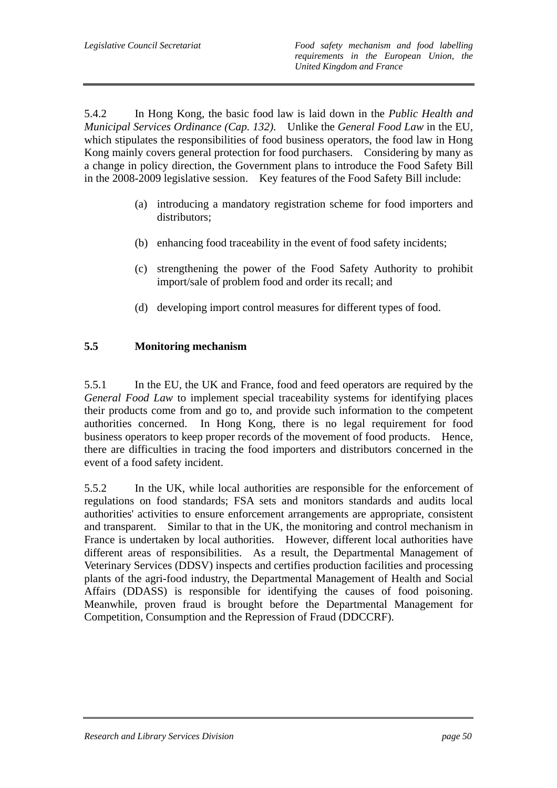5.4.2 In Hong Kong, the basic food law is laid down in the *Public Health and Municipal Services Ordinance (Cap. 132)*. Unlike the *General Food Law* in the EU, which stipulates the responsibilities of food business operators, the food law in Hong Kong mainly covers general protection for food purchasers. Considering by many as a change in policy direction, the Government plans to introduce the Food Safety Bill in the 2008-2009 legislative session. Key features of the Food Safety Bill include:

- (a) introducing a mandatory registration scheme for food importers and distributors;
- (b) enhancing food traceability in the event of food safety incidents;
- (c) strengthening the power of the Food Safety Authority to prohibit import/sale of problem food and order its recall; and
- (d) developing import control measures for different types of food.

## **5.5 Monitoring mechanism**

5.5.1 In the EU, the UK and France, food and feed operators are required by the *General Food Law* to implement special traceability systems for identifying places their products come from and go to, and provide such information to the competent authorities concerned. In Hong Kong, there is no legal requirement for food business operators to keep proper records of the movement of food products. Hence, there are difficulties in tracing the food importers and distributors concerned in the event of a food safety incident.

5.5.2 In the UK, while local authorities are responsible for the enforcement of regulations on food standards; FSA sets and monitors standards and audits local authorities' activities to ensure enforcement arrangements are appropriate, consistent and transparent. Similar to that in the UK, the monitoring and control mechanism in France is undertaken by local authorities. However, different local authorities have different areas of responsibilities. As a result, the Departmental Management of Veterinary Services (DDSV) inspects and certifies production facilities and processing plants of the agri-food industry, the Departmental Management of Health and Social Affairs (DDASS) is responsible for identifying the causes of food poisoning. Meanwhile, proven fraud is brought before the Departmental Management for Competition, Consumption and the Repression of Fraud (DDCCRF).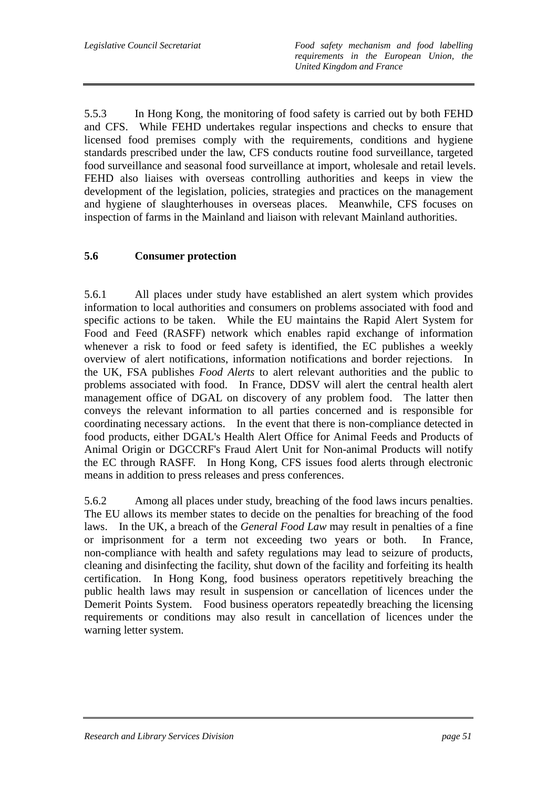*Legislative Council Secretariat Food safety mechanism and food labelling requirements in the European Union, the United Kingdom and France* 

5.5.3 In Hong Kong, the monitoring of food safety is carried out by both FEHD and CFS. While FEHD undertakes regular inspections and checks to ensure that licensed food premises comply with the requirements, conditions and hygiene standards prescribed under the law, CFS conducts routine food surveillance, targeted food surveillance and seasonal food surveillance at import, wholesale and retail levels. FEHD also liaises with overseas controlling authorities and keeps in view the development of the legislation, policies, strategies and practices on the management and hygiene of slaughterhouses in overseas places. Meanwhile, CFS focuses on inspection of farms in the Mainland and liaison with relevant Mainland authorities.

## **5.6 Consumer protection**

5.6.1 All places under study have established an alert system which provides information to local authorities and consumers on problems associated with food and specific actions to be taken. While the EU maintains the Rapid Alert System for Food and Feed (RASFF) network which enables rapid exchange of information whenever a risk to food or feed safety is identified, the EC publishes a weekly overview of alert notifications, information notifications and border rejections. In the UK, FSA publishes *Food Alerts* to alert relevant authorities and the public to problems associated with food. In France, DDSV will alert the central health alert management office of DGAL on discovery of any problem food. The latter then conveys the relevant information to all parties concerned and is responsible for coordinating necessary actions. In the event that there is non-compliance detected in food products, either DGAL's Health Alert Office for Animal Feeds and Products of Animal Origin or DGCCRF's Fraud Alert Unit for Non-animal Products will notify the EC through RASFF. In Hong Kong, CFS issues food alerts through electronic means in addition to press releases and press conferences.

5.6.2 Among all places under study, breaching of the food laws incurs penalties. The EU allows its member states to decide on the penalties for breaching of the food laws. In the UK, a breach of the *General Food Law* may result in penalties of a fine or imprisonment for a term not exceeding two years or both. In France, non-compliance with health and safety regulations may lead to seizure of products, cleaning and disinfecting the facility, shut down of the facility and forfeiting its health certification. In Hong Kong, food business operators repetitively breaching the public health laws may result in suspension or cancellation of licences under the Demerit Points System. Food business operators repeatedly breaching the licensing requirements or conditions may also result in cancellation of licences under the warning letter system.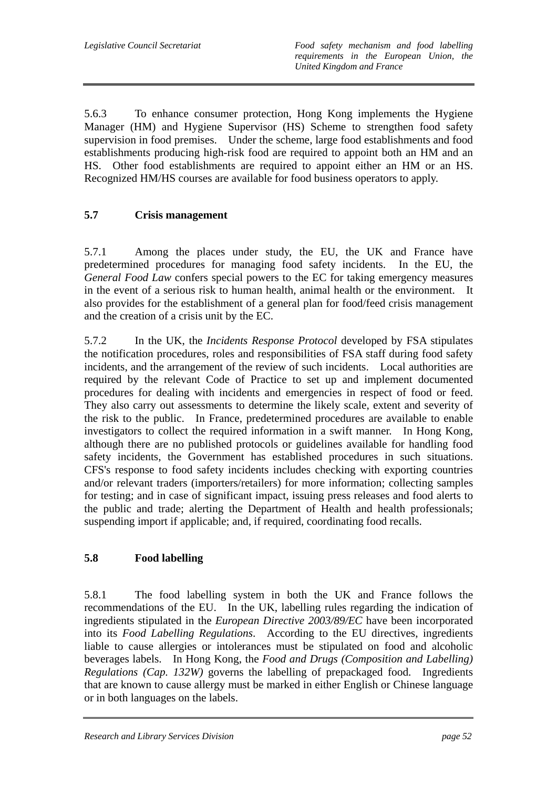5.6.3 To enhance consumer protection, Hong Kong implements the Hygiene Manager (HM) and Hygiene Supervisor (HS) Scheme to strengthen food safety supervision in food premises. Under the scheme, large food establishments and food establishments producing high-risk food are required to appoint both an HM and an HS. Other food establishments are required to appoint either an HM or an HS. Recognized HM/HS courses are available for food business operators to apply.

## **5.7 Crisis management**

5.7.1 Among the places under study, the EU, the UK and France have predetermined procedures for managing food safety incidents. In the EU, the *General Food Law* confers special powers to the EC for taking emergency measures in the event of a serious risk to human health, animal health or the environment. It also provides for the establishment of a general plan for food/feed crisis management and the creation of a crisis unit by the EC.

5.7.2 In the UK, the *Incidents Response Protocol* developed by FSA stipulates the notification procedures, roles and responsibilities of FSA staff during food safety incidents, and the arrangement of the review of such incidents. Local authorities are required by the relevant Code of Practice to set up and implement documented procedures for dealing with incidents and emergencies in respect of food or feed. They also carry out assessments to determine the likely scale, extent and severity of the risk to the public. In France, predetermined procedures are available to enable investigators to collect the required information in a swift manner. In Hong Kong, although there are no published protocols or guidelines available for handling food safety incidents, the Government has established procedures in such situations. CFS's response to food safety incidents includes checking with exporting countries and/or relevant traders (importers/retailers) for more information; collecting samples for testing; and in case of significant impact, issuing press releases and food alerts to the public and trade; alerting the Department of Health and health professionals; suspending import if applicable; and, if required, coordinating food recalls.

# **5.8 Food labelling**

5.8.1 The food labelling system in both the UK and France follows the recommendations of the EU. In the UK, labelling rules regarding the indication of ingredients stipulated in the *European Directive 2003/89/EC* have been incorporated into its *Food Labelling Regulations*. According to the EU directives, ingredients liable to cause allergies or intolerances must be stipulated on food and alcoholic beverages labels. In Hong Kong, the *Food and Drugs (Composition and Labelling) Regulations (Cap. 132W)* governs the labelling of prepackaged food. Ingredients that are known to cause allergy must be marked in either English or Chinese language or in both languages on the labels.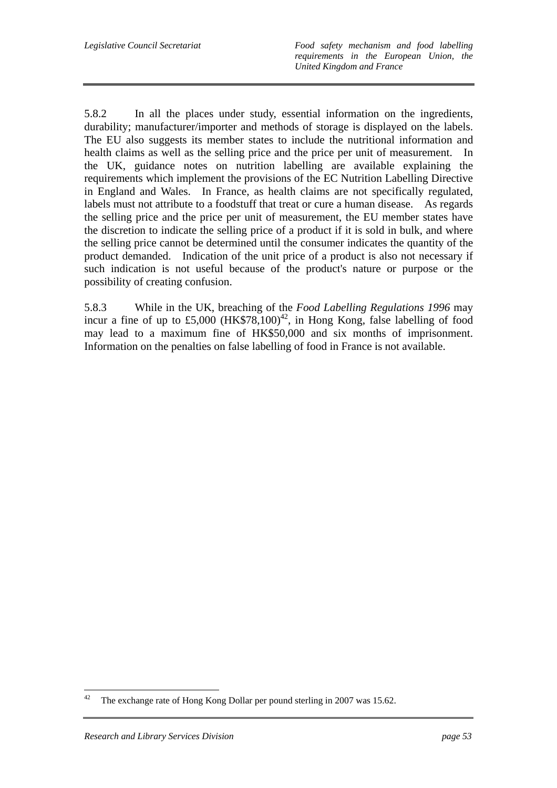*Legislative Council Secretariat Food safety mechanism and food labelling requirements in the European Union, the United Kingdom and France* 

5.8.2 In all the places under study, essential information on the ingredients, durability; manufacturer/importer and methods of storage is displayed on the labels. The EU also suggests its member states to include the nutritional information and health claims as well as the selling price and the price per unit of measurement. In the UK, guidance notes on nutrition labelling are available explaining the requirements which implement the provisions of the EC Nutrition Labelling Directive in England and Wales. In France, as health claims are not specifically regulated, labels must not attribute to a foodstuff that treat or cure a human disease. As regards the selling price and the price per unit of measurement, the EU member states have the discretion to indicate the selling price of a product if it is sold in bulk, and where the selling price cannot be determined until the consumer indicates the quantity of the product demanded. Indication of the unit price of a product is also not necessary if such indication is not useful because of the product's nature or purpose or the possibility of creating confusion.

5.8.3 While in the UK, breaching of the *Food Labelling Regulations 1996* may incur a fine of up to  $£5,000$  (HK\$78,100)<sup>42</sup>, in Hong Kong, false labelling of food may lead to a maximum fine of HK\$50,000 and six months of imprisonment. Information on the penalties on false labelling of food in France is not available.

 $42$ The exchange rate of Hong Kong Dollar per pound sterling in 2007 was 15.62.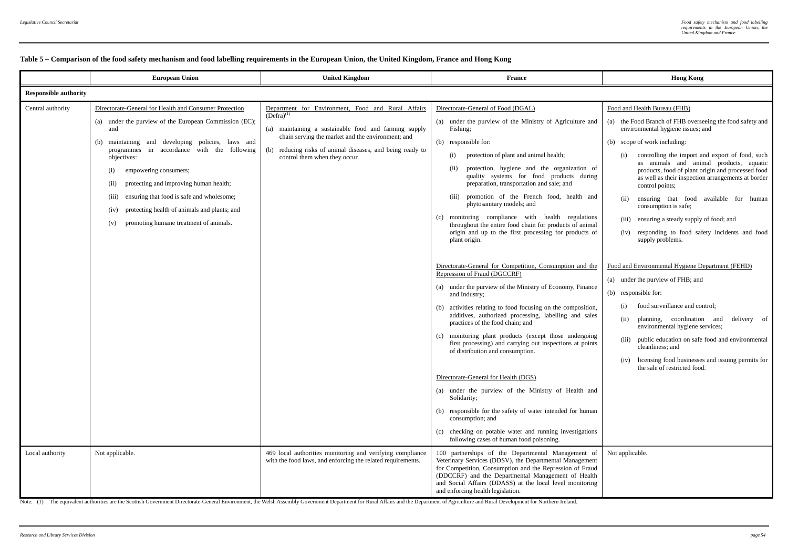|                                      | <b>European Union</b>                                                                                                                                                                                                                                                                                                                                                                                                                                                                                          | <b>United Kingdom</b>                                                                                                                                                                                                                                                                                                                          | <b>France</b>                                                                                                                                                                                                                                                                                                                                                                                                                                                                                                                                                                                                                                                                                                                                                                                                                                                                                                                                                                                                                                                                                                                                                                                                                                                                                                                                                                                                                                                                     | <b>Hong Kong</b>                                                                                                                                                                                                                                                                                                                                                                                                                                                                                                                                                                                                                                                                                                                                                                                                                                                                                                                                                                                                                            |  |  |
|--------------------------------------|----------------------------------------------------------------------------------------------------------------------------------------------------------------------------------------------------------------------------------------------------------------------------------------------------------------------------------------------------------------------------------------------------------------------------------------------------------------------------------------------------------------|------------------------------------------------------------------------------------------------------------------------------------------------------------------------------------------------------------------------------------------------------------------------------------------------------------------------------------------------|-----------------------------------------------------------------------------------------------------------------------------------------------------------------------------------------------------------------------------------------------------------------------------------------------------------------------------------------------------------------------------------------------------------------------------------------------------------------------------------------------------------------------------------------------------------------------------------------------------------------------------------------------------------------------------------------------------------------------------------------------------------------------------------------------------------------------------------------------------------------------------------------------------------------------------------------------------------------------------------------------------------------------------------------------------------------------------------------------------------------------------------------------------------------------------------------------------------------------------------------------------------------------------------------------------------------------------------------------------------------------------------------------------------------------------------------------------------------------------------|---------------------------------------------------------------------------------------------------------------------------------------------------------------------------------------------------------------------------------------------------------------------------------------------------------------------------------------------------------------------------------------------------------------------------------------------------------------------------------------------------------------------------------------------------------------------------------------------------------------------------------------------------------------------------------------------------------------------------------------------------------------------------------------------------------------------------------------------------------------------------------------------------------------------------------------------------------------------------------------------------------------------------------------------|--|--|
| <b>Responsible authority</b>         |                                                                                                                                                                                                                                                                                                                                                                                                                                                                                                                |                                                                                                                                                                                                                                                                                                                                                |                                                                                                                                                                                                                                                                                                                                                                                                                                                                                                                                                                                                                                                                                                                                                                                                                                                                                                                                                                                                                                                                                                                                                                                                                                                                                                                                                                                                                                                                                   |                                                                                                                                                                                                                                                                                                                                                                                                                                                                                                                                                                                                                                                                                                                                                                                                                                                                                                                                                                                                                                             |  |  |
| Central authority<br>Local authority | Directorate-General for Health and Consumer Protection<br>(a) under the purview of the European Commission (EC);<br>and<br>(b) maintaining and developing policies, laws and<br>programmes in accordance with the following<br>objectives:<br>empowering consumers;<br>(i)<br>protecting and improving human health;<br>(ii)<br>ensuring that food is safe and wholesome;<br>(iii)<br>protecting health of animals and plants; and<br>(iv)<br>promoting humane treatment of animals.<br>(v)<br>Not applicable. | Department for Environment, Food and Rural Affairs<br>$(Defra)^{(1)}$<br>(a) maintaining a sustainable food and farming supply<br>chain serving the market and the environment; and<br>(b) reducing risks of animal diseases, and being ready to<br>control them when they occur.<br>469 local authorities monitoring and verifying compliance | Directorate-General of Food (DGAL)<br>(a) under the purview of the Ministry of Agriculture and<br>Fishing:<br>(b) responsible for:<br>protection of plant and animal health;<br>(i)<br>protection, hygiene and the organization of<br>(ii)<br>quality systems for food products during<br>preparation, transportation and sale; and<br>promotion of the French food, health and<br>(iii)<br>phytosanitary models; and<br>(c) monitoring compliance with health regulations<br>throughout the entire food chain for products of animal<br>origin and up to the first processing for products of<br>plant origin.<br>Directorate-General for Competition, Consumption and the<br>Repression of Fraud (DGCCRF)<br>(a) under the purview of the Ministry of Economy, Finance<br>and Industry;<br>(b) activities relating to food focusing on the composition,<br>additives, authorized processing, labelling and sales<br>practices of the food chain; and<br>(c) monitoring plant products (except those undergoing<br>first processing) and carrying out inspections at points<br>of distribution and consumption.<br>Directorate-General for Health (DGS)<br>(a) under the purview of the Ministry of Health and<br>Solidarity;<br>(b) responsible for the safety of water intended for human<br>consumption; and<br>checking on potable water and running investigations<br>(c)<br>following cases of human food poisoning.<br>100 partnerships of the Departmental Management of | Food and Health Bureau (FHB)<br>(a) the Food Branch of FHB overseeing the food safety and<br>environmental hygiene issues; and<br>(b) scope of work including:<br>controlling the import and export of food, such<br>(i)<br>as animals and animal products, aquatic<br>products, food of plant origin and processed food<br>as well as their inspection arrangements at border<br>control points;<br>ensuring that food available for human<br>(ii)<br>consumption is safe;<br>(iii) ensuring a steady supply of food; and<br>responding to food safety incidents and food<br>(iv)<br>supply problems.<br>Food and Environmental Hygiene Department (FEHD)<br>(a) under the purview of FHB; and<br>(b) responsible for:<br>food surveillance and control;<br>planning, coordination and<br>delivery of<br>(ii)<br>environmental hygiene services;<br>(iii) public education on safe food and environmental<br>cleanliness; and<br>(iv) licensing food businesses and issuing permits for<br>the sale of restricted food.<br>Not applicable. |  |  |
|                                      |                                                                                                                                                                                                                                                                                                                                                                                                                                                                                                                | with the food laws, and enforcing the related requirements.                                                                                                                                                                                                                                                                                    | Veterinary Services (DDSV), the Departmental Management<br>for Competition, Consumption and the Repression of Fraud<br>(DDCCRF) and the Departmental Management of Health<br>and Social Affairs (DDASS) at the local level monitoring<br>and enforcing health legislation.                                                                                                                                                                                                                                                                                                                                                                                                                                                                                                                                                                                                                                                                                                                                                                                                                                                                                                                                                                                                                                                                                                                                                                                                        |                                                                                                                                                                                                                                                                                                                                                                                                                                                                                                                                                                                                                                                                                                                                                                                                                                                                                                                                                                                                                                             |  |  |

Note: (1) The equivalent authorities are the Scottish Government Directorate-General Environment, the Welsh Assembly Government Department for Rural Affairs and the Department of Agriculture and Rural Development for North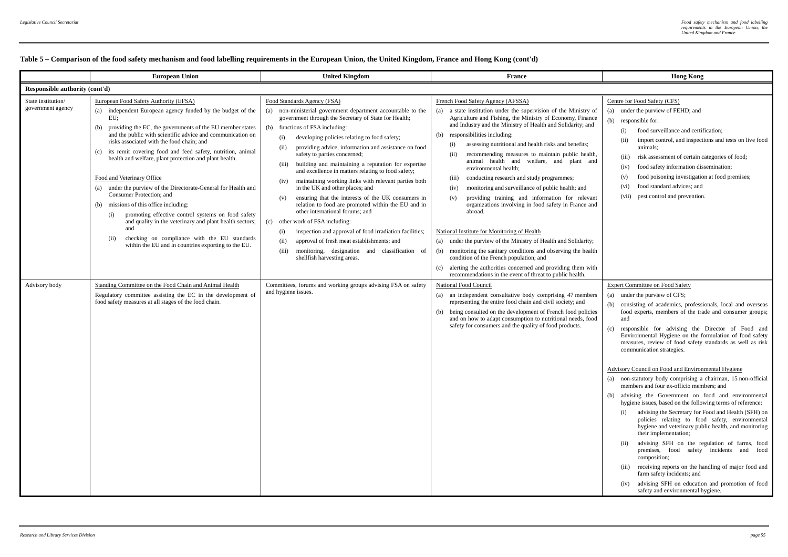|                                         | <b>European Union</b>                                                                                                                                                                                                                                                                                                                                                                                                                                                                                                                                                                                                                                                                                                                                                                                                                             | <b>United Kingdom</b>                                                                                                                                                                                                                                                                                                                                                                                                                                                                                                                                                                                                                                                                                                                                                                                                                                                                                                                                                              | <b>France</b>                                                                                                                                                                                                                                                                                                                                                                                                                                                                                                                                                                                                                                                                                                                                                                                                                                                                                                                                                                                                                                                                                     | <b>Hong Kong</b>                                                                                                                                                                                                                                                                                                                                                                                                                                                                                                                                                                                                                                                                                                                                                                                                                                                                                                                                                                                                                                                                                                                                                                                                                               |  |  |
|-----------------------------------------|---------------------------------------------------------------------------------------------------------------------------------------------------------------------------------------------------------------------------------------------------------------------------------------------------------------------------------------------------------------------------------------------------------------------------------------------------------------------------------------------------------------------------------------------------------------------------------------------------------------------------------------------------------------------------------------------------------------------------------------------------------------------------------------------------------------------------------------------------|------------------------------------------------------------------------------------------------------------------------------------------------------------------------------------------------------------------------------------------------------------------------------------------------------------------------------------------------------------------------------------------------------------------------------------------------------------------------------------------------------------------------------------------------------------------------------------------------------------------------------------------------------------------------------------------------------------------------------------------------------------------------------------------------------------------------------------------------------------------------------------------------------------------------------------------------------------------------------------|---------------------------------------------------------------------------------------------------------------------------------------------------------------------------------------------------------------------------------------------------------------------------------------------------------------------------------------------------------------------------------------------------------------------------------------------------------------------------------------------------------------------------------------------------------------------------------------------------------------------------------------------------------------------------------------------------------------------------------------------------------------------------------------------------------------------------------------------------------------------------------------------------------------------------------------------------------------------------------------------------------------------------------------------------------------------------------------------------|------------------------------------------------------------------------------------------------------------------------------------------------------------------------------------------------------------------------------------------------------------------------------------------------------------------------------------------------------------------------------------------------------------------------------------------------------------------------------------------------------------------------------------------------------------------------------------------------------------------------------------------------------------------------------------------------------------------------------------------------------------------------------------------------------------------------------------------------------------------------------------------------------------------------------------------------------------------------------------------------------------------------------------------------------------------------------------------------------------------------------------------------------------------------------------------------------------------------------------------------|--|--|
|                                         | Responsible authority (cont'd)                                                                                                                                                                                                                                                                                                                                                                                                                                                                                                                                                                                                                                                                                                                                                                                                                    |                                                                                                                                                                                                                                                                                                                                                                                                                                                                                                                                                                                                                                                                                                                                                                                                                                                                                                                                                                                    |                                                                                                                                                                                                                                                                                                                                                                                                                                                                                                                                                                                                                                                                                                                                                                                                                                                                                                                                                                                                                                                                                                   |                                                                                                                                                                                                                                                                                                                                                                                                                                                                                                                                                                                                                                                                                                                                                                                                                                                                                                                                                                                                                                                                                                                                                                                                                                                |  |  |
| State institution/<br>government agency | European Food Safety Authority (EFSA)<br>(a) independent European agency funded by the budget of the<br>EU:<br>providing the EC, the governments of the EU member states<br>(b)<br>and the public with scientific advice and communication on<br>risks associated with the food chain: and<br>its remit covering food and feed safety, nutrition, animal<br>(c)<br>health and welfare, plant protection and plant health.<br>Food and Veterinary Office<br>(a) under the purview of the Directorate-General for Health and<br>Consumer Protection; and<br>missions of this office including:<br>(b)<br>promoting effective control systems on food safety<br>(i)<br>and quality in the veterinary and plant health sectors;<br>and<br>checking on compliance with the EU standards<br>(ii)<br>within the EU and in countries exporting to the EU. | Food Standards Agency (FSA)<br>(a) non-ministerial government department accountable to the<br>government through the Secretary of State for Health;<br>(b) functions of FSA including:<br>(i)<br>developing policies relating to food safety;<br>providing advice, information and assistance on food<br>(ii)<br>safety to parties concerned;<br>building and maintaining a reputation for expertise<br>(iii)<br>and excellence in matters relating to food safety;<br>maintaining working links with relevant parties both<br>(iv)<br>in the UK and other places; and<br>ensuring that the interests of the UK consumers in<br>(v)<br>relation to food are promoted within the EU and in<br>other international forums; and<br>(c) other work of FSA including:<br>inspection and approval of food irradiation facilities;<br>(i)<br>approval of fresh meat establishments; and<br>(ii)<br>monitoring, designation and classification of<br>(iii)<br>shellfish harvesting areas. | French Food Safety Agency (AFSSA)<br>a state institution under the supervision of the Ministry of<br>(a)<br>Agriculture and Fishing, the Ministry of Economy, Finance<br>and Industry and the Ministry of Health and Solidarity; and<br>responsibilities including:<br>(b)<br>assessing nutritional and health risks and benefits;<br>(i)<br>(ii)<br>recommending measures to maintain public health,<br>animal health and welfare, and plant and<br>environmental health;<br>conducting research and study programmes;<br>(iii)<br>monitoring and surveillance of public health; and<br>(iv)<br>providing training and information for relevant<br>(v)<br>organizations involving in food safety in France and<br>abroad.<br>National Institute for Monitoring of Health<br>under the purview of the Ministry of Health and Solidarity;<br>(a)<br>monitoring the sanitary conditions and observing the health<br>(b)<br>condition of the French population; and<br>alerting the authorities concerned and providing them with<br>(c)<br>recommendations in the event of threat to public health. | Centre for Food Safety (CFS)<br>(a) under the purview of FEHD; and<br>(b) responsible for:<br>food surveillance and certification;<br>(i)<br>import control, and inspections and tests on live food<br>(ii)<br>animals:<br>risk assessment of certain categories of food;<br>(iii)<br>food safety information dissemination;<br>(iv)<br>food poisoning investigation at food premises;<br>(v)<br>food standard advices; and<br>(vi)<br>(vii) pest control and prevention.                                                                                                                                                                                                                                                                                                                                                                                                                                                                                                                                                                                                                                                                                                                                                                      |  |  |
| Advisory body                           | Standing Committee on the Food Chain and Animal Health<br>Regulatory committee assisting the EC in the development of<br>food safety measures at all stages of the food chain.                                                                                                                                                                                                                                                                                                                                                                                                                                                                                                                                                                                                                                                                    | Committees, forums and working groups advising FSA on safety<br>and hygiene issues.                                                                                                                                                                                                                                                                                                                                                                                                                                                                                                                                                                                                                                                                                                                                                                                                                                                                                                | National Food Council<br>(a) an independent consultative body comprising 47 members<br>representing the entire food chain and civil society; and<br>being consulted on the development of French food policies<br>(b)<br>and on how to adapt consumption to nutritional needs, food<br>safety for consumers and the quality of food products.                                                                                                                                                                                                                                                                                                                                                                                                                                                                                                                                                                                                                                                                                                                                                     | <b>Expert Committee on Food Safety</b><br>(a) under the purview of CFS;<br>(b) consisting of academics, professionals, local and overseas<br>food experts, members of the trade and consumer groups;<br>and<br>(c)<br>responsible for advising the Director of Food and<br>Environmental Hygiene on the formulation of food safety<br>measures, review of food safety standards as well as risk<br>communication strategies.<br>Advisory Council on Food and Environmental Hygiene<br>(a) non-statutory body comprising a chairman, 15 non-official<br>members and four ex-officio members; and<br>advising the Government on food and environmental<br>(b)<br>hygiene issues, based on the following terms of reference:<br>advising the Secretary for Food and Health (SFH) on<br>(i)<br>policies relating to food safety, environmental<br>hygiene and veterinary public health, and monitoring<br>their implementation;<br>advising SFH on the regulation of farms, food<br>(ii)<br>premises, food safety incidents and food<br>composition;<br>receiving reports on the handling of major food and<br>(iii)<br>farm safety incidents; and<br>advising SFH on education and promotion of food<br>(iv)<br>safety and environmental hygiene. |  |  |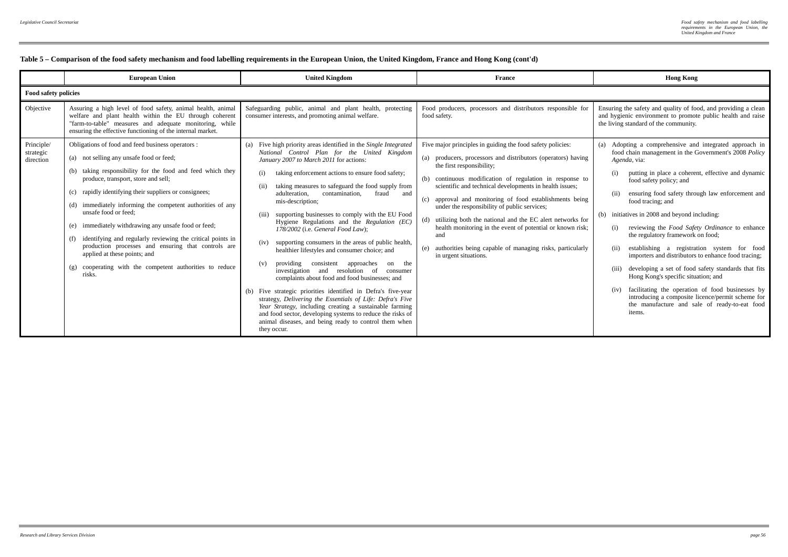|                                      | <b>European Union</b>                                                                                                                                                                                                                                                                                                                                                                                                                                                                                                                                                                                                                                    | <b>United Kingdom</b>                                                                                                                                                                                                                                                                                                                                                                                                                                                                                                                                                                                                                                                                                                                                                                                                                                                                                                                                                                                                                                                                                               | <b>France</b>                                                                                                                                                                                                                                                                                                                                                                                                                                                                                                                                                                                                                  | <b>Hong Kong</b>                                                                                                                                                                                                                                                                                                                                                                                                                                                                                                                                                                                                                                                                                                                                                                                                                                  |  |  |
|--------------------------------------|----------------------------------------------------------------------------------------------------------------------------------------------------------------------------------------------------------------------------------------------------------------------------------------------------------------------------------------------------------------------------------------------------------------------------------------------------------------------------------------------------------------------------------------------------------------------------------------------------------------------------------------------------------|---------------------------------------------------------------------------------------------------------------------------------------------------------------------------------------------------------------------------------------------------------------------------------------------------------------------------------------------------------------------------------------------------------------------------------------------------------------------------------------------------------------------------------------------------------------------------------------------------------------------------------------------------------------------------------------------------------------------------------------------------------------------------------------------------------------------------------------------------------------------------------------------------------------------------------------------------------------------------------------------------------------------------------------------------------------------------------------------------------------------|--------------------------------------------------------------------------------------------------------------------------------------------------------------------------------------------------------------------------------------------------------------------------------------------------------------------------------------------------------------------------------------------------------------------------------------------------------------------------------------------------------------------------------------------------------------------------------------------------------------------------------|---------------------------------------------------------------------------------------------------------------------------------------------------------------------------------------------------------------------------------------------------------------------------------------------------------------------------------------------------------------------------------------------------------------------------------------------------------------------------------------------------------------------------------------------------------------------------------------------------------------------------------------------------------------------------------------------------------------------------------------------------------------------------------------------------------------------------------------------------|--|--|
|                                      | Food safety policies                                                                                                                                                                                                                                                                                                                                                                                                                                                                                                                                                                                                                                     |                                                                                                                                                                                                                                                                                                                                                                                                                                                                                                                                                                                                                                                                                                                                                                                                                                                                                                                                                                                                                                                                                                                     |                                                                                                                                                                                                                                                                                                                                                                                                                                                                                                                                                                                                                                |                                                                                                                                                                                                                                                                                                                                                                                                                                                                                                                                                                                                                                                                                                                                                                                                                                                   |  |  |
| Objective                            | Assuring a high level of food safety, animal health, animal<br>welfare and plant health within the EU through coherent<br>"farm-to-table" measures and adequate monitoring, while<br>ensuring the effective functioning of the internal market.                                                                                                                                                                                                                                                                                                                                                                                                          | Safeguarding public, animal and plant health, protecting<br>consumer interests, and promoting animal welfare.                                                                                                                                                                                                                                                                                                                                                                                                                                                                                                                                                                                                                                                                                                                                                                                                                                                                                                                                                                                                       | Food producers, processors and distributors responsible for<br>food safety.                                                                                                                                                                                                                                                                                                                                                                                                                                                                                                                                                    | Ensuring the safety and quality of food, and providing a clean<br>and hygienic environment to promote public health and raise<br>the living standard of the community.                                                                                                                                                                                                                                                                                                                                                                                                                                                                                                                                                                                                                                                                            |  |  |
| Principle/<br>strategic<br>direction | Obligations of food and feed business operators :<br>not selling any unsafe food or feed;<br>(a)<br>(b) taking responsibility for the food and feed which they<br>produce, transport, store and sell;<br>rapidly identifying their suppliers or consignees;<br>(c)<br>(d) immediately informing the competent authorities of any<br>unsafe food or feed:<br>immediately withdrawing any unsafe food or feed;<br>(e)<br>identifying and regularly reviewing the critical points in<br>(f)<br>production processes and ensuring that controls are<br>applied at these points; and<br>cooperating with the competent authorities to reduce<br>(g)<br>risks. | Five high priority areas identified in the Single Integrated<br>(a)<br>National Control Plan for the United Kingdom<br>January 2007 to March 2011 for actions:<br>taking enforcement actions to ensure food safety;<br>(i)<br>taking measures to safeguard the food supply from<br>(ii)<br>adulteration.<br>contamination,<br>fraud<br>and<br>mis-description;<br>supporting businesses to comply with the EU Food<br>(iii)<br>Hygiene Regulations and the Regulation (EC)<br>178/2002 (i.e. General Food Law);<br>supporting consumers in the areas of public health,<br>(iv)<br>healthier lifestyles and consumer choice; and<br>providing consistent approaches<br>on the<br>(v)<br>investigation and resolution of<br>consumer<br>complaints about food and food businesses; and<br>(b) Five strategic priorities identified in Defra's five-year<br>strategy, Delivering the Essentials of Life: Defra's Five<br>Year Strategy, including creating a sustainable farming<br>and food sector, developing systems to reduce the risks of<br>animal diseases, and being ready to control them when<br>they occur. | Five major principles in guiding the food safety policies:<br>(a) producers, processors and distributors (operators) having<br>the first responsibility;<br>(b) continuous modification of regulation in response to<br>scientific and technical developments in health issues;<br>approval and monitoring of food establishments being<br>(c)<br>under the responsibility of public services;<br>(d) utilizing both the national and the EC alert networks for<br>health monitoring in the event of potential or known risk;<br>and<br>(e) authorities being capable of managing risks, particularly<br>in urgent situations. | (a) Adopting a comprehensive and integrated approach in<br>food chain management in the Government's 2008 Policy<br>Agenda, via:<br>putting in place a coherent, effective and dynamic<br>food safety policy; and<br>ensuring food safety through law enforcement and<br>(ii)<br>food tracing; and<br>(b) initiatives in 2008 and beyond including:<br>reviewing the <i>Food Safety Ordinance</i> to enhance<br>(i)<br>the regulatory framework on food;<br>establishing a registration system for food<br>(ii)<br>importers and distributors to enhance food tracing;<br>developing a set of food safety standards that fits<br>(iii)<br>Hong Kong's specific situation; and<br>facilitating the operation of food businesses by<br>introducing a composite licence/permit scheme for<br>the manufacture and sale of ready-to-eat food<br>items. |  |  |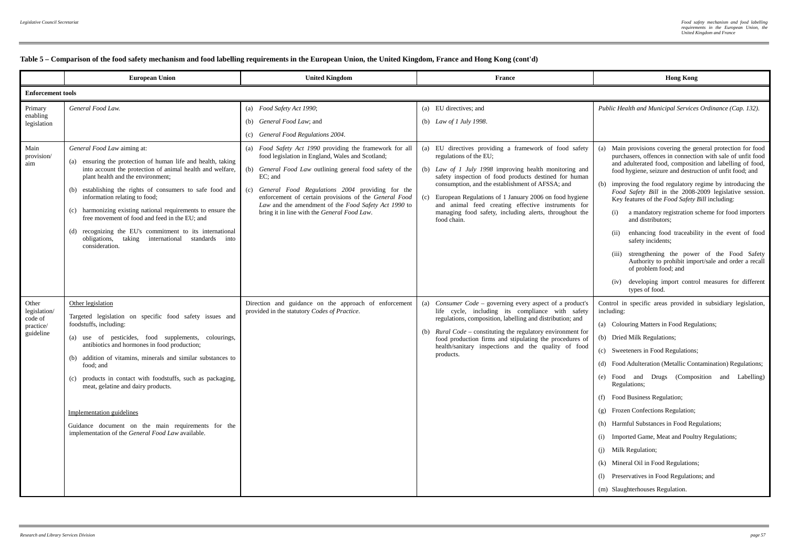|                                                                 | <b>European Union</b>                                                                                                                                                                                                                                                                                                                                                                                                                                                                                                                    | <b>United Kingdom</b>                                                                                                                                                                                                                                                                                                                                                                                                                                           | <b>France</b>                                                                                                                                                                                                                                                                                                                                                                                                                       | <b>Hong Kong</b>                                                                                                                                                                                                                                                                                                                                                                                                                                                                                                                                                                                                                                            |  |  |
|-----------------------------------------------------------------|------------------------------------------------------------------------------------------------------------------------------------------------------------------------------------------------------------------------------------------------------------------------------------------------------------------------------------------------------------------------------------------------------------------------------------------------------------------------------------------------------------------------------------------|-----------------------------------------------------------------------------------------------------------------------------------------------------------------------------------------------------------------------------------------------------------------------------------------------------------------------------------------------------------------------------------------------------------------------------------------------------------------|-------------------------------------------------------------------------------------------------------------------------------------------------------------------------------------------------------------------------------------------------------------------------------------------------------------------------------------------------------------------------------------------------------------------------------------|-------------------------------------------------------------------------------------------------------------------------------------------------------------------------------------------------------------------------------------------------------------------------------------------------------------------------------------------------------------------------------------------------------------------------------------------------------------------------------------------------------------------------------------------------------------------------------------------------------------------------------------------------------------|--|--|
|                                                                 | <b>Enforcement tools</b>                                                                                                                                                                                                                                                                                                                                                                                                                                                                                                                 |                                                                                                                                                                                                                                                                                                                                                                                                                                                                 |                                                                                                                                                                                                                                                                                                                                                                                                                                     |                                                                                                                                                                                                                                                                                                                                                                                                                                                                                                                                                                                                                                                             |  |  |
| Primary<br>enabling<br>legislation<br>Main<br>provision/<br>aim | General Food Law.<br>General Food Law aiming at:<br>(a) ensuring the protection of human life and health, taking<br>into account the protection of animal health and welfare,<br>plant health and the environment;<br>(b) establishing the rights of consumers to safe food and<br>information relating to food;                                                                                                                                                                                                                         | (a) Food Safety Act 1990;<br>(b) General Food Law; and<br>(c) General Food Regulations 2004.<br>(a) Food Safety Act 1990 providing the framework for all<br>food legislation in England, Wales and Scotland;<br>(b) General Food Law outlining general food safety of the<br>EC; and<br>General Food Regulations 2004 providing for the<br>(c)<br>enforcement of certain provisions of the General Food<br>Law and the amendment of the Food Safety Act 1990 to | (a) EU directives; and<br>(b) Law of 1 July 1998.<br>(a) EU directives providing a framework of food safety<br>regulations of the EU;<br>(b) Law of 1 July 1998 improving health monitoring and<br>safety inspection of food products destined for human<br>consumption, and the establishment of AFSSA; and<br>European Regulations of 1 January 2006 on food hygiene<br>(c)<br>and animal feed creating effective instruments for | Public Health and Municipal Services Ordinance (Cap. 132).<br>Main provisions covering the general protection for food<br>(a)<br>purchasers, offences in connection with sale of unfit food<br>and adulterated food, composition and labelling of food,<br>food hygiene, seizure and destruction of unfit food; and<br>(b) improving the food regulatory regime by introducing the<br>Food Safety Bill in the 2008-2009 legislative session.<br>Key features of the <i>Food Safety Bill</i> including:                                                                                                                                                      |  |  |
|                                                                 | (c) harmonizing existing national requirements to ensure the<br>free movement of food and feed in the EU; and<br>(d) recognizing the EU's commitment to its international<br>obligations, taking international standards<br>into<br>consideration.                                                                                                                                                                                                                                                                                       | bring it in line with the General Food Law.                                                                                                                                                                                                                                                                                                                                                                                                                     | managing food safety, including alerts, throughout the<br>food chain.                                                                                                                                                                                                                                                                                                                                                               | a mandatory registration scheme for food importers<br>(i)<br>and distributors:<br>enhancing food traceability in the event of food<br>(ii)<br>safety incidents;<br>strengthening the power of the Food Safety<br>Authority to prohibit import/sale and order a recall<br>of problem food; and<br>developing import control measures for different<br>(iv)<br>types of food.                                                                                                                                                                                                                                                                                 |  |  |
| Other<br>legislation/<br>code of<br>practice/<br>guideline      | Other legislation<br>Targeted legislation on specific food safety issues and<br>foodstuffs, including:<br>(a) use of pesticides, food supplements, colourings,<br>antibiotics and hormones in food production;<br>(b) addition of vitamins, minerals and similar substances to<br>food: and<br>(c) products in contact with foodstuffs, such as packaging,<br>meat, gelatine and dairy products.<br>Implementation guidelines<br>Guidance document on the main requirements for the<br>implementation of the General Food Law available. | Direction and guidance on the approach of enforcement<br>provided in the statutory Codes of Practice.                                                                                                                                                                                                                                                                                                                                                           | (a)<br><i>Consumer Code</i> – governing every aspect of a product's<br>life cycle, including its compliance with safety<br>regulations, composition, labelling and distribution; and<br>(b) Rural Code – constituting the regulatory environment for<br>food production firms and stipulating the procedures of<br>health/sanitary inspections and the quality of food<br>products.                                                 | Control in specific areas provided in subsidiary legislation,<br>including:<br>(a) Colouring Matters in Food Regulations;<br>(b) Dried Milk Regulations;<br>(c) Sweeteners in Food Regulations;<br>(d) Food Adulteration (Metallic Contamination) Regulations;<br>(e) Food and Drugs (Composition and Labelling)<br>Regulations;<br>(f) Food Business Regulation;<br>(g) Frozen Confections Regulation;<br>(h) Harmful Substances in Food Regulations;<br>(i) Imported Game, Meat and Poultry Regulations;<br>(i) Milk Regulation;<br>(k) Mineral Oil in Food Regulations;<br>(1) Preservatives in Food Regulations; and<br>(m) Slaughterhouses Regulation. |  |  |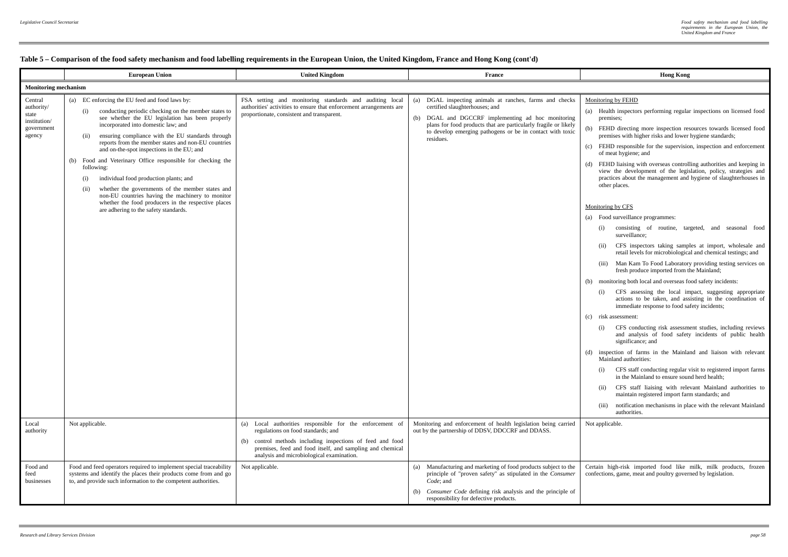|                                                                        | <b>European Union</b>                                                                                                                                                                                                                                                                                                                                                                                                                                                                                                                                                                                                                                                                                                    | <b>United Kingdom</b>                                                                                                                                                                                                                                                  | France                                                                                                                                                                                                                                                                                              | <b>Hong Kong</b>                                                                                                                                                                                                                                                                                                                                                                                                                                                                                                                                                                                                                                                                                                                                                                                                                                                                                                                                                                                                                                                                                                                                                                                                                                                                                                                                                                                                                                                                                                                                                                                                                                                                                                                                                                                                               |  |  |
|------------------------------------------------------------------------|--------------------------------------------------------------------------------------------------------------------------------------------------------------------------------------------------------------------------------------------------------------------------------------------------------------------------------------------------------------------------------------------------------------------------------------------------------------------------------------------------------------------------------------------------------------------------------------------------------------------------------------------------------------------------------------------------------------------------|------------------------------------------------------------------------------------------------------------------------------------------------------------------------------------------------------------------------------------------------------------------------|-----------------------------------------------------------------------------------------------------------------------------------------------------------------------------------------------------------------------------------------------------------------------------------------------------|--------------------------------------------------------------------------------------------------------------------------------------------------------------------------------------------------------------------------------------------------------------------------------------------------------------------------------------------------------------------------------------------------------------------------------------------------------------------------------------------------------------------------------------------------------------------------------------------------------------------------------------------------------------------------------------------------------------------------------------------------------------------------------------------------------------------------------------------------------------------------------------------------------------------------------------------------------------------------------------------------------------------------------------------------------------------------------------------------------------------------------------------------------------------------------------------------------------------------------------------------------------------------------------------------------------------------------------------------------------------------------------------------------------------------------------------------------------------------------------------------------------------------------------------------------------------------------------------------------------------------------------------------------------------------------------------------------------------------------------------------------------------------------------------------------------------------------|--|--|
|                                                                        | <b>Monitoring mechanism</b>                                                                                                                                                                                                                                                                                                                                                                                                                                                                                                                                                                                                                                                                                              |                                                                                                                                                                                                                                                                        |                                                                                                                                                                                                                                                                                                     |                                                                                                                                                                                                                                                                                                                                                                                                                                                                                                                                                                                                                                                                                                                                                                                                                                                                                                                                                                                                                                                                                                                                                                                                                                                                                                                                                                                                                                                                                                                                                                                                                                                                                                                                                                                                                                |  |  |
| Central<br>authority/<br>state<br>institution/<br>government<br>agency | (a) EC enforcing the EU feed and food laws by:<br>conducting periodic checking on the member states to<br>(i)<br>see whether the EU legislation has been properly<br>incorporated into domestic law; and<br>ensuring compliance with the EU standards through<br>(ii)<br>reports from the member states and non-EU countries<br>and on-the-spot inspections in the EU; and<br>(b) Food and Veterinary Office responsible for checking the<br>following:<br>individual food production plants; and<br>(i)<br>whether the governments of the member states and<br>(ii)<br>non-EU countries having the machinery to monitor<br>whether the food producers in the respective places<br>are adhering to the safety standards. | FSA setting and monitoring standards and auditing local<br>authorities' activities to ensure that enforcement arrangements are<br>proportionate, consistent and transparent.                                                                                           | DGAL inspecting animals at ranches, farms and checks<br>(a)<br>certified slaughterhouses; and<br>DGAL and DGCCRF implementing ad hoc monitoring<br>(b)<br>plans for food products that are particularly fragile or likely<br>to develop emerging pathogens or be in contact with toxic<br>residues. | Monitoring by FEHD<br>(a) Health inspectors performing regular inspections on licensed food<br>premises;<br>FEHD directing more inspection resources towards licensed food<br>(b)<br>premises with higher risks and lower hygiene standards;<br>FEHD responsible for the supervision, inspection and enforcement<br>(c)<br>of meat hygiene; and<br>FEHD liaising with overseas controlling authorities and keeping in<br>(d)<br>view the development of the legislation, policy, strategies and<br>practices about the management and hygiene of slaughterhouses in<br>other places.<br>Monitoring by CFS<br>(a) Food surveillance programmes:<br>consisting of routine, targeted, and seasonal food<br>(i)<br>surveillance;<br>CFS inspectors taking samples at import, wholesale and<br>(ii)<br>retail levels for microbiological and chemical testings; and<br>Man Kam To Food Laboratory providing testing services on<br>(iii)<br>fresh produce imported from the Mainland;<br>(b) monitoring both local and overseas food safety incidents:<br>CFS assessing the local impact, suggesting appropriate<br>(i)<br>actions to be taken, and assisting in the coordination of<br>immediate response to food safety incidents;<br>(c) risk assessment:<br>CFS conducting risk assessment studies, including reviews<br>(i)<br>and analysis of food safety incidents of public health<br>significance; and<br>(d) inspection of farms in the Mainland and liaison with relevant<br>Mainland authorities:<br>CFS staff conducting regular visit to registered import farms<br>(i)<br>in the Mainland to ensure sound herd health:<br>CFS staff liaising with relevant Mainland authorities to<br>(ii)<br>maintain registered import farm standards; and<br>notification mechanisms in place with the relevant Mainland<br>(iii) |  |  |
| Local<br>authority                                                     | Not applicable.                                                                                                                                                                                                                                                                                                                                                                                                                                                                                                                                                                                                                                                                                                          | (a) Local authorities responsible for the enforcement of<br>regulations on food standards; and<br>(b) control methods including inspections of feed and food<br>premises, feed and food itself, and sampling and chemical<br>analysis and microbiological examination. | Monitoring and enforcement of health legislation being carried<br>out by the partnership of DDSV, DDCCRF and DDASS.                                                                                                                                                                                 | authorities.<br>Not applicable                                                                                                                                                                                                                                                                                                                                                                                                                                                                                                                                                                                                                                                                                                                                                                                                                                                                                                                                                                                                                                                                                                                                                                                                                                                                                                                                                                                                                                                                                                                                                                                                                                                                                                                                                                                                 |  |  |
| Food and<br>feed<br>businesses                                         | Food and feed operators required to implement special traceability<br>systems and identify the places their products come from and go<br>to, and provide such information to the competent authorities.                                                                                                                                                                                                                                                                                                                                                                                                                                                                                                                  | Not applicable.                                                                                                                                                                                                                                                        | Manufacturing and marketing of food products subject to the<br>(a)<br>principle of "proven safety" as stipulated in the Consumer<br>Code: and<br>(b) Consumer Code defining risk analysis and the principle of<br>responsibility for defective products.                                            | Certain high-risk imported food like milk, milk products, frozen<br>confections, game, meat and poultry governed by legislation.                                                                                                                                                                                                                                                                                                                                                                                                                                                                                                                                                                                                                                                                                                                                                                                                                                                                                                                                                                                                                                                                                                                                                                                                                                                                                                                                                                                                                                                                                                                                                                                                                                                                                               |  |  |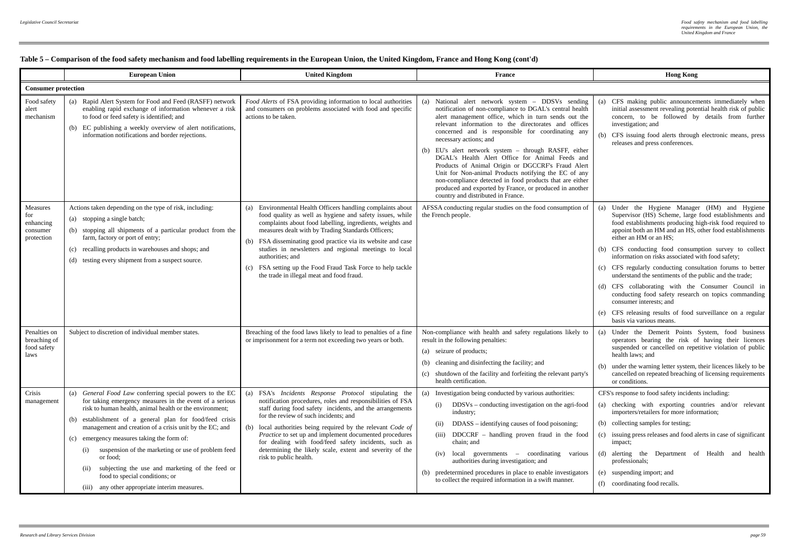|                                                        | <b>European Union</b>                                                                                                                                                                                                                                                                                                                                                                                                                                                                                                                                                      | <b>United Kingdom</b>                                                                                                                                                                                                                                                                                                                                                                                                                                                                                        | <b>France</b>                                                                                                                                                                                                                                                                                                                                                                                                                                                                                                                                                                                                                                                                                        | <b>Hong Kong</b>                                                                                                                                                                                                                                                                                                                                                                                                                                                                                                                                                                                                                                                                                                                   |  |  |
|--------------------------------------------------------|----------------------------------------------------------------------------------------------------------------------------------------------------------------------------------------------------------------------------------------------------------------------------------------------------------------------------------------------------------------------------------------------------------------------------------------------------------------------------------------------------------------------------------------------------------------------------|--------------------------------------------------------------------------------------------------------------------------------------------------------------------------------------------------------------------------------------------------------------------------------------------------------------------------------------------------------------------------------------------------------------------------------------------------------------------------------------------------------------|------------------------------------------------------------------------------------------------------------------------------------------------------------------------------------------------------------------------------------------------------------------------------------------------------------------------------------------------------------------------------------------------------------------------------------------------------------------------------------------------------------------------------------------------------------------------------------------------------------------------------------------------------------------------------------------------------|------------------------------------------------------------------------------------------------------------------------------------------------------------------------------------------------------------------------------------------------------------------------------------------------------------------------------------------------------------------------------------------------------------------------------------------------------------------------------------------------------------------------------------------------------------------------------------------------------------------------------------------------------------------------------------------------------------------------------------|--|--|
|                                                        | <b>Consumer protection</b>                                                                                                                                                                                                                                                                                                                                                                                                                                                                                                                                                 |                                                                                                                                                                                                                                                                                                                                                                                                                                                                                                              |                                                                                                                                                                                                                                                                                                                                                                                                                                                                                                                                                                                                                                                                                                      |                                                                                                                                                                                                                                                                                                                                                                                                                                                                                                                                                                                                                                                                                                                                    |  |  |
| Food safety<br>alert<br>mechanism                      | (a) Rapid Alert System for Food and Feed (RASFF) network<br>enabling rapid exchange of information whenever a risk<br>to food or feed safety is identified; and<br>(b) EC publishing a weekly overview of alert notifications,<br>information notifications and border rejections.                                                                                                                                                                                                                                                                                         | Food Alerts of FSA providing information to local authorities<br>and consumers on problems associated with food and specific<br>actions to be taken.                                                                                                                                                                                                                                                                                                                                                         | National alert network system - DDSVs sending<br>(a)<br>notification of non-compliance to DGAL's central health<br>alert management office, which in turn sends out the<br>relevant information to the directorates and offices<br>concerned and is responsible for coordinating any<br>necessary actions; and<br>(b) EU's alert network system - through RASFF, either<br>DGAL's Health Alert Office for Animal Feeds and<br>Products of Animal Origin or DGCCRF's Fraud Alert<br>Unit for Non-animal Products notifying the EC of any<br>non-compliance detected in food products that are either<br>produced and exported by France, or produced in another<br>country and distributed in France. | CFS making public announcements immediately when<br>(a)<br>initial assessment revealing potential health risk of public<br>concern, to be followed by details from further<br>investigation; and<br>(b) CFS issuing food alerts through electronic means, press<br>releases and press conferences.                                                                                                                                                                                                                                                                                                                                                                                                                                 |  |  |
| Measures<br>for<br>enhancing<br>consumer<br>protection | Actions taken depending on the type of risk, including:<br>(a) stopping a single batch;<br>(b) stopping all shipments of a particular product from the<br>farm, factory or port of entry;<br>(c) recalling products in warehouses and shops; and<br>(d) testing every shipment from a suspect source.                                                                                                                                                                                                                                                                      | Environmental Health Officers handling complaints about<br>(a)<br>food quality as well as hygiene and safety issues, while<br>complaints about food labelling, ingredients, weights and<br>measures dealt with by Trading Standards Officers;<br>FSA disseminating good practice via its website and case<br>(b)<br>studies in newsletters and regional meetings to local<br>authorities: and<br>FSA setting up the Food Fraud Task Force to help tackle<br>(c)<br>the trade in illegal meat and food fraud. | AFSSA conducting regular studies on the food consumption of<br>the French people.                                                                                                                                                                                                                                                                                                                                                                                                                                                                                                                                                                                                                    | (a) Under the Hygiene Manager (HM) and Hygiene<br>Supervisor (HS) Scheme, large food establishments and<br>food establishments producing high-risk food required to<br>appoint both an HM and an HS, other food establishments<br>either an HM or an HS:<br>(b) CFS conducting food consumption survey to collect<br>information on risks associated with food safety;<br>(c) CFS regularly conducting consultation forums to better<br>understand the sentiments of the public and the trade;<br>(d) CFS collaborating with the Consumer Council in<br>conducting food safety research on topics commanding<br>consumer interests; and<br>(e) CFS releasing results of food surveillance on a regular<br>basis via various means. |  |  |
| Penalties on<br>breaching of<br>food safety<br>laws    | Subject to discretion of individual member states.                                                                                                                                                                                                                                                                                                                                                                                                                                                                                                                         | Breaching of the food laws likely to lead to penalties of a fine<br>or imprisonment for a term not exceeding two years or both.                                                                                                                                                                                                                                                                                                                                                                              | Non-compliance with health and safety regulations likely to<br>result in the following penalties:<br>(a) seizure of products;<br>(b) cleaning and disinfecting the facility; and<br>(c) shutdown of the facility and forfeiting the relevant party's<br>health certification.                                                                                                                                                                                                                                                                                                                                                                                                                        | (a) Under the Demerit Points System, food business<br>operators bearing the risk of having their licences<br>suspended or cancelled on repetitive violation of public<br>health laws: and<br>(b) under the warning letter system, their licences likely to be<br>cancelled on repeated breaching of licensing requirements<br>or conditions.                                                                                                                                                                                                                                                                                                                                                                                       |  |  |
| Crisis<br>management                                   | (a) General Food Law conferring special powers to the EC<br>for taking emergency measures in the event of a serious<br>risk to human health, animal health or the environment:<br>(b) establishment of a general plan for food/feed crisis<br>management and creation of a crisis unit by the EC; and<br>(c) emergency measures taking the form of:<br>suspension of the marketing or use of problem feed<br>(i)<br>or food:<br>subjecting the use and marketing of the feed or<br>(ii)<br>food to special conditions; or<br>(iii) any other appropriate interim measures. | FSA's Incidents Response Protocol stipulating the<br>(a)<br>notification procedures, roles and responsibilities of FSA<br>staff during food safety incidents, and the arrangements<br>for the review of such incidents; and<br>(b)<br>local authorities being required by the relevant Code of<br>Practice to set up and implement documented procedures<br>for dealing with food/feed safety incidents, such as<br>determining the likely scale, extent and severity of the<br>risk to public health.       | (a) Investigation being conducted by various authorities:<br>$DDSVs$ – conducting investigation on the agri-food<br>(i)<br>industry:<br>DDASS – identifying causes of food poisoning;<br>(ii)<br>(iii) DDCCRF - handling proven fraud in the food<br>chain; and<br>(iv) local governments - coordinating various<br>authorities during investigation; and<br>(b) predetermined procedures in place to enable investigators<br>to collect the required information in a swift manner.                                                                                                                                                                                                                 | CFS's response to food safety incidents including:<br>(a) checking with exporting countries and/or relevant<br>importers/retailers for more information;<br>(b) collecting samples for testing;<br>(c) issuing press releases and food alerts in case of significant<br>impact;<br>(d) alerting the Department of Health and health<br>professionals;<br>(e) suspending import; and<br>(f) coordinating food recalls.                                                                                                                                                                                                                                                                                                              |  |  |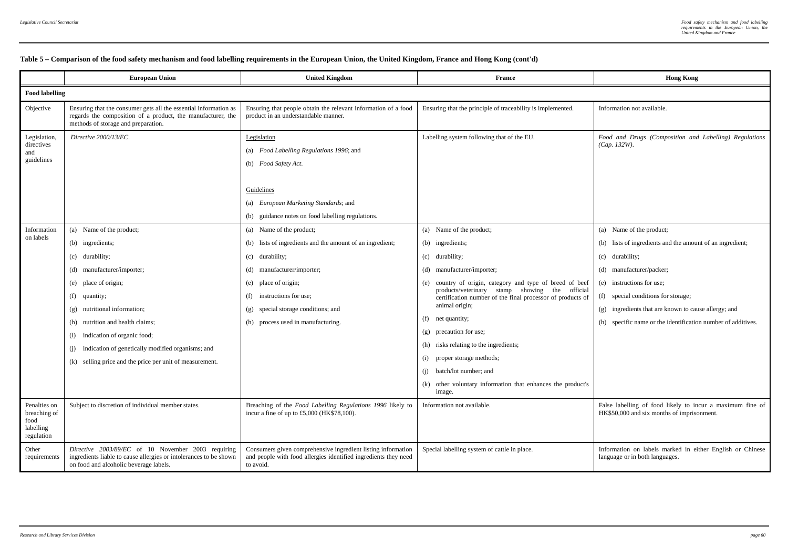|                                                                 | <b>European Union</b>                                                                                                                                                                                                                                                                                                                                                 | <b>United Kingdom</b>                                                                                                                                                                                                                                                       | France                                                                                                                                                                                                                                                                                                                                                                                                                                                                                                                            | <b>Hong Kong</b>                                                                                                                                                                                                                                                                                                                 |  |  |
|-----------------------------------------------------------------|-----------------------------------------------------------------------------------------------------------------------------------------------------------------------------------------------------------------------------------------------------------------------------------------------------------------------------------------------------------------------|-----------------------------------------------------------------------------------------------------------------------------------------------------------------------------------------------------------------------------------------------------------------------------|-----------------------------------------------------------------------------------------------------------------------------------------------------------------------------------------------------------------------------------------------------------------------------------------------------------------------------------------------------------------------------------------------------------------------------------------------------------------------------------------------------------------------------------|----------------------------------------------------------------------------------------------------------------------------------------------------------------------------------------------------------------------------------------------------------------------------------------------------------------------------------|--|--|
| <b>Food labelling</b>                                           |                                                                                                                                                                                                                                                                                                                                                                       |                                                                                                                                                                                                                                                                             |                                                                                                                                                                                                                                                                                                                                                                                                                                                                                                                                   |                                                                                                                                                                                                                                                                                                                                  |  |  |
| Objective                                                       | Ensuring that the consumer gets all the essential information as<br>regards the composition of a product, the manufacturer, the<br>methods of storage and preparation.                                                                                                                                                                                                | Ensuring that people obtain the relevant information of a food<br>product in an understandable manner.                                                                                                                                                                      | Ensuring that the principle of traceability is implemented.                                                                                                                                                                                                                                                                                                                                                                                                                                                                       | Information not available.                                                                                                                                                                                                                                                                                                       |  |  |
| Legislation,<br>directives<br>and<br>guidelines                 | Directive 2000/13/EC.                                                                                                                                                                                                                                                                                                                                                 | Legislation<br>(a) Food Labelling Regulations 1996; and<br>(b) Food Safety Act.<br>Guidelines<br>(a) European Marketing Standards; and<br>(b) guidance notes on food labelling regulations.                                                                                 | Labelling system following that of the EU.                                                                                                                                                                                                                                                                                                                                                                                                                                                                                        | Food and Drugs (Composition and Labelling) Regulations<br>$(Cap. 132W)$ .                                                                                                                                                                                                                                                        |  |  |
| Information<br>on labels                                        | (a) Name of the product;<br>(b) ingredients;<br>(c) durability;<br>(d) manufacturer/importer;<br>(e) place of origin;<br>(f) quantity;<br>(g) nutritional information;<br>(h) nutrition and health claims;<br>(i) indication of organic food;<br>indication of genetically modified organisms; and<br>(j)<br>(k) selling price and the price per unit of measurement. | (a) Name of the product;<br>(b) lists of ingredients and the amount of an ingredient;<br>(c) durability;<br>(d) manufacturer/importer;<br>(e) place of origin;<br>instructions for use;<br>(f)<br>(g) special storage conditions; and<br>(h) process used in manufacturing. | (a) Name of the product;<br>(b) ingredients;<br>(c) durability;<br>(d) manufacturer/importer;<br>(e) country of origin, category and type of breed of beef<br>products/veterinary stamp showing the official<br>certification number of the final processor of products of<br>animal origin;<br>(f) net quantity;<br>(g) precaution for use;<br>(h) risks relating to the ingredients;<br>proper storage methods;<br>(i)<br>batch/lot number: and<br>(i)<br>(k) other voluntary information that enhances the product's<br>image. | (a) Name of the product;<br>(b) lists of ingredients and the amount of an ingredient;<br>(c) durability;<br>(d) manufacturer/packer;<br>(e) instructions for use;<br>(f) special conditions for storage;<br>(g) ingredients that are known to cause allergy; and<br>(h) specific name or the identification number of additives. |  |  |
| Penalties on<br>breaching of<br>food<br>labelling<br>regulation | Subject to discretion of individual member states.                                                                                                                                                                                                                                                                                                                    | Breaching of the Food Labelling Regulations 1996 likely to<br>incur a fine of up to $£5,000$ (HK\$78,100).                                                                                                                                                                  | Information not available.                                                                                                                                                                                                                                                                                                                                                                                                                                                                                                        | False labelling of food likely to incur a maximum fine of<br>HK\$50,000 and six months of imprisonment.                                                                                                                                                                                                                          |  |  |
| Other<br>requirements                                           | Directive 2003/89/EC of 10 November 2003 requiring<br>ingredients liable to cause allergies or intolerances to be shown<br>on food and alcoholic beverage labels.                                                                                                                                                                                                     | Consumers given comprehensive ingredient listing information<br>and people with food allergies identified ingredients they need<br>to avoid.                                                                                                                                | Special labelling system of cattle in place.                                                                                                                                                                                                                                                                                                                                                                                                                                                                                      | Information on labels marked in either English or Chinese<br>language or in both languages.                                                                                                                                                                                                                                      |  |  |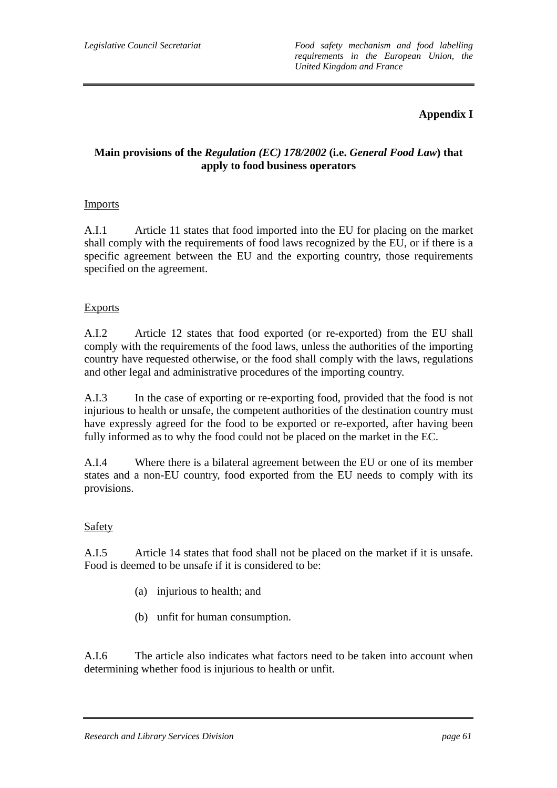# **Appendix I**

## **Main provisions of the** *Regulation (EC) 178/2002* **(i.e.** *General Food Law***) that apply to food business operators**

## Imports

A.I.1 Article 11 states that food imported into the EU for placing on the market shall comply with the requirements of food laws recognized by the EU, or if there is a specific agreement between the EU and the exporting country, those requirements specified on the agreement.

### **Exports**

A.I.2 Article 12 states that food exported (or re-exported) from the EU shall comply with the requirements of the food laws, unless the authorities of the importing country have requested otherwise, or the food shall comply with the laws, regulations and other legal and administrative procedures of the importing country.

A.I.3 In the case of exporting or re-exporting food, provided that the food is not injurious to health or unsafe, the competent authorities of the destination country must have expressly agreed for the food to be exported or re-exported, after having been fully informed as to why the food could not be placed on the market in the EC.

A.I.4 Where there is a bilateral agreement between the EU or one of its member states and a non-EU country, food exported from the EU needs to comply with its provisions.

#### Safety

A.I.5 Article 14 states that food shall not be placed on the market if it is unsafe. Food is deemed to be unsafe if it is considered to be:

- (a) injurious to health; and
- (b) unfit for human consumption.

A.I.6 The article also indicates what factors need to be taken into account when determining whether food is injurious to health or unfit.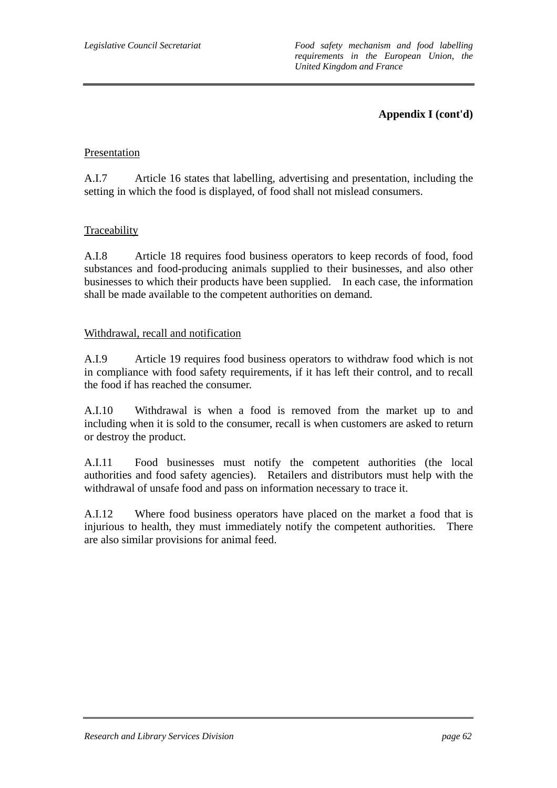*Legislative Council Secretariat Food safety mechanism and food labelling requirements in the European Union, the United Kingdom and France* 

## **Appendix I (cont'd)**

### Presentation

A.I.7 Article 16 states that labelling, advertising and presentation, including the setting in which the food is displayed, of food shall not mislead consumers.

### Traceability

A.I.8 Article 18 requires food business operators to keep records of food, food substances and food-producing animals supplied to their businesses, and also other businesses to which their products have been supplied. In each case, the information shall be made available to the competent authorities on demand.

#### Withdrawal, recall and notification

A.I.9 Article 19 requires food business operators to withdraw food which is not in compliance with food safety requirements, if it has left their control, and to recall the food if has reached the consumer.

A.I.10 Withdrawal is when a food is removed from the market up to and including when it is sold to the consumer, recall is when customers are asked to return or destroy the product.

A.I.11 Food businesses must notify the competent authorities (the local authorities and food safety agencies). Retailers and distributors must help with the withdrawal of unsafe food and pass on information necessary to trace it.

A.I.12 Where food business operators have placed on the market a food that is injurious to health, they must immediately notify the competent authorities. There are also similar provisions for animal feed.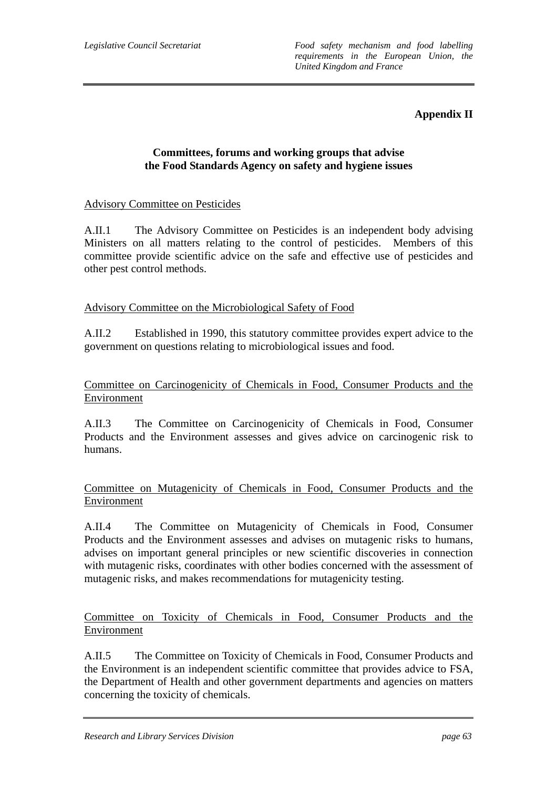## **Appendix II**

## **Committees, forums and working groups that advise the Food Standards Agency on safety and hygiene issues**

## Advisory Committee on Pesticides

A.II.1 The Advisory Committee on Pesticides is an independent body advising Ministers on all matters relating to the control of pesticides. Members of this committee provide scientific advice on the safe and effective use of pesticides and other pest control methods.

### Advisory Committee on the Microbiological Safety of Food

A.II.2 Established in 1990, this statutory committee provides expert advice to the government on questions relating to microbiological issues and food.

### Committee on Carcinogenicity of Chemicals in Food, Consumer Products and the Environment

A.II.3 The Committee on Carcinogenicity of Chemicals in Food, Consumer Products and the Environment assesses and gives advice on carcinogenic risk to humans.

### Committee on Mutagenicity of Chemicals in Food, Consumer Products and the Environment

A.II.4 The Committee on Mutagenicity of Chemicals in Food, Consumer Products and the Environment assesses and advises on mutagenic risks to humans, advises on important general principles or new scientific discoveries in connection with mutagenic risks, coordinates with other bodies concerned with the assessment of mutagenic risks, and makes recommendations for mutagenicity testing.

Committee on Toxicity of Chemicals in Food, Consumer Products and the Environment

A.II.5 The Committee on Toxicity of Chemicals in Food, Consumer Products and the Environment is an independent scientific committee that provides advice to FSA, the Department of Health and other government departments and agencies on matters concerning the toxicity of chemicals.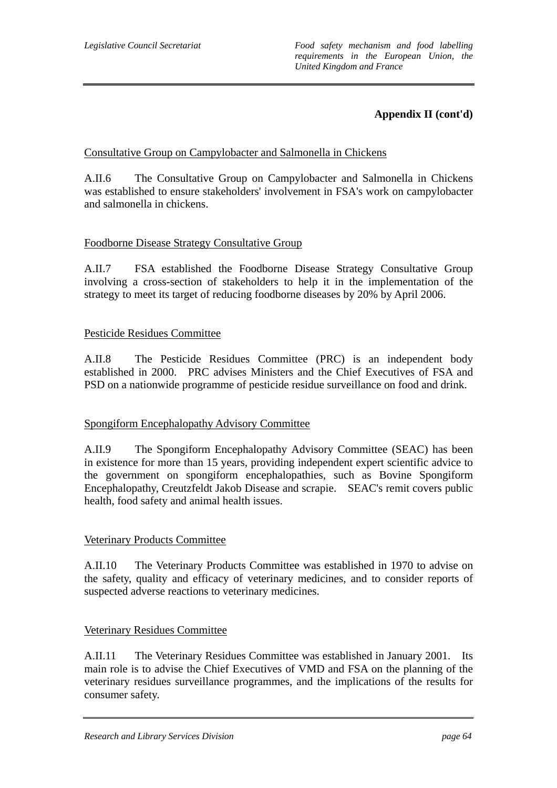## **Appendix II (cont'd)**

## Consultative Group on Campylobacter and Salmonella in Chickens

A.II.6 The Consultative Group on Campylobacter and Salmonella in Chickens was established to ensure stakeholders' involvement in FSA's work on campylobacter and salmonella in chickens.

### Foodborne Disease Strategy Consultative Group

A.II.7 FSA established the Foodborne Disease Strategy Consultative Group involving a cross-section of stakeholders to help it in the implementation of the strategy to meet its target of reducing foodborne diseases by 20% by April 2006.

### Pesticide Residues Committee

A.II.8 The Pesticide Residues Committee (PRC) is an independent body established in 2000. PRC advises Ministers and the Chief Executives of FSA and PSD on a nationwide programme of pesticide residue surveillance on food and drink.

## Spongiform Encephalopathy Advisory Committee

A.II.9 The Spongiform Encephalopathy Advisory Committee (SEAC) has been in existence for more than 15 years, providing independent expert scientific advice to the government on spongiform encephalopathies, such as Bovine Spongiform Encephalopathy, Creutzfeldt Jakob Disease and scrapie. SEAC's remit covers public health, food safety and animal health issues.

## Veterinary Products Committee

A.II.10 The Veterinary Products Committee was established in 1970 to advise on the safety, quality and efficacy of veterinary medicines, and to consider reports of suspected adverse reactions to veterinary medicines.

#### Veterinary Residues Committee

A.II.11 The Veterinary Residues Committee was established in January 2001. Its main role is to advise the Chief Executives of VMD and FSA on the planning of the veterinary residues surveillance programmes, and the implications of the results for consumer safety.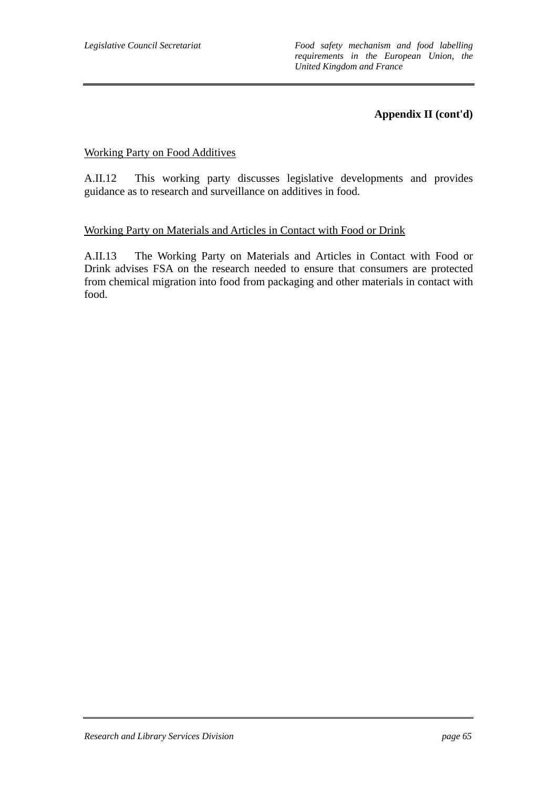## **Appendix II (cont'd)**

### Working Party on Food Additives

A.II.12 This working party discusses legislative developments and provides guidance as to research and surveillance on additives in food.

#### Working Party on Materials and Articles in Contact with Food or Drink

A.II.13 The Working Party on Materials and Articles in Contact with Food or Drink advises FSA on the research needed to ensure that consumers are protected from chemical migration into food from packaging and other materials in contact with food.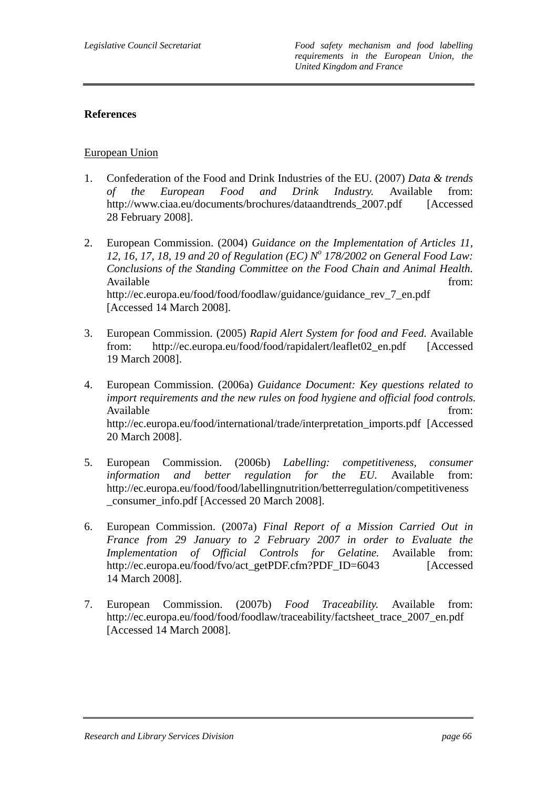## **References**

### European Union

- 1. Confederation of the Food and Drink Industries of the EU. (2007) *Data & trends of the European Food and Drink Industry.* Available from: http://www.ciaa.eu/documents/brochures/dataandtrends\_2007.pdf [Accessed 28 February 2008].
- 2. European Commission. (2004) *Guidance on the Implementation of Articles 11, 12, 16, 17, 18, 19 and 20 of Regulation (EC) No 178/2002 on General Food Law: Conclusions of the Standing Committee on the Food Chain and Animal Health.* Available from:  $\blacksquare$ http://ec.europa.eu/food/food/foodlaw/guidance/guidance\_rev\_7\_en.pdf [Accessed 14 March 2008].
- 3. European Commission. (2005) *Rapid Alert System for food and Feed.* Available from: http://ec.europa.eu/food/food/rapidalert/leaflet02\_en.pdf [Accessed 19 March 2008].
- 4. European Commission. (2006a) *Guidance Document: Key questions related to import requirements and the new rules on food hygiene and official food controls.* Available from:  $\blacksquare$ http://ec.europa.eu/food/international/trade/interpretation\_imports.pdf [Accessed 20 March 2008].
- 5. European Commission. (2006b) *Labelling: competitiveness, consumer information and better regulation for the EU.* Available from: http://ec.europa.eu/food/food/labellingnutrition/betterregulation/competitiveness \_consumer\_info.pdf [Accessed 20 March 2008].
- 6. European Commission. (2007a) *Final Report of a Mission Carried Out in France from 29 January to 2 February 2007 in order to Evaluate the Implementation of Official Controls for Gelatine.* Available from: http://ec.europa.eu/food/fvo/act\_getPDF.cfm?PDF\_ID=6043 [Accessed 14 March 2008].
- 7. European Commission. (2007b) *Food Traceability.* Available from: http://ec.europa.eu/food/food/foodlaw/traceability/factsheet\_trace\_2007\_en.pdf [Accessed 14 March 2008].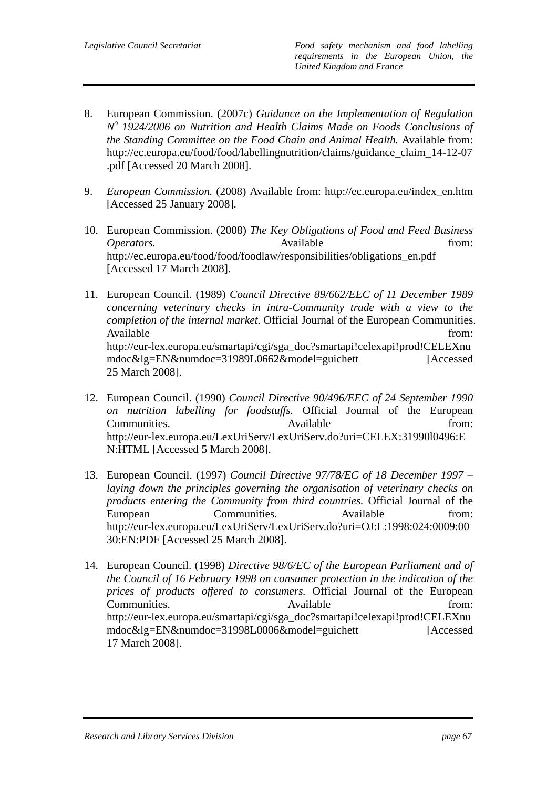- 8. European Commission. (2007c) *Guidance on the Implementation of Regulation No 1924/2006 on Nutrition and Health Claims Made on Foods Conclusions of the Standing Committee on the Food Chain and Animal Health.* Available from: http://ec.europa.eu/food/food/labellingnutrition/claims/guidance\_claim\_14-12-07 .pdf [Accessed 20 March 2008].
- 9. *European Commission.* (2008) Available from: http://ec.europa.eu/index\_en.htm [Accessed 25 January 2008].
- 10. European Commission. (2008) *The Key Obligations of Food and Feed Business Operators.* **Available** *Available from:* http://ec.europa.eu/food/food/foodlaw/responsibilities/obligations\_en.pdf [Accessed 17 March 2008].
- 11. European Council. (1989) *Council Directive 89/662/EEC of 11 December 1989 concerning veterinary checks in intra-Community trade with a view to the completion of the internal market.* Official Journal of the European Communities. Available from: http://eur-lex.europa.eu/smartapi/cgi/sga\_doc?smartapi!celexapi!prod!CELEXnu mdoc&lg=EN&numdoc=31989L0662&model=guichett [Accessed 25 March 2008].
- 12. European Council. (1990) *Council Directive 90/496/EEC of 24 September 1990 on nutrition labelling for foodstuffs.* Official Journal of the European Communities. Available from: http://eur-lex.europa.eu/LexUriServ/LexUriServ.do?uri=CELEX:31990l0496:E N:HTML [Accessed 5 March 2008].
- 13. European Council. (1997) *Council Directive 97/78/EC of 18 December 1997 laying down the principles governing the organisation of veterinary checks on products entering the Community from third countries.* Official Journal of the European Communities. Available from: http://eur-lex.europa.eu/LexUriServ/LexUriServ.do?uri=OJ:L:1998:024:0009:00 30:EN:PDF [Accessed 25 March 2008].
- 14. European Council. (1998) *Directive 98/6/EC of the European Parliament and of the Council of 16 February 1998 on consumer protection in the indication of the prices of products offered to consumers.* Official Journal of the European Communities. Available from: http://eur-lex.europa.eu/smartapi/cgi/sga\_doc?smartapi!celexapi!prod!CELEXnu mdoc&lg=EN&numdoc=31998L0006&model=guichett [Accessed 17 March 2008].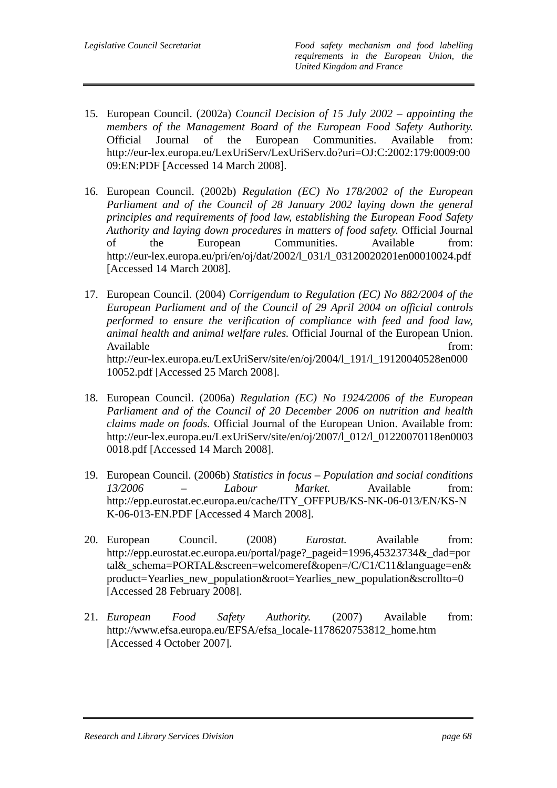- 15. European Council. (2002a) *Council Decision of 15 July 2002 appointing the members of the Management Board of the European Food Safety Authority.* Official Journal of the European Communities. Available from: http://eur-lex.europa.eu/LexUriServ/LexUriServ.do?uri=OJ:C:2002:179:0009:00 09:EN:PDF [Accessed 14 March 2008].
- 16. European Council. (2002b) *Regulation (EC) No 178/2002 of the European Parliament and of the Council of 28 January 2002 laying down the general principles and requirements of food law, establishing the European Food Safety Authority and laying down procedures in matters of food safety.* Official Journal of the European Communities. Available from: http://eur-lex.europa.eu/pri/en/oj/dat/2002/l\_031/l\_03120020201en00010024.pdf [Accessed 14 March 2008].
- 17. European Council. (2004) *Corrigendum to Regulation (EC) No 882/2004 of the European Parliament and of the Council of 29 April 2004 on official controls performed to ensure the verification of compliance with feed and food law, animal health and animal welfare rules.* Official Journal of the European Union. Available from:  $\blacksquare$ http://eur-lex.europa.eu/LexUriServ/site/en/oj/2004/l\_191/l\_19120040528en000 10052.pdf [Accessed 25 March 2008].
- 18. European Council. (2006a) *Regulation (EC) No 1924/2006 of the European Parliament and of the Council of 20 December 2006 on nutrition and health claims made on foods.* Official Journal of the European Union. Available from: http://eur-lex.europa.eu/LexUriServ/site/en/oj/2007/l\_012/l\_01220070118en0003 0018.pdf [Accessed 14 March 2008].
- 19. European Council. (2006b) *Statistics in focus Population and social conditions 13/2006 – Labour Market.* Available from: http://epp.eurostat.ec.europa.eu/cache/ITY\_OFFPUB/KS-NK-06-013/EN/KS-N K-06-013-EN.PDF [Accessed 4 March 2008].
- 20. European Council. (2008) *Eurostat.* Available from: http://epp.eurostat.ec.europa.eu/portal/page?\_pageid=1996,45323734&\_dad=por tal&\_schema=PORTAL&screen=welcomeref&open=/C/C1/C11&language=en& product=Yearlies\_new\_population&root=Yearlies\_new\_population&scrollto=0 [Accessed 28 February 2008].
- 21. *European Food Safety Authority.* (2007) Available from: http://www.efsa.europa.eu/EFSA/efsa\_locale-1178620753812\_home.htm [Accessed 4 October 2007].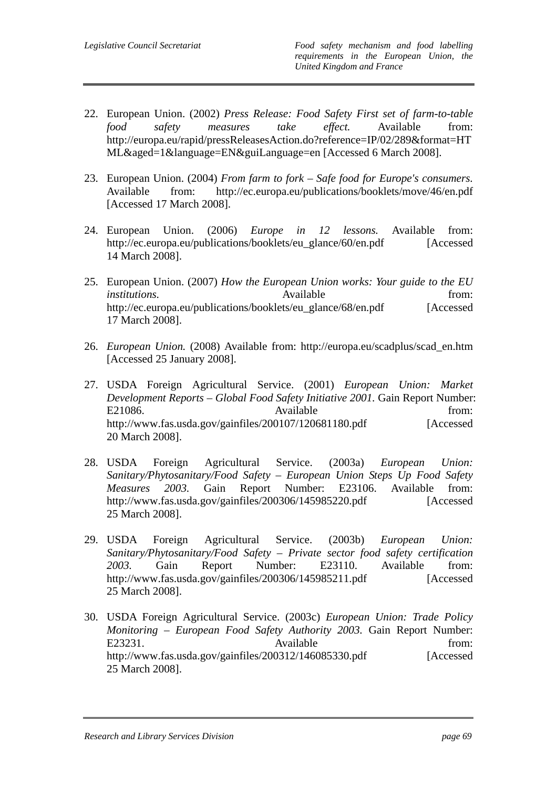- 22. European Union. (2002) *Press Release: Food Safety First set of farm-to-table food safety measures take effect.* Available from: http://europa.eu/rapid/pressReleasesAction.do?reference=IP/02/289&format=HT ML&aged=1&language=EN&guiLanguage=en [Accessed 6 March 2008].
- 23. European Union. (2004) *From farm to fork Safe food for Europe's consumers.*  Available from: http://ec.europa.eu/publications/booklets/move/46/en.pdf [Accessed 17 March 2008].
- 24. European Union. (2006) *Europe in 12 lessons.* Available from: http://ec.europa.eu/publications/booklets/eu\_glance/60/en.pdf [Accessed 14 March 2008].
- 25. European Union. (2007) *How the European Union works: Your guide to the EU institutions.* Available *Available* from: http://ec.europa.eu/publications/booklets/eu\_glance/68/en.pdf [Accessed 17 March 2008].
- 26. *European Union.* (2008) Available from: http://europa.eu/scadplus/scad\_en.htm [Accessed 25 January 2008].
- 27. USDA Foreign Agricultural Service. (2001) *European Union: Market Development Reports – Global Food Safety Initiative 2001.* Gain Report Number: E21086. Available from: http://www.fas.usda.gov/gainfiles/200107/120681180.pdf [Accessed 20 March 2008].
- 28. USDA Foreign Agricultural Service. (2003a) *European Union: Sanitary/Phytosanitary/Food Safety – European Union Steps Up Food Safety Measures 2003.* Gain Report Number: E23106. Available from: http://www.fas.usda.gov/gainfiles/200306/145985220.pdf [Accessed 25 March 2008].
- 29. USDA Foreign Agricultural Service. (2003b) *European Union: Sanitary/Phytosanitary/Food Safety – Private sector food safety certification 2003.* Gain Report Number: E23110. Available from: http://www.fas.usda.gov/gainfiles/200306/145985211.pdf [Accessed 25 March 2008].
- 30. USDA Foreign Agricultural Service. (2003c) *European Union: Trade Policy Monitoring – European Food Safety Authority 2003.* Gain Report Number: E23231. Available from: http://www.fas.usda.gov/gainfiles/200312/146085330.pdf [Accessed 25 March 2008].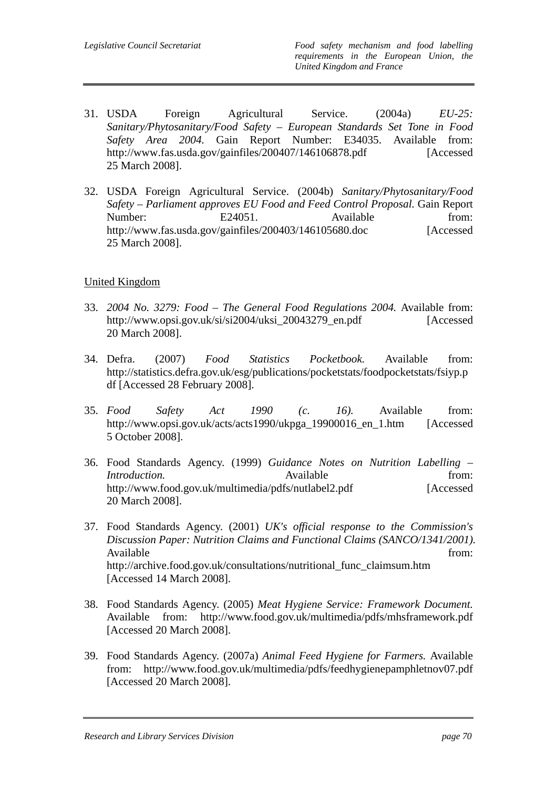- 31. USDA Foreign Agricultural Service. (2004a) *EU-25: Sanitary/Phytosanitary/Food Safety – European Standards Set Tone in Food Safety Area 2004.* Gain Report Number: E34035. Available from: http://www.fas.usda.gov/gainfiles/200407/146106878.pdf [Accessed] 25 March 2008].
- 32. USDA Foreign Agricultural Service. (2004b) *Sanitary/Phytosanitary/Food Safety – Parliament approves EU Food and Feed Control Proposal.* Gain Report Number: E24051. Available from: http://www.fas.usda.gov/gainfiles/200403/146105680.doc [Accessed 25 March 2008].

## United Kingdom

- 33. *2004 No. 3279: Food The General Food Regulations 2004.* Available from: http://www.opsi.gov.uk/si/si2004/uksi\_20043279\_en.pdf [Accessed 20 March 2008].
- 34. Defra. (2007) *Food Statistics Pocketbook.* Available from: http://statistics.defra.gov.uk/esg/publications/pocketstats/foodpocketstats/fsiyp.p df [Accessed 28 February 2008].
- 35. *Food Safety Act 1990 (c. 16).* Available from: http://www.opsi.gov.uk/acts/acts1990/ukpga\_19900016\_en\_1.htm [Accessed 5 October 2008].
- 36. Food Standards Agency. (1999) *Guidance Notes on Nutrition Labelling Introduction.* Available *Available* from: http://www.food.gov.uk/multimedia/pdfs/nutlabel2.pdf [Accessed 20 March 2008].
- 37. Food Standards Agency. (2001) *UK's official response to the Commission's Discussion Paper: Nutrition Claims and Functional Claims (SANCO/1341/2001).* Available from: http://archive.food.gov.uk/consultations/nutritional\_func\_claimsum.htm [Accessed 14 March 2008].
- 38. Food Standards Agency. (2005) *Meat Hygiene Service: Framework Document.*  Available from: http://www.food.gov.uk/multimedia/pdfs/mhsframework.pdf [Accessed 20 March 2008].
- 39. Food Standards Agency. (2007a) *Animal Feed Hygiene for Farmers.* Available from: http://www.food.gov.uk/multimedia/pdfs/feedhygienepamphletnov07.pdf [Accessed 20 March 2008].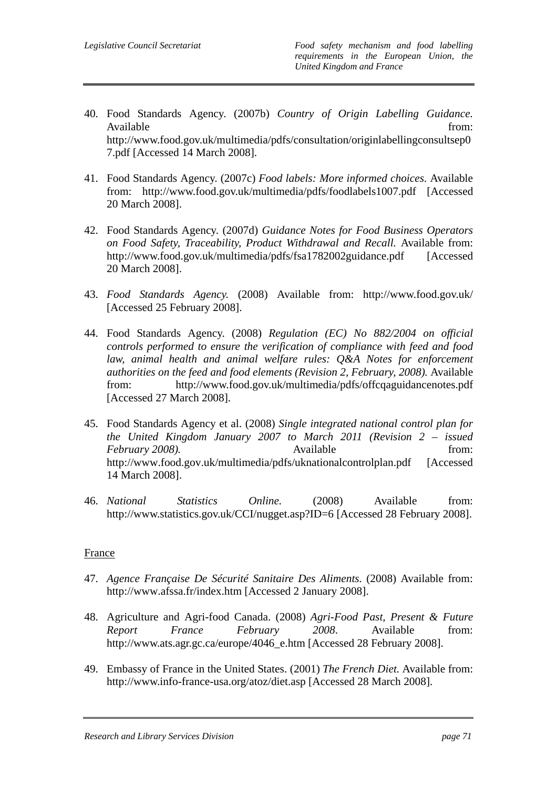- 40. Food Standards Agency. (2007b) *Country of Origin Labelling Guidance.*  Available from: http://www.food.gov.uk/multimedia/pdfs/consultation/originlabellingconsultsep0 7.pdf [Accessed 14 March 2008].
- 41. Food Standards Agency. (2007c) *Food labels: More informed choices.* Available from: http://www.food.gov.uk/multimedia/pdfs/foodlabels1007.pdf [Accessed 20 March 2008].
- 42. Food Standards Agency. (2007d) *Guidance Notes for Food Business Operators on Food Safety, Traceability, Product Withdrawal and Recall.* Available from: http://www.food.gov.uk/multimedia/pdfs/fsa1782002guidance.pdf [Accessed] 20 March 2008].
- 43. *Food Standards Agency.* (2008) Available from: http://www.food.gov.uk/ [Accessed 25 February 2008].
- 44. Food Standards Agency. (2008) *Regulation (EC) No 882/2004 on official controls performed to ensure the verification of compliance with feed and food*  law, animal health and animal welfare rules: Q&A Notes for enforcement *authorities on the feed and food elements (Revision 2, February, 2008).* Available from: http://www.food.gov.uk/multimedia/pdfs/offcqaguidancenotes.pdf [Accessed 27 March 2008].
- 45. Food Standards Agency et al. (2008) *Single integrated national control plan for the United Kingdom January 2007 to March 2011 (Revision 2 – issued February 2008*). Available from: http://www.food.gov.uk/multimedia/pdfs/uknationalcontrolplan.pdf [Accessed 14 March 2008].
- 46. *National Statistics Online.* (2008) Available from: http://www.statistics.gov.uk/CCI/nugget.asp?ID=6 [Accessed 28 February 2008].

## France

- 47. *Agence Française De Sécurité Sanitaire Des Aliments.* (2008) Available from: http://www.afssa.fr/index.htm [Accessed 2 January 2008].
- 48. Agriculture and Agri-food Canada. (2008) *Agri-Food Past, Present & Future Report France February 2008*. Available from: http://www.ats.agr.gc.ca/europe/4046\_e.htm [Accessed 28 February 2008].
- 49. Embassy of France in the United States. (2001) *The French Diet.* Available from: http://www.info-france-usa.org/atoz/diet.asp [Accessed 28 March 2008].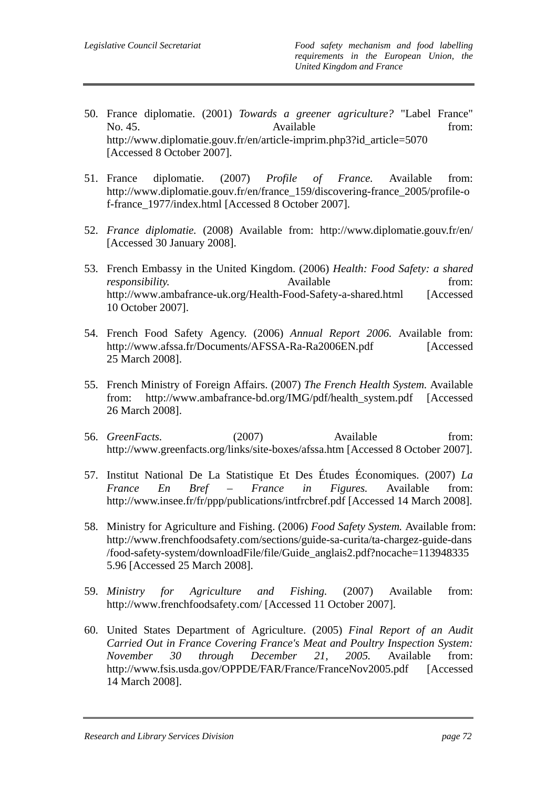- 50. France diplomatie. (2001) *Towards a greener agriculture?* "Label France" No. 45. Contract Available from: http://www.diplomatie.gouv.fr/en/article-imprim.php3?id\_article=5070 [Accessed 8 October 2007].
- 51. France diplomatie. (2007) *Profile of France.* Available from: http://www.diplomatie.gouv.fr/en/france\_159/discovering-france\_2005/profile-o f-france\_1977/index.html [Accessed 8 October 2007].
- 52. *France diplomatie.* (2008) Available from: http://www.diplomatie.gouv.fr/en/ [Accessed 30 January 2008].
- 53. French Embassy in the United Kingdom. (2006) *Health: Food Safety: a shared responsibility.* Available *Available* from: http://www.ambafrance-uk.org/Health-Food-Safety-a-shared.html [Accessed 10 October 2007].
- 54. French Food Safety Agency. (2006) *Annual Report 2006.* Available from: http://www.afssa.fr/Documents/AFSSA-Ra-Ra2006EN.pdf [Accessed 25 March 2008].
- 55. French Ministry of Foreign Affairs. (2007) *The French Health System.* Available from: http://www.ambafrance-bd.org/IMG/pdf/health\_system.pdf [Accessed 26 March 2008].
- 56. *GreenFacts.* (2007) Available from: http://www.greenfacts.org/links/site-boxes/afssa.htm [Accessed 8 October 2007].
- 57. Institut National De La Statistique Et Des Études Économiques. (2007) *La France En Bref – France in Figures.* Available from: http://www.insee.fr/fr/ppp/publications/intfrcbref.pdf [Accessed 14 March 2008].
- 58. Ministry for Agriculture and Fishing. (2006) *Food Safety System.* Available from: http://www.frenchfoodsafety.com/sections/guide-sa-curita/ta-chargez-guide-dans /food-safety-system/downloadFile/file/Guide\_anglais2.pdf?nocache=113948335 5.96 [Accessed 25 March 2008].
- 59. *Ministry for Agriculture and Fishing.* (2007) Available from: http://www.frenchfoodsafety.com/ [Accessed 11 October 2007].
- 60. United States Department of Agriculture. (2005) *Final Report of an Audit Carried Out in France Covering France's Meat and Poultry Inspection System: November 30 through December 21, 2005.* Available from: http://www.fsis.usda.gov/OPPDE/FAR/France/FranceNov2005.pdf [Accessed 14 March 2008].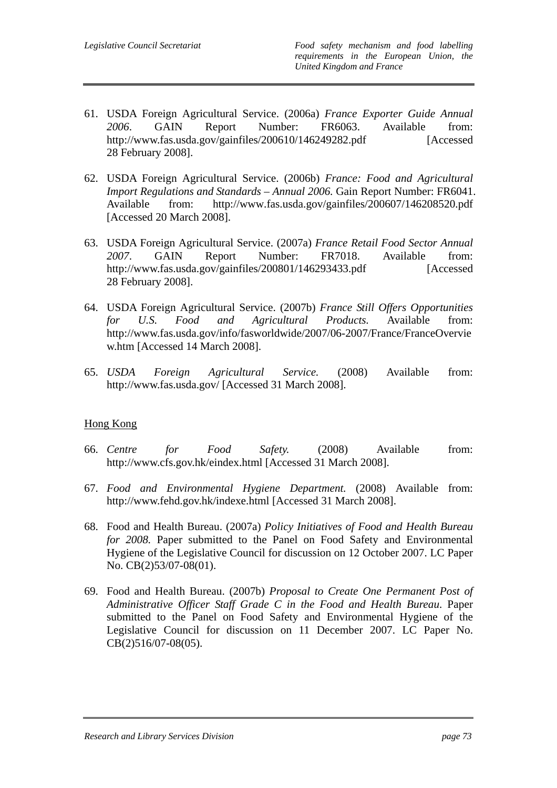- 61. USDA Foreign Agricultural Service. (2006a) *France Exporter Guide Annual 2006*. GAIN Report Number: FR6063. Available from: http://www.fas.usda.gov/gainfiles/200610/146249282.pdf [Accessed 28 February 2008].
- 62. USDA Foreign Agricultural Service. (2006b) *France: Food and Agricultural Import Regulations and Standards – Annual 2006.* Gain Report Number: FR6041. Available from: http://www.fas.usda.gov/gainfiles/200607/146208520.pdf [Accessed 20 March 2008].
- 63. USDA Foreign Agricultural Service. (2007a) *France Retail Food Sector Annual 2007*. GAIN Report Number: FR7018. Available from: http://www.fas.usda.gov/gainfiles/200801/146293433.pdf [Accessed 28 February 2008].
- 64. USDA Foreign Agricultural Service. (2007b) *France Still Offers Opportunities for U.S. Food and Agricultural Products.* Available from: http://www.fas.usda.gov/info/fasworldwide/2007/06-2007/France/FranceOvervie w.htm [Accessed 14 March 2008].
- 65. *USDA Foreign Agricultural Service.* (2008) Available from: http://www.fas.usda.gov/ [Accessed 31 March 2008].

## Hong Kong

- 66. *Centre for Food Safety.* (2008) Available from: http://www.cfs.gov.hk/eindex.html [Accessed 31 March 2008].
- 67. *Food and Environmental Hygiene Department.* (2008) Available from: http://www.fehd.gov.hk/indexe.html [Accessed 31 March 2008].
- 68. Food and Health Bureau. (2007a) *Policy Initiatives of Food and Health Bureau for 2008.* Paper submitted to the Panel on Food Safety and Environmental Hygiene of the Legislative Council for discussion on 12 October 2007. LC Paper No. CB(2)53/07-08(01).
- 69. Food and Health Bureau. (2007b) *Proposal to Create One Permanent Post of Administrative Officer Staff Grade C in the Food and Health Bureau*. Paper submitted to the Panel on Food Safety and Environmental Hygiene of the Legislative Council for discussion on 11 December 2007. LC Paper No. CB(2)516/07-08(05).